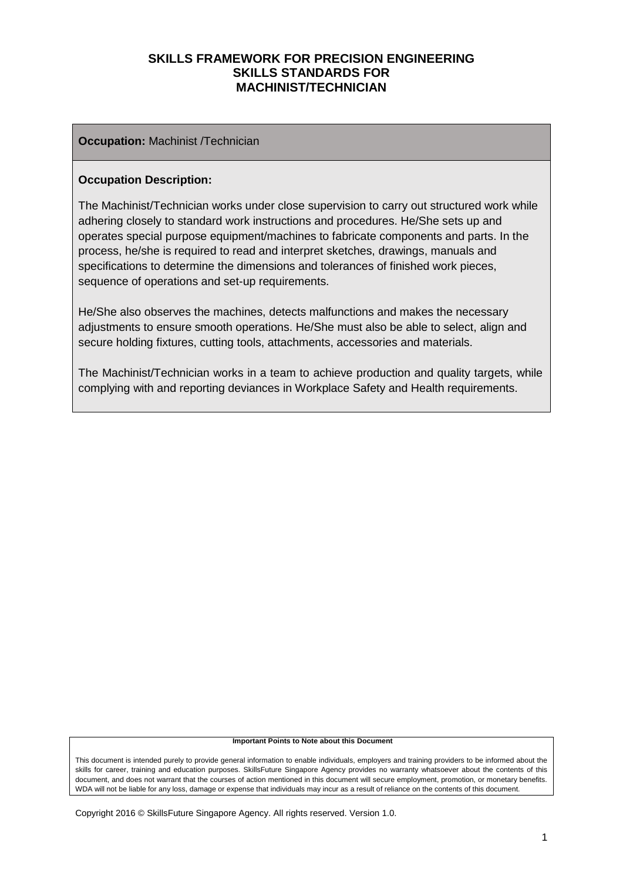#### **Occupation:** Machinist /Technician

#### **Occupation Description:**

The Machinist/Technician works under close supervision to carry out structured work while adhering closely to standard work instructions and procedures. He/She sets up and operates special purpose equipment/machines to fabricate components and parts. In the process, he/she is required to read and interpret sketches, drawings, manuals and specifications to determine the dimensions and tolerances of finished work pieces, sequence of operations and set-up requirements.

He/She also observes the machines, detects malfunctions and makes the necessary adjustments to ensure smooth operations. He/She must also be able to select, align and secure holding fixtures, cutting tools, attachments, accessories and materials.

The Machinist/Technician works in a team to achieve production and quality targets, while complying with and reporting deviances in Workplace Safety and Health requirements.

#### **Important Points to Note about this Document**

This document is intended purely to provide general information to enable individuals, employers and training providers to be informed about the skills for career, training and education purposes. SkillsFuture Singapore Agency provides no warranty whatsoever about the contents of this document, and does not warrant that the courses of action mentioned in this document will secure employment, promotion, or monetary benefits. WDA will not be liable for any loss, damage or expense that individuals may incur as a result of reliance on the contents of this document.

Copyright 2016 © SkillsFuture Singapore Agency. All rights reserved. Version 1.0.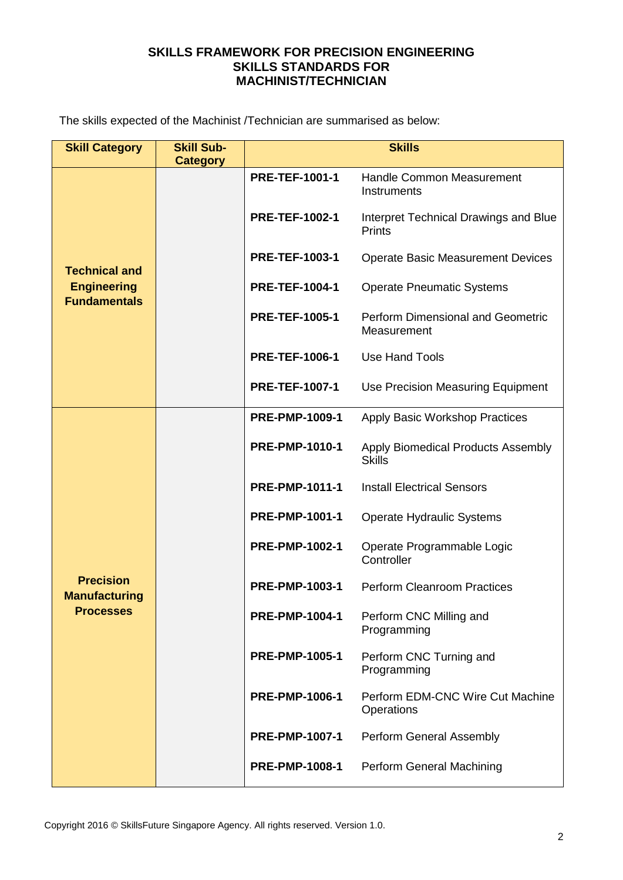The skills expected of the Machinist /Technician are summarised as below:

| <b>Skill Category</b>                     | <b>Skill Sub-</b><br><b>Category</b> | <b>Skills</b>         |                                                         |  |
|-------------------------------------------|--------------------------------------|-----------------------|---------------------------------------------------------|--|
|                                           |                                      | <b>PRE-TEF-1001-1</b> | <b>Handle Common Measurement</b><br>Instruments         |  |
|                                           |                                      | <b>PRE-TEF-1002-1</b> | Interpret Technical Drawings and Blue<br>Prints         |  |
| <b>Technical and</b>                      |                                      | <b>PRE-TEF-1003-1</b> | <b>Operate Basic Measurement Devices</b>                |  |
| <b>Engineering</b><br><b>Fundamentals</b> |                                      | <b>PRE-TEF-1004-1</b> | <b>Operate Pneumatic Systems</b>                        |  |
|                                           |                                      | <b>PRE-TEF-1005-1</b> | <b>Perform Dimensional and Geometric</b><br>Measurement |  |
|                                           |                                      | <b>PRE-TEF-1006-1</b> | <b>Use Hand Tools</b>                                   |  |
|                                           |                                      | <b>PRE-TEF-1007-1</b> | Use Precision Measuring Equipment                       |  |
|                                           |                                      | <b>PRE-PMP-1009-1</b> | <b>Apply Basic Workshop Practices</b>                   |  |
|                                           |                                      | <b>PRE-PMP-1010-1</b> | Apply Biomedical Products Assembly<br><b>Skills</b>     |  |
|                                           |                                      | <b>PRE-PMP-1011-1</b> | <b>Install Electrical Sensors</b>                       |  |
|                                           |                                      | <b>PRE-PMP-1001-1</b> | Operate Hydraulic Systems                               |  |
|                                           |                                      | <b>PRE-PMP-1002-1</b> | Operate Programmable Logic<br>Controller                |  |
| <b>Precision</b><br><b>Manufacturing</b>  |                                      | PRE-PMP-1003-1        | <b>Perform Cleanroom Practices</b>                      |  |
| <b>Processes</b>                          |                                      | <b>PRE-PMP-1004-1</b> | Perform CNC Milling and<br>Programming                  |  |
|                                           |                                      | <b>PRE-PMP-1005-1</b> | Perform CNC Turning and<br>Programming                  |  |
|                                           |                                      | <b>PRE-PMP-1006-1</b> | Perform EDM-CNC Wire Cut Machine<br>Operations          |  |
|                                           |                                      | <b>PRE-PMP-1007-1</b> | Perform General Assembly                                |  |
|                                           |                                      | <b>PRE-PMP-1008-1</b> | Perform General Machining                               |  |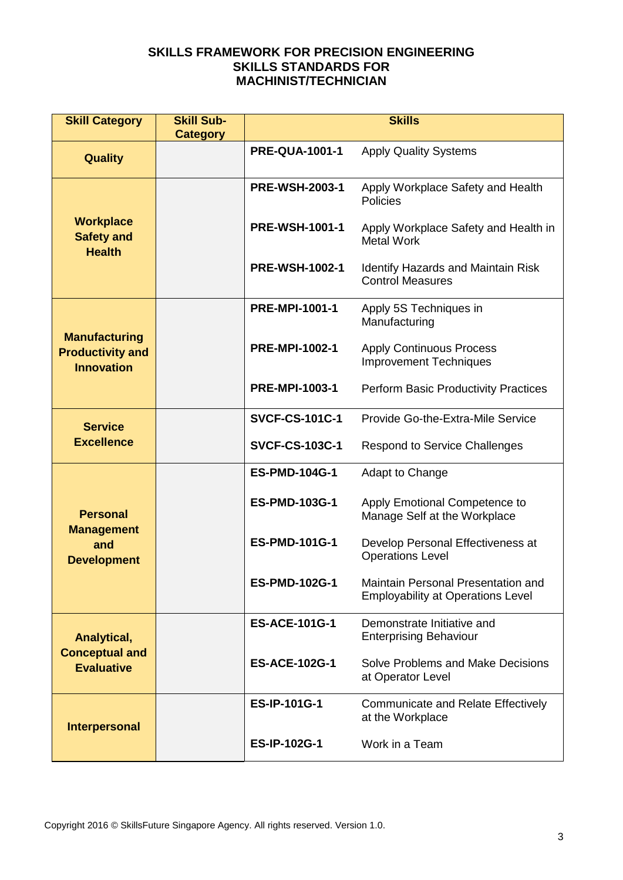| <b>Skill Category</b>                                                | <b>Skill Sub-</b><br><b>Category</b> | <b>Skills</b>                         |                                                                                |  |
|----------------------------------------------------------------------|--------------------------------------|---------------------------------------|--------------------------------------------------------------------------------|--|
| <b>Quality</b>                                                       |                                      | <b>PRE-QUA-1001-1</b>                 | <b>Apply Quality Systems</b>                                                   |  |
|                                                                      |                                      | <b>PRE-WSH-2003-1</b>                 | Apply Workplace Safety and Health<br><b>Policies</b>                           |  |
| <b>Workplace</b><br><b>Safety and</b><br><b>Health</b>               |                                      | <b>PRE-WSH-1001-1</b>                 | Apply Workplace Safety and Health in<br><b>Metal Work</b>                      |  |
|                                                                      |                                      | <b>PRE-WSH-1002-1</b>                 | <b>Identify Hazards and Maintain Risk</b><br><b>Control Measures</b>           |  |
|                                                                      |                                      | <b>PRE-MPI-1001-1</b>                 | Apply 5S Techniques in<br>Manufacturing                                        |  |
| <b>Manufacturing</b><br><b>Productivity and</b><br><b>Innovation</b> |                                      | <b>PRE-MPI-1002-1</b>                 | <b>Apply Continuous Process</b><br><b>Improvement Techniques</b>               |  |
|                                                                      |                                      | <b>PRE-MPI-1003-1</b>                 | <b>Perform Basic Productivity Practices</b>                                    |  |
| <b>Service</b>                                                       |                                      | <b>SVCF-CS-101C-1</b>                 | Provide Go-the-Extra-Mile Service                                              |  |
| <b>Excellence</b>                                                    |                                      | <b>SVCF-CS-103C-1</b>                 | <b>Respond to Service Challenges</b>                                           |  |
|                                                                      |                                      | <b>ES-PMD-104G-1</b>                  | Adapt to Change                                                                |  |
| <b>Personal</b><br><b>Management</b>                                 |                                      | <b>ES-PMD-103G-1</b>                  | Apply Emotional Competence to<br>Manage Self at the Workplace                  |  |
| and<br><b>Development</b>                                            |                                      | <b>ES-PMD-101G-1</b>                  | Develop Personal Effectiveness at<br><b>Operations Level</b>                   |  |
|                                                                      |                                      | <b>ES-PMD-102G-1</b>                  | Maintain Personal Presentation and<br><b>Employability at Operations Level</b> |  |
| Analytical,<br><b>Conceptual and</b><br><b>Evaluative</b>            |                                      | <b>ES-ACE-101G-1</b>                  | Demonstrate Initiative and<br><b>Enterprising Behaviour</b>                    |  |
|                                                                      |                                      | <b>ES-ACE-102G-1</b>                  | Solve Problems and Make Decisions<br>at Operator Level                         |  |
| <b>Interpersonal</b>                                                 |                                      | <b>ES-IP-101G-1</b>                   | <b>Communicate and Relate Effectively</b><br>at the Workplace                  |  |
|                                                                      |                                      | Work in a Team<br><b>ES-IP-102G-1</b> |                                                                                |  |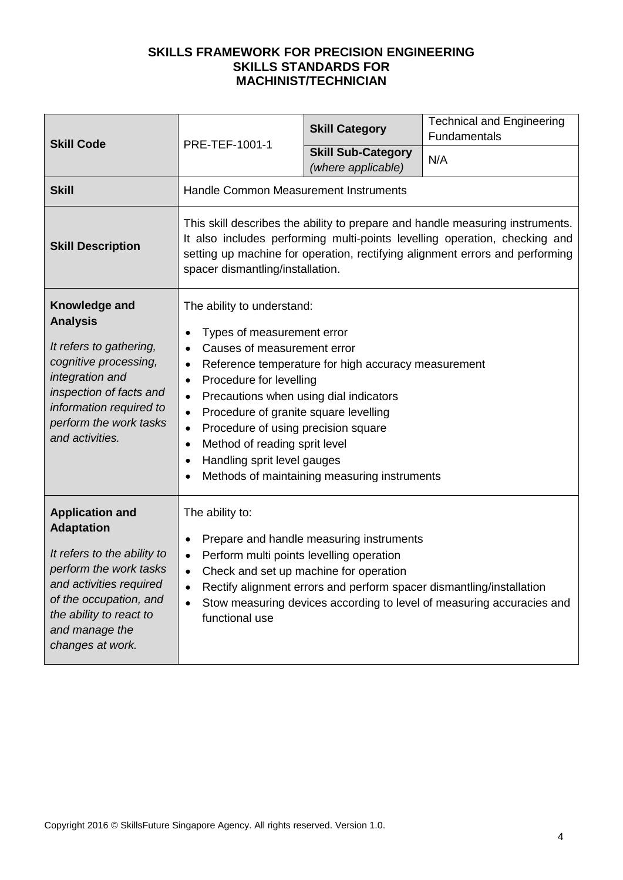| <b>Skill Code</b>                                                                                                                                                                                                          | PRE-TEF-1001-1                                                                                                                                                                                                                                                                                                                                                                                                                                                                                                 | <b>Skill Category</b>                           | <b>Technical and Engineering</b><br>Fundamentals |
|----------------------------------------------------------------------------------------------------------------------------------------------------------------------------------------------------------------------------|----------------------------------------------------------------------------------------------------------------------------------------------------------------------------------------------------------------------------------------------------------------------------------------------------------------------------------------------------------------------------------------------------------------------------------------------------------------------------------------------------------------|-------------------------------------------------|--------------------------------------------------|
|                                                                                                                                                                                                                            |                                                                                                                                                                                                                                                                                                                                                                                                                                                                                                                | <b>Skill Sub-Category</b><br>(where applicable) | N/A                                              |
| <b>Skill</b>                                                                                                                                                                                                               | Handle Common Measurement Instruments                                                                                                                                                                                                                                                                                                                                                                                                                                                                          |                                                 |                                                  |
| <b>Skill Description</b>                                                                                                                                                                                                   | This skill describes the ability to prepare and handle measuring instruments.<br>It also includes performing multi-points levelling operation, checking and<br>setting up machine for operation, rectifying alignment errors and performing<br>spacer dismantling/installation.                                                                                                                                                                                                                                |                                                 |                                                  |
| Knowledge and<br><b>Analysis</b><br>It refers to gathering,<br>cognitive processing,<br>integration and<br>inspection of facts and<br>information required to<br>perform the work tasks<br>and activities.                 | The ability to understand:<br>Types of measurement error<br>Causes of measurement error<br>Reference temperature for high accuracy measurement<br>$\bullet$<br>Procedure for levelling<br>$\bullet$<br>Precautions when using dial indicators<br>$\bullet$<br>Procedure of granite square levelling<br>$\bullet$<br>Procedure of using precision square<br>$\bullet$<br>Method of reading sprit level<br>$\bullet$<br>Handling sprit level gauges<br>$\bullet$<br>Methods of maintaining measuring instruments |                                                 |                                                  |
| <b>Application and</b><br><b>Adaptation</b><br>It refers to the ability to<br>perform the work tasks<br>and activities required<br>of the occupation, and<br>the ability to react to<br>and manage the<br>changes at work. | The ability to:<br>Prepare and handle measuring instruments<br>٠<br>Perform multi points levelling operation<br>$\bullet$<br>Check and set up machine for operation<br>$\bullet$<br>Rectify alignment errors and perform spacer dismantling/installation<br>Stow measuring devices according to level of measuring accuracies and<br>functional use                                                                                                                                                            |                                                 |                                                  |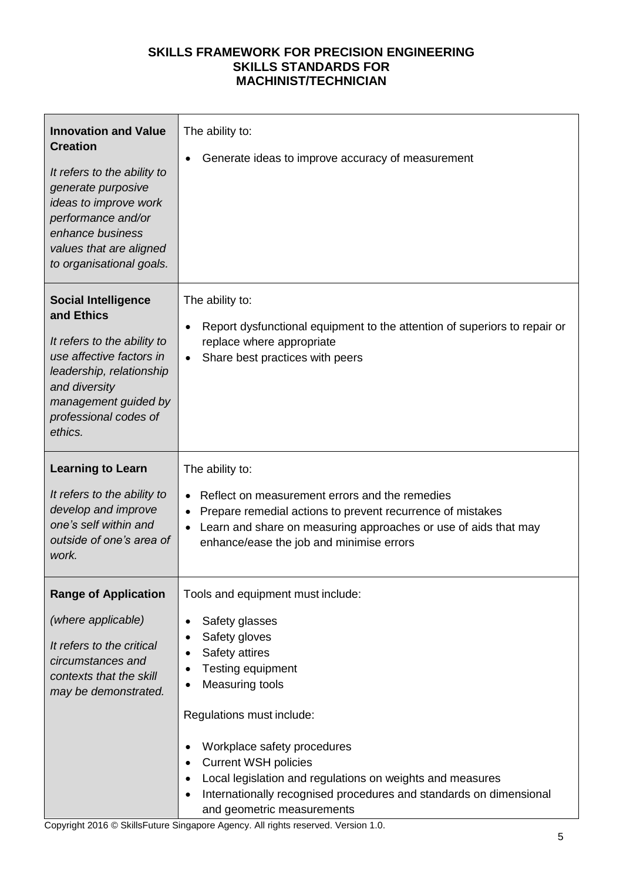| <b>Innovation and Value</b><br><b>Creation</b><br>It refers to the ability to<br>generate purposive<br>ideas to improve work<br>performance and/or<br>enhance business<br>values that are aligned<br>to organisational goals. | The ability to:<br>Generate ideas to improve accuracy of measurement                                                                                                                                                                                                                                                                                                                              |
|-------------------------------------------------------------------------------------------------------------------------------------------------------------------------------------------------------------------------------|---------------------------------------------------------------------------------------------------------------------------------------------------------------------------------------------------------------------------------------------------------------------------------------------------------------------------------------------------------------------------------------------------|
| <b>Social Intelligence</b><br>and Ethics<br>It refers to the ability to<br>use affective factors in<br>leadership, relationship<br>and diversity<br>management guided by<br>professional codes of<br>ethics.                  | The ability to:<br>Report dysfunctional equipment to the attention of superiors to repair or<br>$\bullet$<br>replace where appropriate<br>Share best practices with peers                                                                                                                                                                                                                         |
| <b>Learning to Learn</b><br>It refers to the ability to<br>develop and improve<br>one's self within and<br>outside of one's area of<br>work.                                                                                  | The ability to:<br>Reflect on measurement errors and the remedies<br>Prepare remedial actions to prevent recurrence of mistakes<br>Learn and share on measuring approaches or use of aids that may<br>enhance/ease the job and minimise errors                                                                                                                                                    |
| <b>Range of Application</b><br>(where applicable)<br>It refers to the critical<br>circumstances and<br>contexts that the skill<br>may be demonstrated.                                                                        | Tools and equipment must include:<br>Safety glasses<br>Safety gloves<br>Safety attires<br>Testing equipment<br><b>Measuring tools</b><br>Regulations must include:<br>Workplace safety procedures<br><b>Current WSH policies</b><br>Local legislation and regulations on weights and measures<br>Internationally recognised procedures and standards on dimensional<br>and geometric measurements |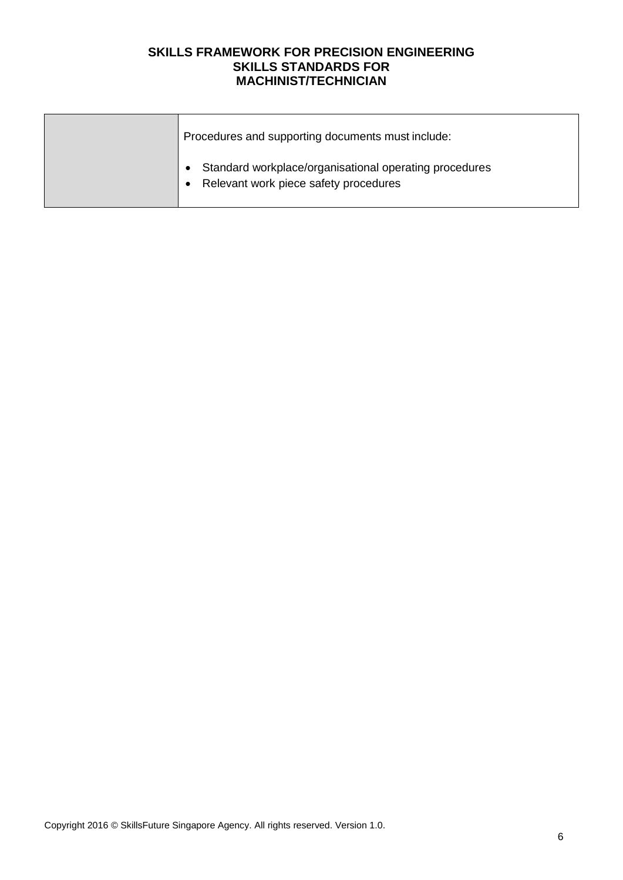| Procedures and supporting documents must include:                                               |
|-------------------------------------------------------------------------------------------------|
| Standard workplace/organisational operating procedures<br>Relevant work piece safety procedures |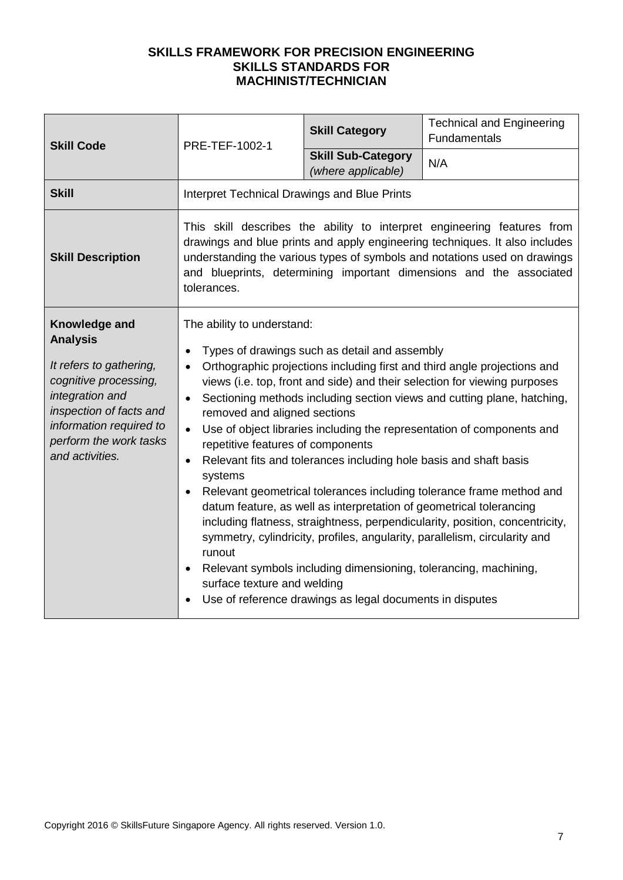| <b>Skill Code</b>                                                                                                                                                                                          | PRE-TEF-1002-1                                                                                                                                                                                                                                                                                                                                                                                                                                                                                                                                                                                                                                                                                                                                                                                                                                                                                                                                                                                                                            | <b>Skill Category</b>                           | <b>Technical and Engineering</b><br><b>Fundamentals</b> |
|------------------------------------------------------------------------------------------------------------------------------------------------------------------------------------------------------------|-------------------------------------------------------------------------------------------------------------------------------------------------------------------------------------------------------------------------------------------------------------------------------------------------------------------------------------------------------------------------------------------------------------------------------------------------------------------------------------------------------------------------------------------------------------------------------------------------------------------------------------------------------------------------------------------------------------------------------------------------------------------------------------------------------------------------------------------------------------------------------------------------------------------------------------------------------------------------------------------------------------------------------------------|-------------------------------------------------|---------------------------------------------------------|
|                                                                                                                                                                                                            |                                                                                                                                                                                                                                                                                                                                                                                                                                                                                                                                                                                                                                                                                                                                                                                                                                                                                                                                                                                                                                           | <b>Skill Sub-Category</b><br>(where applicable) | N/A                                                     |
| <b>Skill</b>                                                                                                                                                                                               | <b>Interpret Technical Drawings and Blue Prints</b>                                                                                                                                                                                                                                                                                                                                                                                                                                                                                                                                                                                                                                                                                                                                                                                                                                                                                                                                                                                       |                                                 |                                                         |
| <b>Skill Description</b>                                                                                                                                                                                   | This skill describes the ability to interpret engineering features from<br>drawings and blue prints and apply engineering techniques. It also includes<br>understanding the various types of symbols and notations used on drawings<br>and blueprints, determining important dimensions and the associated<br>tolerances.                                                                                                                                                                                                                                                                                                                                                                                                                                                                                                                                                                                                                                                                                                                 |                                                 |                                                         |
| Knowledge and<br><b>Analysis</b><br>It refers to gathering,<br>cognitive processing,<br>integration and<br>inspection of facts and<br>information required to<br>perform the work tasks<br>and activities. | The ability to understand:<br>Types of drawings such as detail and assembly<br>Orthographic projections including first and third angle projections and<br>$\bullet$<br>views (i.e. top, front and side) and their selection for viewing purposes<br>Sectioning methods including section views and cutting plane, hatching,<br>$\bullet$<br>removed and aligned sections<br>Use of object libraries including the representation of components and<br>$\bullet$<br>repetitive features of components<br>Relevant fits and tolerances including hole basis and shaft basis<br>$\bullet$<br>systems<br>Relevant geometrical tolerances including tolerance frame method and<br>$\bullet$<br>datum feature, as well as interpretation of geometrical tolerancing<br>including flatness, straightness, perpendicularity, position, concentricity,<br>symmetry, cylindricity, profiles, angularity, parallelism, circularity and<br>runout<br>Relevant symbols including dimensioning, tolerancing, machining,<br>surface texture and welding |                                                 |                                                         |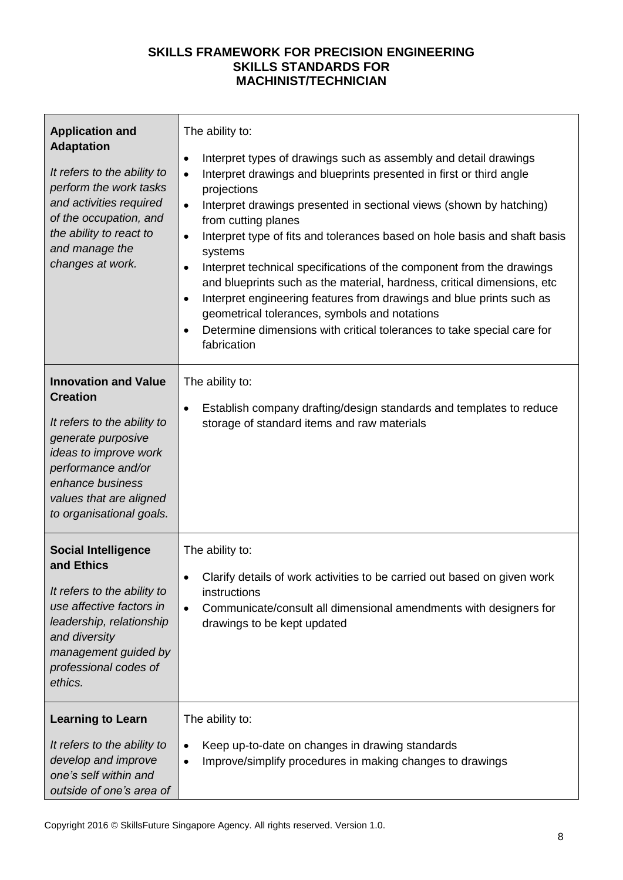| <b>Application and</b><br><b>Adaptation</b><br>It refers to the ability to<br>perform the work tasks<br>and activities required<br>of the occupation, and<br>the ability to react to<br>and manage the<br>changes at work.    | The ability to:<br>Interpret types of drawings such as assembly and detail drawings<br>٠<br>Interpret drawings and blueprints presented in first or third angle<br>$\bullet$<br>projections<br>Interpret drawings presented in sectional views (shown by hatching)<br>$\bullet$<br>from cutting planes<br>Interpret type of fits and tolerances based on hole basis and shaft basis<br>$\bullet$<br>systems<br>Interpret technical specifications of the component from the drawings<br>٠<br>and blueprints such as the material, hardness, critical dimensions, etc<br>Interpret engineering features from drawings and blue prints such as<br>٠<br>geometrical tolerances, symbols and notations<br>Determine dimensions with critical tolerances to take special care for<br>$\bullet$<br>fabrication |
|-------------------------------------------------------------------------------------------------------------------------------------------------------------------------------------------------------------------------------|----------------------------------------------------------------------------------------------------------------------------------------------------------------------------------------------------------------------------------------------------------------------------------------------------------------------------------------------------------------------------------------------------------------------------------------------------------------------------------------------------------------------------------------------------------------------------------------------------------------------------------------------------------------------------------------------------------------------------------------------------------------------------------------------------------|
| <b>Innovation and Value</b><br><b>Creation</b><br>It refers to the ability to<br>generate purposive<br>ideas to improve work<br>performance and/or<br>enhance business<br>values that are aligned<br>to organisational goals. | The ability to:<br>Establish company drafting/design standards and templates to reduce<br>$\bullet$<br>storage of standard items and raw materials                                                                                                                                                                                                                                                                                                                                                                                                                                                                                                                                                                                                                                                       |
| <b>Social Intelligence</b><br>and Ethics<br>It refers to the ability to<br>use affective factors in<br>leadership, relationship<br>and diversity<br>management guided by<br>professional codes of<br>ethics.                  | The ability to:<br>Clarify details of work activities to be carried out based on given work<br>٠<br>instructions<br>Communicate/consult all dimensional amendments with designers for<br>drawings to be kept updated                                                                                                                                                                                                                                                                                                                                                                                                                                                                                                                                                                                     |
| <b>Learning to Learn</b><br>It refers to the ability to<br>develop and improve<br>one's self within and<br>outside of one's area of                                                                                           | The ability to:<br>Keep up-to-date on changes in drawing standards<br>$\bullet$<br>Improve/simplify procedures in making changes to drawings<br>$\bullet$                                                                                                                                                                                                                                                                                                                                                                                                                                                                                                                                                                                                                                                |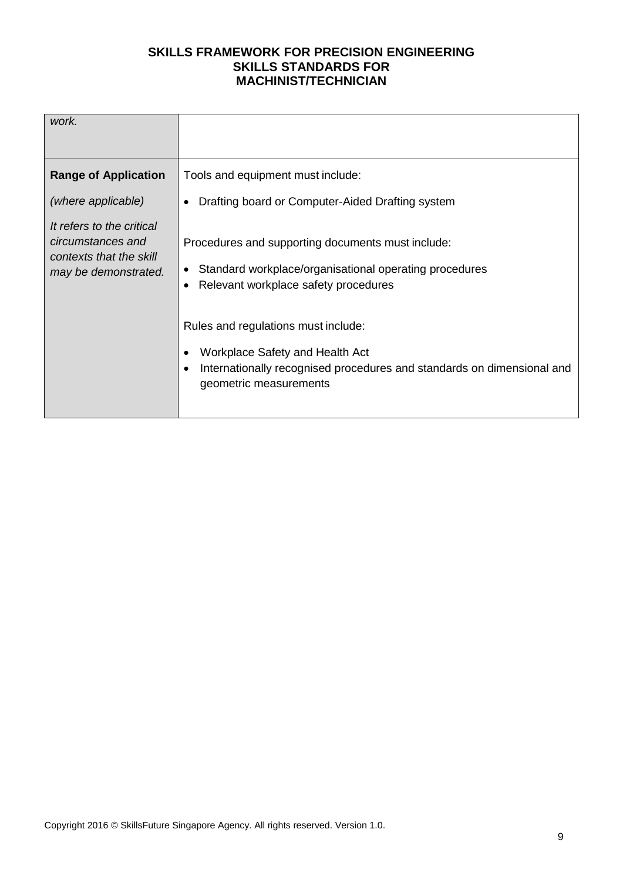| work.                                                                                                                   |                                                                                                                                                                                                                           |
|-------------------------------------------------------------------------------------------------------------------------|---------------------------------------------------------------------------------------------------------------------------------------------------------------------------------------------------------------------------|
| <b>Range of Application</b>                                                                                             | Tools and equipment must include:                                                                                                                                                                                         |
| (where applicable)<br>It refers to the critical<br>circumstances and<br>contexts that the skill<br>may be demonstrated. | Drafting board or Computer-Aided Drafting system<br>Procedures and supporting documents must include:<br>Standard workplace/organisational operating procedures<br>$\bullet$<br>Relevant workplace safety procedures<br>٠ |
|                                                                                                                         | Rules and regulations must include:<br>Workplace Safety and Health Act<br>Internationally recognised procedures and standards on dimensional and<br>$\bullet$<br>geometric measurements                                   |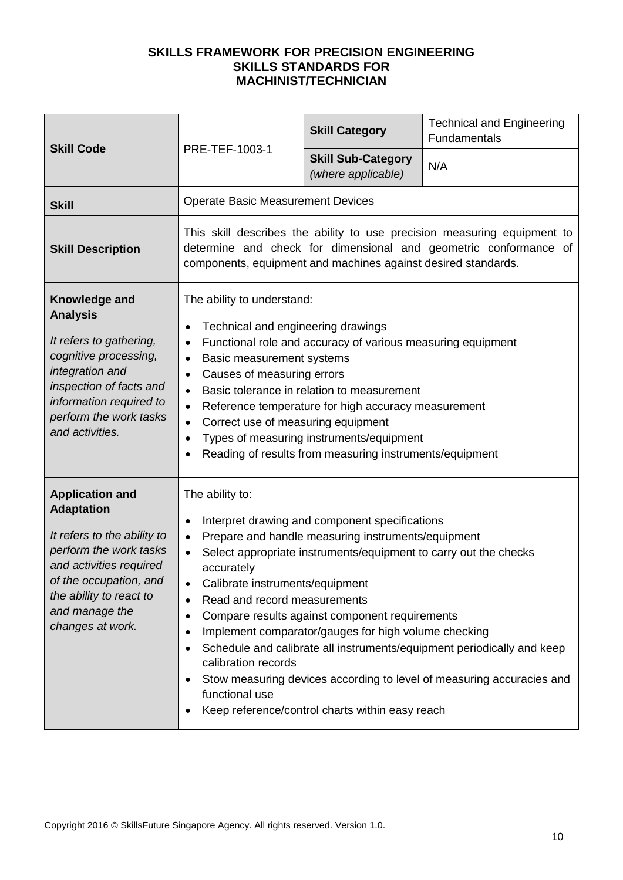|                                                                                                                                                                                                                            |                                                                                                                                                                                                                                                                                                                                                                                                                                                                                                                                                                                                                                                                                                        | <b>Skill Category</b>                           | <b>Technical and Engineering</b><br>Fundamentals |
|----------------------------------------------------------------------------------------------------------------------------------------------------------------------------------------------------------------------------|--------------------------------------------------------------------------------------------------------------------------------------------------------------------------------------------------------------------------------------------------------------------------------------------------------------------------------------------------------------------------------------------------------------------------------------------------------------------------------------------------------------------------------------------------------------------------------------------------------------------------------------------------------------------------------------------------------|-------------------------------------------------|--------------------------------------------------|
| <b>Skill Code</b>                                                                                                                                                                                                          | PRE-TEF-1003-1                                                                                                                                                                                                                                                                                                                                                                                                                                                                                                                                                                                                                                                                                         | <b>Skill Sub-Category</b><br>(where applicable) | N/A                                              |
| <b>Skill</b>                                                                                                                                                                                                               | <b>Operate Basic Measurement Devices</b>                                                                                                                                                                                                                                                                                                                                                                                                                                                                                                                                                                                                                                                               |                                                 |                                                  |
| <b>Skill Description</b>                                                                                                                                                                                                   | This skill describes the ability to use precision measuring equipment to<br>determine and check for dimensional and geometric conformance of<br>components, equipment and machines against desired standards.                                                                                                                                                                                                                                                                                                                                                                                                                                                                                          |                                                 |                                                  |
| Knowledge and<br><b>Analysis</b><br>It refers to gathering,<br>cognitive processing,<br>integration and<br>inspection of facts and<br>information required to<br>perform the work tasks<br>and activities.                 | The ability to understand:<br>Technical and engineering drawings<br>$\bullet$<br>Functional role and accuracy of various measuring equipment<br>$\bullet$<br><b>Basic measurement systems</b><br>$\bullet$<br>Causes of measuring errors<br>$\bullet$<br>Basic tolerance in relation to measurement<br>$\bullet$<br>Reference temperature for high accuracy measurement<br>$\bullet$<br>Correct use of measuring equipment<br>$\bullet$<br>Types of measuring instruments/equipment<br>Reading of results from measuring instruments/equipment                                                                                                                                                         |                                                 |                                                  |
| <b>Application and</b><br><b>Adaptation</b><br>It refers to the ability to<br>perform the work tasks<br>and activities required<br>of the occupation, and<br>the ability to react to<br>and manage the<br>changes at work. | The ability to:<br>Interpret drawing and component specifications<br>$\bullet$<br>Prepare and handle measuring instruments/equipment<br>$\bullet$<br>Select appropriate instruments/equipment to carry out the checks<br>$\bullet$<br>accurately<br>Calibrate instruments/equipment<br>Read and record measurements<br>Compare results against component requirements<br>$\bullet$<br>Implement comparator/gauges for high volume checking<br>Schedule and calibrate all instruments/equipment periodically and keep<br>$\bullet$<br>calibration records<br>Stow measuring devices according to level of measuring accuracies and<br>functional use<br>Keep reference/control charts within easy reach |                                                 |                                                  |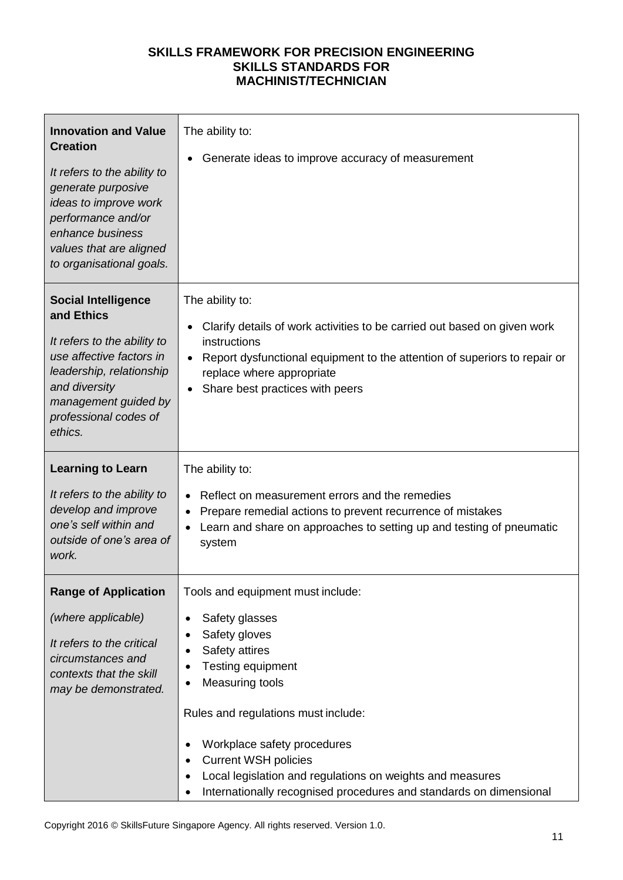| <b>Innovation and Value</b><br><b>Creation</b><br>It refers to the ability to<br>generate purposive<br>ideas to improve work<br>performance and/or<br>enhance business<br>values that are aligned<br>to organisational goals. | The ability to:<br>Generate ideas to improve accuracy of measurement                                                                                                                                                                                                                                                                                                                                      |
|-------------------------------------------------------------------------------------------------------------------------------------------------------------------------------------------------------------------------------|-----------------------------------------------------------------------------------------------------------------------------------------------------------------------------------------------------------------------------------------------------------------------------------------------------------------------------------------------------------------------------------------------------------|
| <b>Social Intelligence</b><br>and Ethics<br>It refers to the ability to<br>use affective factors in<br>leadership, relationship<br>and diversity<br>management guided by<br>professional codes of<br>ethics.                  | The ability to:<br>Clarify details of work activities to be carried out based on given work<br>instructions<br>Report dysfunctional equipment to the attention of superiors to repair or<br>replace where appropriate<br>Share best practices with peers                                                                                                                                                  |
| <b>Learning to Learn</b><br>It refers to the ability to<br>develop and improve<br>one's self within and<br>outside of one's area of<br>work.                                                                                  | The ability to:<br>Reflect on measurement errors and the remedies<br>Prepare remedial actions to prevent recurrence of mistakes<br>Learn and share on approaches to setting up and testing of pneumatic<br>system                                                                                                                                                                                         |
| <b>Range of Application</b><br>(where applicable)<br>It refers to the critical<br>circumstances and<br>contexts that the skill<br>may be demonstrated.                                                                        | Tools and equipment must include:<br>Safety glasses<br>$\bullet$<br>Safety gloves<br>٠<br>Safety attires<br>Testing equipment<br>٠<br><b>Measuring tools</b><br>Rules and regulations must include:<br>Workplace safety procedures<br><b>Current WSH policies</b><br>٠<br>Local legislation and regulations on weights and measures<br>Internationally recognised procedures and standards on dimensional |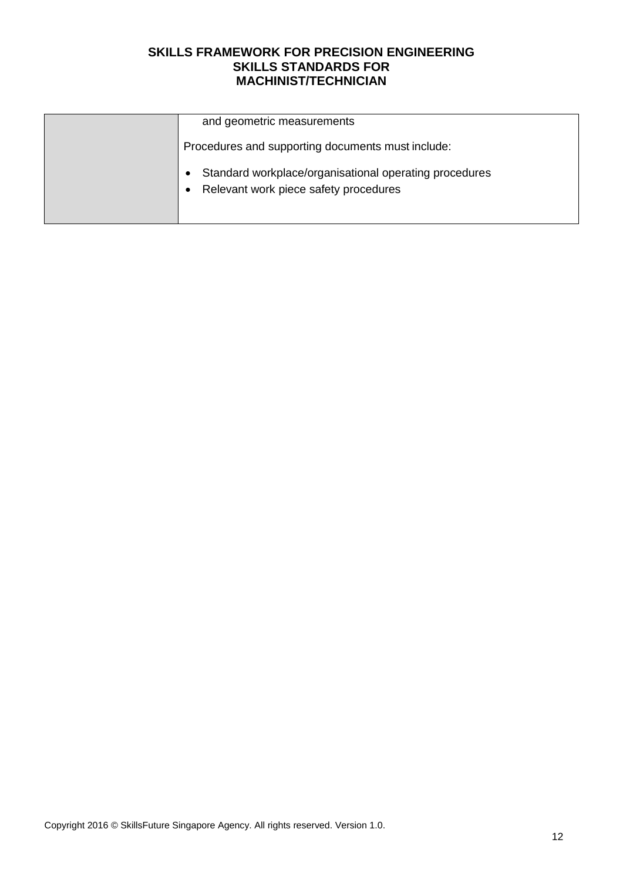| and geometric measurements                                                                                   |
|--------------------------------------------------------------------------------------------------------------|
| Procedures and supporting documents must include:                                                            |
| Standard workplace/organisational operating procedures<br>Relevant work piece safety procedures<br>$\bullet$ |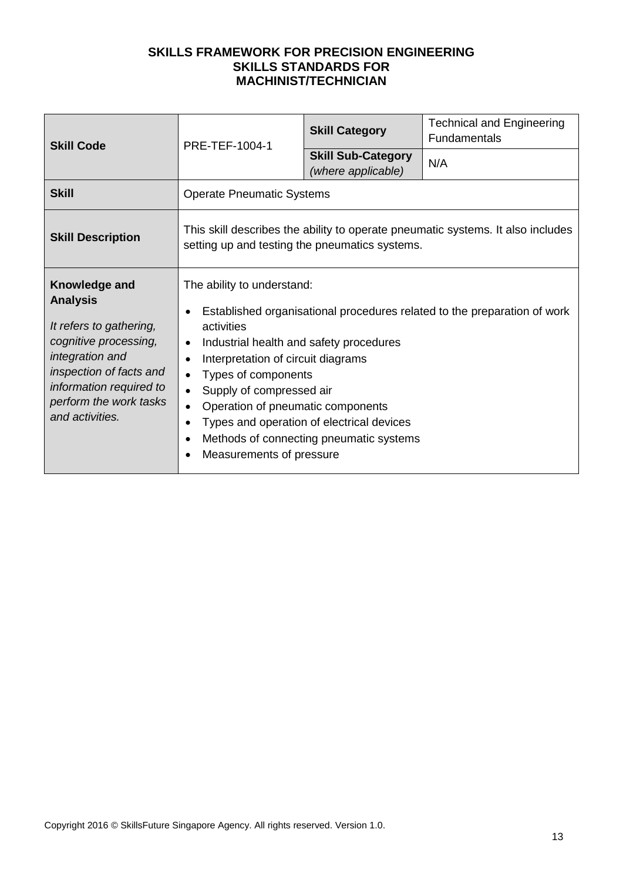| <b>Skill Code</b>                                                                                                                                                                                          | PRE-TEF-1004-1                                                                                                                                                                                                                                                                                                 | <b>Skill Category</b>                                                                | <b>Technical and Engineering</b><br>Fundamentals                         |
|------------------------------------------------------------------------------------------------------------------------------------------------------------------------------------------------------------|----------------------------------------------------------------------------------------------------------------------------------------------------------------------------------------------------------------------------------------------------------------------------------------------------------------|--------------------------------------------------------------------------------------|--------------------------------------------------------------------------|
|                                                                                                                                                                                                            |                                                                                                                                                                                                                                                                                                                | <b>Skill Sub-Category</b><br>(where applicable)                                      | N/A                                                                      |
| <b>Skill</b>                                                                                                                                                                                               | <b>Operate Pneumatic Systems</b>                                                                                                                                                                                                                                                                               |                                                                                      |                                                                          |
| <b>Skill Description</b>                                                                                                                                                                                   | This skill describes the ability to operate pneumatic systems. It also includes<br>setting up and testing the pneumatics systems.                                                                                                                                                                              |                                                                                      |                                                                          |
| Knowledge and<br><b>Analysis</b><br>It refers to gathering,<br>cognitive processing,<br>integration and<br>inspection of facts and<br>information required to<br>perform the work tasks<br>and activities. | The ability to understand:<br>activities<br>Industrial health and safety procedures<br>$\bullet$<br>Interpretation of circuit diagrams<br>$\bullet$<br>Types of components<br>$\bullet$<br>Supply of compressed air<br>$\bullet$<br>Operation of pneumatic components<br>$\bullet$<br>Measurements of pressure | Types and operation of electrical devices<br>Methods of connecting pneumatic systems | Established organisational procedures related to the preparation of work |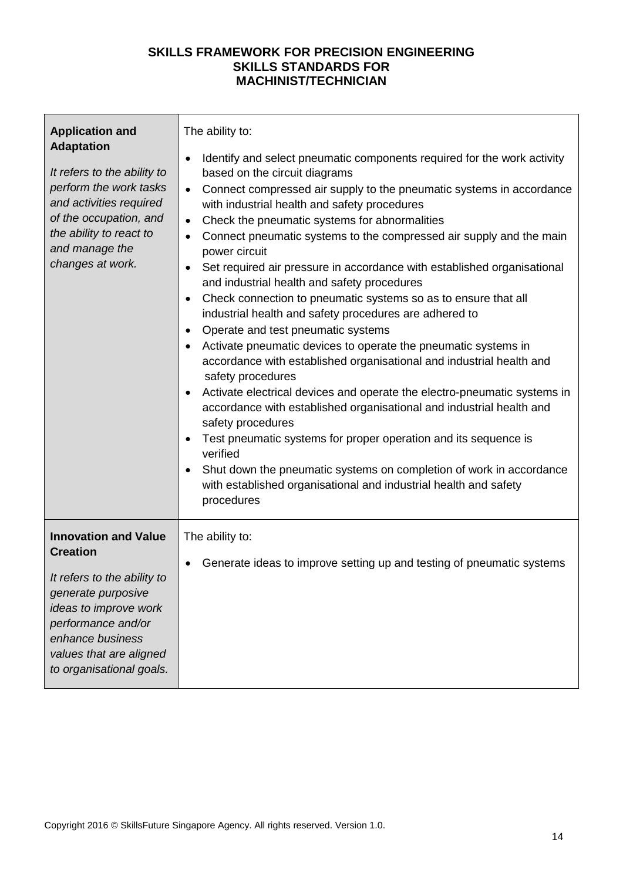| <b>Application and</b><br><b>Adaptation</b><br>It refers to the ability to<br>perform the work tasks<br>and activities required<br>of the occupation, and<br>the ability to react to<br>and manage the<br>changes at work.    | The ability to:<br>Identify and select pneumatic components required for the work activity<br>$\bullet$<br>based on the circuit diagrams<br>Connect compressed air supply to the pneumatic systems in accordance<br>$\bullet$<br>with industrial health and safety procedures<br>Check the pneumatic systems for abnormalities<br>$\bullet$<br>Connect pneumatic systems to the compressed air supply and the main<br>$\bullet$<br>power circuit<br>Set required air pressure in accordance with established organisational<br>$\bullet$<br>and industrial health and safety procedures<br>Check connection to pneumatic systems so as to ensure that all<br>industrial health and safety procedures are adhered to<br>Operate and test pneumatic systems<br>$\bullet$<br>Activate pneumatic devices to operate the pneumatic systems in<br>accordance with established organisational and industrial health and<br>safety procedures<br>Activate electrical devices and operate the electro-pneumatic systems in<br>accordance with established organisational and industrial health and<br>safety procedures<br>Test pneumatic systems for proper operation and its sequence is<br>verified<br>Shut down the pneumatic systems on completion of work in accordance<br>with established organisational and industrial health and safety<br>procedures |
|-------------------------------------------------------------------------------------------------------------------------------------------------------------------------------------------------------------------------------|--------------------------------------------------------------------------------------------------------------------------------------------------------------------------------------------------------------------------------------------------------------------------------------------------------------------------------------------------------------------------------------------------------------------------------------------------------------------------------------------------------------------------------------------------------------------------------------------------------------------------------------------------------------------------------------------------------------------------------------------------------------------------------------------------------------------------------------------------------------------------------------------------------------------------------------------------------------------------------------------------------------------------------------------------------------------------------------------------------------------------------------------------------------------------------------------------------------------------------------------------------------------------------------------------------------------------------------------------------|
| <b>Innovation and Value</b><br><b>Creation</b><br>It refers to the ability to<br>generate purposive<br>ideas to improve work<br>performance and/or<br>enhance business<br>values that are aligned<br>to organisational goals. | The ability to:<br>Generate ideas to improve setting up and testing of pneumatic systems                                                                                                                                                                                                                                                                                                                                                                                                                                                                                                                                                                                                                                                                                                                                                                                                                                                                                                                                                                                                                                                                                                                                                                                                                                                               |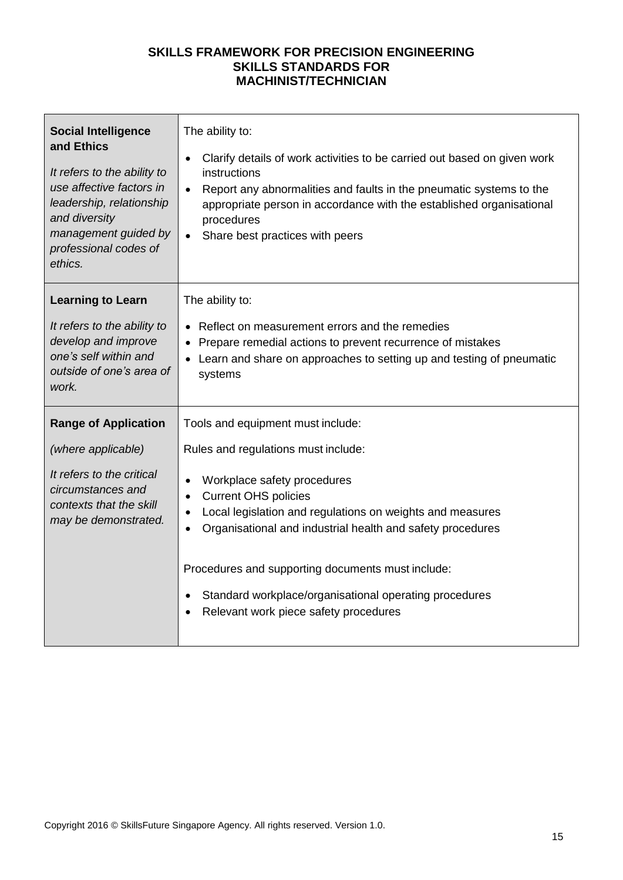| <b>Social Intelligence</b><br>and Ethics<br>It refers to the ability to<br>use affective factors in<br>leadership, relationship<br>and diversity<br>management guided by<br>professional codes of<br>ethics. | The ability to:<br>Clarify details of work activities to be carried out based on given work<br>$\bullet$<br>instructions<br>Report any abnormalities and faults in the pneumatic systems to the<br>$\bullet$<br>appropriate person in accordance with the established organisational<br>procedures<br>Share best practices with peers |  |
|--------------------------------------------------------------------------------------------------------------------------------------------------------------------------------------------------------------|---------------------------------------------------------------------------------------------------------------------------------------------------------------------------------------------------------------------------------------------------------------------------------------------------------------------------------------|--|
| <b>Learning to Learn</b>                                                                                                                                                                                     | The ability to:                                                                                                                                                                                                                                                                                                                       |  |
| It refers to the ability to<br>develop and improve<br>one's self within and<br>outside of one's area of<br>work.                                                                                             | Reflect on measurement errors and the remedies<br>Prepare remedial actions to prevent recurrence of mistakes<br>Learn and share on approaches to setting up and testing of pneumatic<br>systems                                                                                                                                       |  |
| <b>Range of Application</b>                                                                                                                                                                                  | Tools and equipment must include:                                                                                                                                                                                                                                                                                                     |  |
| (where applicable)                                                                                                                                                                                           | Rules and regulations must include:                                                                                                                                                                                                                                                                                                   |  |
| It refers to the critical<br>circumstances and<br>contexts that the skill<br>may be demonstrated.                                                                                                            | Workplace safety procedures<br><b>Current OHS policies</b><br>Local legislation and regulations on weights and measures<br>Organisational and industrial health and safety procedures                                                                                                                                                 |  |
|                                                                                                                                                                                                              | Procedures and supporting documents must include:                                                                                                                                                                                                                                                                                     |  |
|                                                                                                                                                                                                              | Standard workplace/organisational operating procedures<br>Relevant work piece safety procedures                                                                                                                                                                                                                                       |  |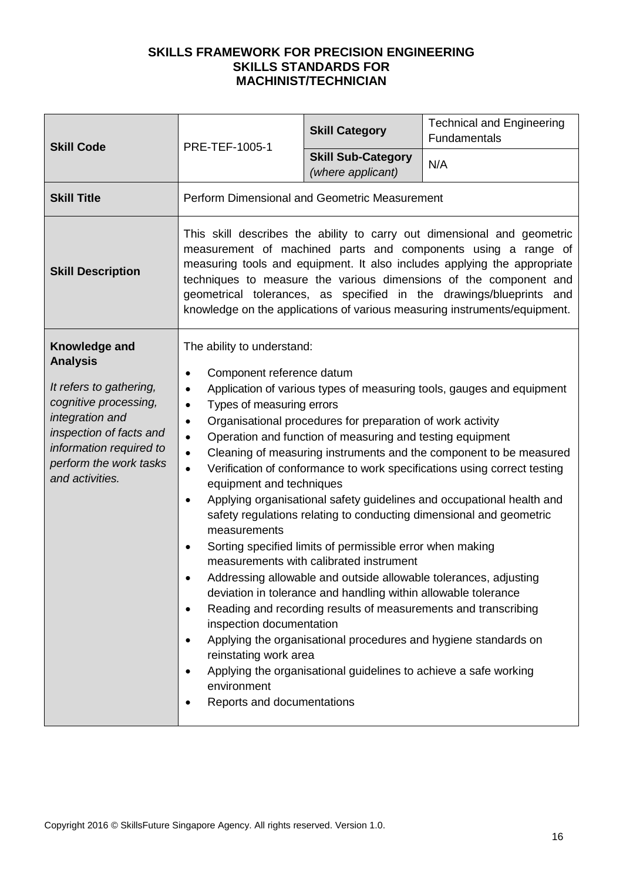| <b>Skill Code</b>                                                                                                                                                                                          | PRE-TEF-1005-1                                                                                                                                                                                                                                                                                                                                                                                                                                                                                                                                                                                                                                                                                                                                                                                                                                                                                                                                                                                                                                                                                                                                                                                                                                                                                                 | <b>Skill Category</b>                          | <b>Technical and Engineering</b><br>Fundamentals |  |
|------------------------------------------------------------------------------------------------------------------------------------------------------------------------------------------------------------|----------------------------------------------------------------------------------------------------------------------------------------------------------------------------------------------------------------------------------------------------------------------------------------------------------------------------------------------------------------------------------------------------------------------------------------------------------------------------------------------------------------------------------------------------------------------------------------------------------------------------------------------------------------------------------------------------------------------------------------------------------------------------------------------------------------------------------------------------------------------------------------------------------------------------------------------------------------------------------------------------------------------------------------------------------------------------------------------------------------------------------------------------------------------------------------------------------------------------------------------------------------------------------------------------------------|------------------------------------------------|--------------------------------------------------|--|
|                                                                                                                                                                                                            |                                                                                                                                                                                                                                                                                                                                                                                                                                                                                                                                                                                                                                                                                                                                                                                                                                                                                                                                                                                                                                                                                                                                                                                                                                                                                                                | <b>Skill Sub-Category</b><br>(where applicant) | N/A                                              |  |
| <b>Skill Title</b>                                                                                                                                                                                         | Perform Dimensional and Geometric Measurement                                                                                                                                                                                                                                                                                                                                                                                                                                                                                                                                                                                                                                                                                                                                                                                                                                                                                                                                                                                                                                                                                                                                                                                                                                                                  |                                                |                                                  |  |
| <b>Skill Description</b>                                                                                                                                                                                   | This skill describes the ability to carry out dimensional and geometric<br>measurement of machined parts and components using a range of<br>measuring tools and equipment. It also includes applying the appropriate<br>techniques to measure the various dimensions of the component and<br>geometrical tolerances, as specified in the drawings/blueprints and<br>knowledge on the applications of various measuring instruments/equipment.                                                                                                                                                                                                                                                                                                                                                                                                                                                                                                                                                                                                                                                                                                                                                                                                                                                                  |                                                |                                                  |  |
| Knowledge and<br><b>Analysis</b><br>It refers to gathering,<br>cognitive processing,<br>integration and<br>inspection of facts and<br>information required to<br>perform the work tasks<br>and activities. | The ability to understand:<br>Component reference datum<br>$\bullet$<br>Application of various types of measuring tools, gauges and equipment<br>$\bullet$<br>Types of measuring errors<br>$\bullet$<br>Organisational procedures for preparation of work activity<br>$\bullet$<br>Operation and function of measuring and testing equipment<br>$\bullet$<br>Cleaning of measuring instruments and the component to be measured<br>$\bullet$<br>Verification of conformance to work specifications using correct testing<br>$\bullet$<br>equipment and techniques<br>Applying organisational safety guidelines and occupational health and<br>$\bullet$<br>safety regulations relating to conducting dimensional and geometric<br>measurements<br>Sorting specified limits of permissible error when making<br>$\bullet$<br>measurements with calibrated instrument<br>Addressing allowable and outside allowable tolerances, adjusting<br>deviation in tolerance and handling within allowable tolerance<br>Reading and recording results of measurements and transcribing<br>$\bullet$<br>inspection documentation<br>Applying the organisational procedures and hygiene standards on<br>$\bullet$<br>reinstating work area<br>Applying the organisational guidelines to achieve a safe working<br>$\bullet$ |                                                |                                                  |  |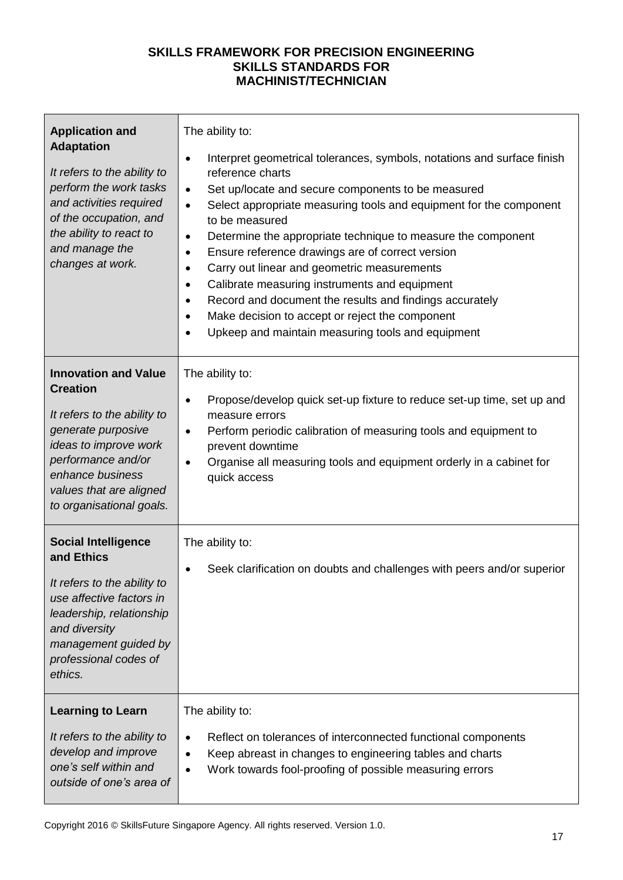| <b>Application and</b><br><b>Adaptation</b><br>It refers to the ability to<br>perform the work tasks<br>and activities required<br>of the occupation, and<br>the ability to react to<br>and manage the<br>changes at work.    | The ability to:<br>Interpret geometrical tolerances, symbols, notations and surface finish<br>$\bullet$<br>reference charts<br>Set up/locate and secure components to be measured<br>$\bullet$<br>Select appropriate measuring tools and equipment for the component<br>$\bullet$<br>to be measured<br>Determine the appropriate technique to measure the component<br>$\bullet$<br>Ensure reference drawings are of correct version<br>$\bullet$<br>Carry out linear and geometric measurements<br>$\bullet$<br>Calibrate measuring instruments and equipment<br>$\bullet$<br>Record and document the results and findings accurately<br>$\bullet$<br>Make decision to accept or reject the component<br>$\bullet$<br>Upkeep and maintain measuring tools and equipment<br>$\bullet$ |
|-------------------------------------------------------------------------------------------------------------------------------------------------------------------------------------------------------------------------------|---------------------------------------------------------------------------------------------------------------------------------------------------------------------------------------------------------------------------------------------------------------------------------------------------------------------------------------------------------------------------------------------------------------------------------------------------------------------------------------------------------------------------------------------------------------------------------------------------------------------------------------------------------------------------------------------------------------------------------------------------------------------------------------|
| <b>Innovation and Value</b><br><b>Creation</b><br>It refers to the ability to<br>generate purposive<br>ideas to improve work<br>performance and/or<br>enhance business<br>values that are aligned<br>to organisational goals. | The ability to:<br>Propose/develop quick set-up fixture to reduce set-up time, set up and<br>$\bullet$<br>measure errors<br>Perform periodic calibration of measuring tools and equipment to<br>$\bullet$<br>prevent downtime<br>Organise all measuring tools and equipment orderly in a cabinet for<br>$\bullet$<br>quick access                                                                                                                                                                                                                                                                                                                                                                                                                                                     |
| <b>Social Intelligence</b><br>and Ethics<br>It refers to the ability to<br>use affective factors in<br>leadership, relationship<br>and diversity<br>management guided by<br>professional codes of<br>ethics.                  | The ability to:<br>Seek clarification on doubts and challenges with peers and/or superior                                                                                                                                                                                                                                                                                                                                                                                                                                                                                                                                                                                                                                                                                             |
| <b>Learning to Learn</b><br>It refers to the ability to<br>develop and improve<br>one's self within and<br>outside of one's area of                                                                                           | The ability to:<br>Reflect on tolerances of interconnected functional components<br>$\bullet$<br>Keep abreast in changes to engineering tables and charts<br>$\bullet$<br>Work towards fool-proofing of possible measuring errors<br>$\bullet$                                                                                                                                                                                                                                                                                                                                                                                                                                                                                                                                        |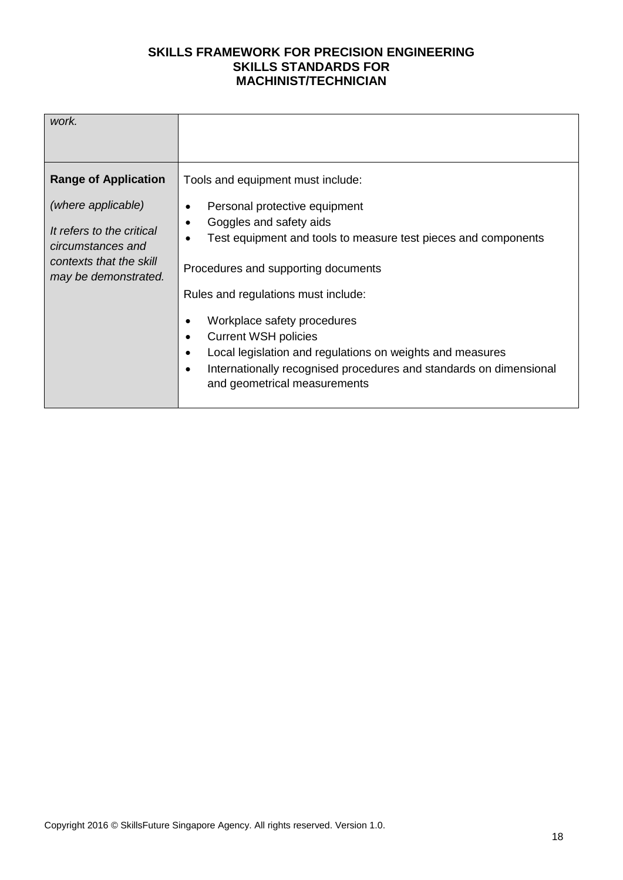| work.                                                                                                                                                  |                                                                                                                                                                                                                                                                                                                                                                                                                                                                                |
|--------------------------------------------------------------------------------------------------------------------------------------------------------|--------------------------------------------------------------------------------------------------------------------------------------------------------------------------------------------------------------------------------------------------------------------------------------------------------------------------------------------------------------------------------------------------------------------------------------------------------------------------------|
| <b>Range of Application</b><br>(where applicable)<br>It refers to the critical<br>circumstances and<br>contexts that the skill<br>may be demonstrated. | Tools and equipment must include:<br>Personal protective equipment<br>Goggles and safety aids<br>Test equipment and tools to measure test pieces and components<br>Procedures and supporting documents<br>Rules and regulations must include:<br>Workplace safety procedures<br><b>Current WSH policies</b><br>Local legislation and regulations on weights and measures<br>Internationally recognised procedures and standards on dimensional<br>and geometrical measurements |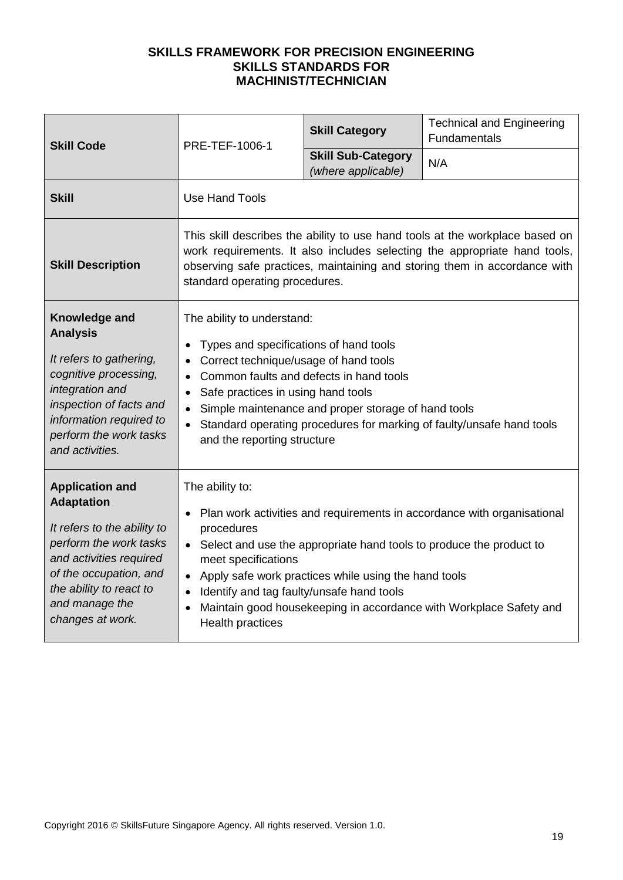| <b>Skill Code</b>                                                                                                                                                                                                          | PRE-TEF-1006-1                                                                                                                                                                                                                                                                                                                                                                                                                    | <b>Skill Category</b>                           | <b>Technical and Engineering</b><br>Fundamentals |
|----------------------------------------------------------------------------------------------------------------------------------------------------------------------------------------------------------------------------|-----------------------------------------------------------------------------------------------------------------------------------------------------------------------------------------------------------------------------------------------------------------------------------------------------------------------------------------------------------------------------------------------------------------------------------|-------------------------------------------------|--------------------------------------------------|
|                                                                                                                                                                                                                            |                                                                                                                                                                                                                                                                                                                                                                                                                                   | <b>Skill Sub-Category</b><br>(where applicable) | N/A                                              |
| <b>Skill</b>                                                                                                                                                                                                               | <b>Use Hand Tools</b>                                                                                                                                                                                                                                                                                                                                                                                                             |                                                 |                                                  |
| <b>Skill Description</b>                                                                                                                                                                                                   | This skill describes the ability to use hand tools at the workplace based on<br>work requirements. It also includes selecting the appropriate hand tools,<br>observing safe practices, maintaining and storing them in accordance with<br>standard operating procedures.                                                                                                                                                          |                                                 |                                                  |
| Knowledge and<br><b>Analysis</b><br>It refers to gathering,<br>cognitive processing,<br>integration and<br>inspection of facts and<br>information required to<br>perform the work tasks<br>and activities.                 | The ability to understand:<br>Types and specifications of hand tools<br>Correct technique/usage of hand tools<br>Common faults and defects in hand tools<br>Safe practices in using hand tools<br>$\bullet$<br>Simple maintenance and proper storage of hand tools<br>Standard operating procedures for marking of faulty/unsafe hand tools<br>and the reporting structure                                                        |                                                 |                                                  |
| <b>Application and</b><br><b>Adaptation</b><br>It refers to the ability to<br>perform the work tasks<br>and activities required<br>of the occupation, and<br>the ability to react to<br>and manage the<br>changes at work. | The ability to:<br>Plan work activities and requirements in accordance with organisational<br>$\bullet$<br>procedures<br>• Select and use the appropriate hand tools to produce the product to<br>meet specifications<br>Apply safe work practices while using the hand tools<br>Identify and tag faulty/unsafe hand tools<br>$\bullet$<br>Maintain good housekeeping in accordance with Workplace Safety and<br>Health practices |                                                 |                                                  |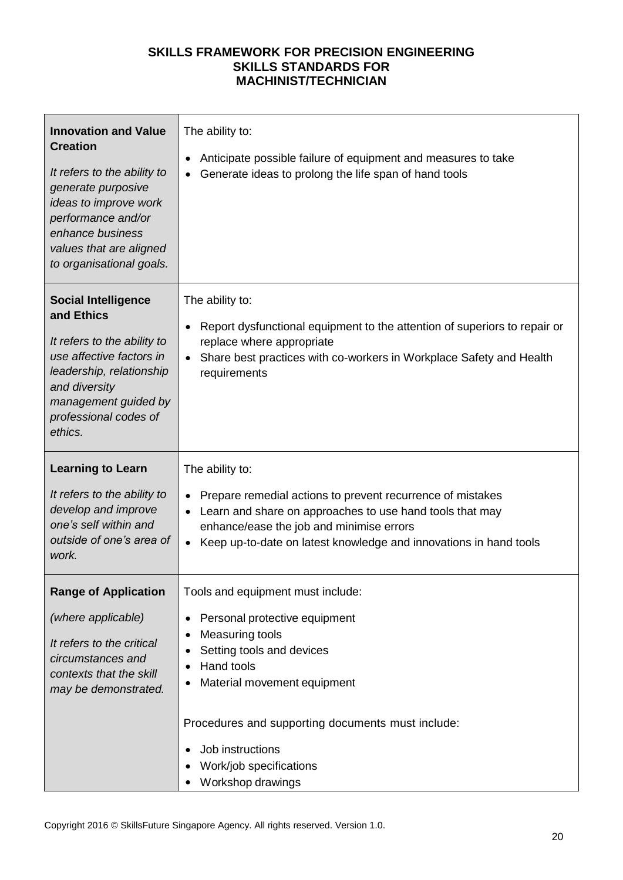| <b>Innovation and Value</b><br><b>Creation</b><br>It refers to the ability to<br>generate purposive<br>ideas to improve work<br>performance and/or<br>enhance business<br>values that are aligned<br>to organisational goals. | The ability to:<br>Anticipate possible failure of equipment and measures to take<br>Generate ideas to prolong the life span of hand tools                                                                                                                                |
|-------------------------------------------------------------------------------------------------------------------------------------------------------------------------------------------------------------------------------|--------------------------------------------------------------------------------------------------------------------------------------------------------------------------------------------------------------------------------------------------------------------------|
| <b>Social Intelligence</b><br>and Ethics<br>It refers to the ability to<br>use affective factors in<br>leadership, relationship<br>and diversity<br>management guided by<br>professional codes of<br>ethics.                  | The ability to:<br>Report dysfunctional equipment to the attention of superiors to repair or<br>replace where appropriate<br>Share best practices with co-workers in Workplace Safety and Health<br>requirements                                                         |
| <b>Learning to Learn</b><br>It refers to the ability to<br>develop and improve<br>one's self within and<br>outside of one's area of<br>work.                                                                                  | The ability to:<br>Prepare remedial actions to prevent recurrence of mistakes<br>Learn and share on approaches to use hand tools that may<br>enhance/ease the job and minimise errors<br>Keep up-to-date on latest knowledge and innovations in hand tools               |
| <b>Range of Application</b><br>(where applicable)<br>It refers to the critical<br>circumstances and<br>contexts that the skill<br>may be demonstrated.                                                                        | Tools and equipment must include:<br>Personal protective equipment<br>٠<br>Measuring tools<br>Setting tools and devices<br>Hand tools<br>Material movement equipment<br>Procedures and supporting documents must include:<br>Job instructions<br>Work/job specifications |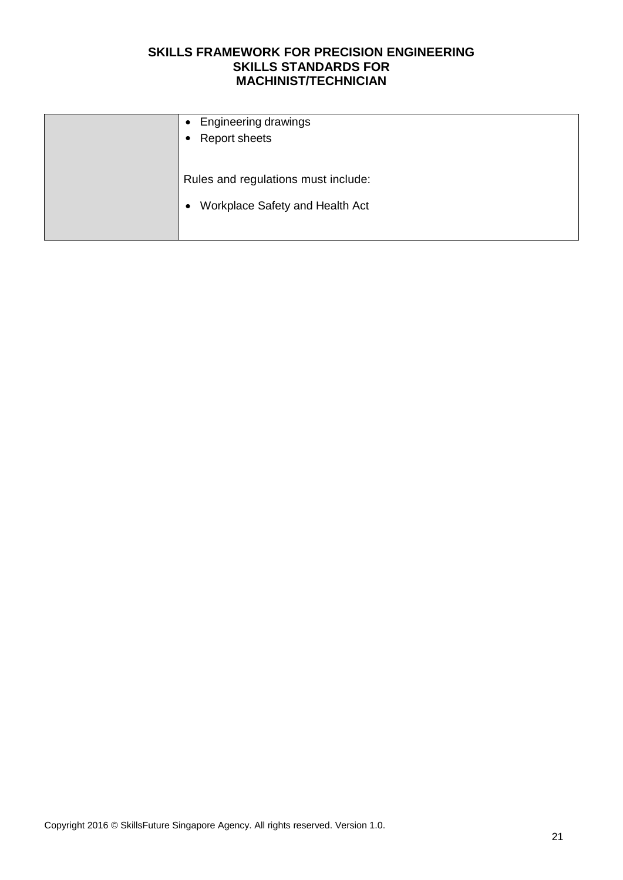| <b>Engineering drawings</b><br><b>Report sheets</b> |
|-----------------------------------------------------|
| Rules and regulations must include:                 |
| Workplace Safety and Health Act                     |
|                                                     |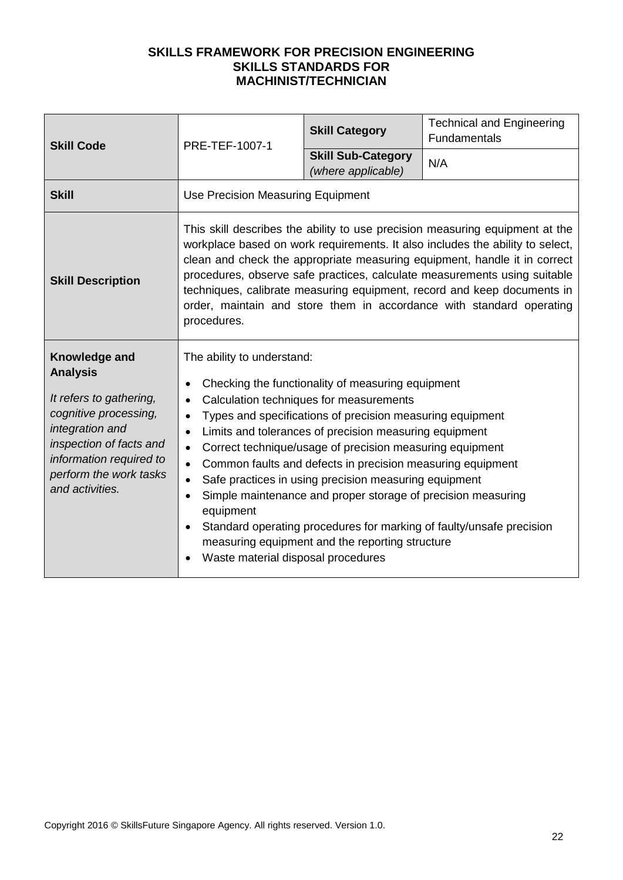| <b>Skill Code</b>                                                                                                                                                                                          | PRE-TEF-1007-1                                                                                                                                                                                                                                                                                                                                                                                                                                                                                                                                                                                                                                                                                                                                                                             | <b>Skill Category</b>                           | <b>Technical and Engineering</b><br>Fundamentals |
|------------------------------------------------------------------------------------------------------------------------------------------------------------------------------------------------------------|--------------------------------------------------------------------------------------------------------------------------------------------------------------------------------------------------------------------------------------------------------------------------------------------------------------------------------------------------------------------------------------------------------------------------------------------------------------------------------------------------------------------------------------------------------------------------------------------------------------------------------------------------------------------------------------------------------------------------------------------------------------------------------------------|-------------------------------------------------|--------------------------------------------------|
|                                                                                                                                                                                                            |                                                                                                                                                                                                                                                                                                                                                                                                                                                                                                                                                                                                                                                                                                                                                                                            | <b>Skill Sub-Category</b><br>(where applicable) | N/A                                              |
| <b>Skill</b>                                                                                                                                                                                               | Use Precision Measuring Equipment                                                                                                                                                                                                                                                                                                                                                                                                                                                                                                                                                                                                                                                                                                                                                          |                                                 |                                                  |
| <b>Skill Description</b>                                                                                                                                                                                   | This skill describes the ability to use precision measuring equipment at the<br>workplace based on work requirements. It also includes the ability to select,<br>clean and check the appropriate measuring equipment, handle it in correct<br>procedures, observe safe practices, calculate measurements using suitable<br>techniques, calibrate measuring equipment, record and keep documents in<br>order, maintain and store them in accordance with standard operating<br>procedures.                                                                                                                                                                                                                                                                                                  |                                                 |                                                  |
| Knowledge and<br><b>Analysis</b><br>It refers to gathering,<br>cognitive processing,<br>integration and<br>inspection of facts and<br>information required to<br>perform the work tasks<br>and activities. | The ability to understand:<br>Checking the functionality of measuring equipment<br>$\bullet$<br>Calculation techniques for measurements<br>$\bullet$<br>Types and specifications of precision measuring equipment<br>$\bullet$<br>Limits and tolerances of precision measuring equipment<br>$\bullet$<br>Correct technique/usage of precision measuring equipment<br>$\bullet$<br>Common faults and defects in precision measuring equipment<br>$\bullet$<br>Safe practices in using precision measuring equipment<br>$\bullet$<br>Simple maintenance and proper storage of precision measuring<br>$\bullet$<br>equipment<br>Standard operating procedures for marking of faulty/unsafe precision<br>measuring equipment and the reporting structure<br>Waste material disposal procedures |                                                 |                                                  |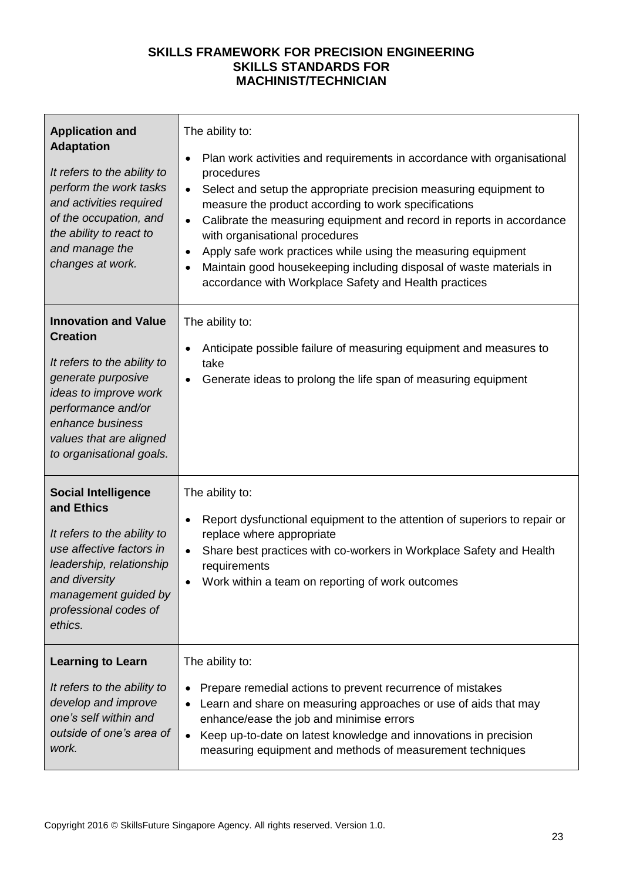| <b>Application and</b><br><b>Adaptation</b><br>It refers to the ability to<br>perform the work tasks<br>and activities required<br>of the occupation, and<br>the ability to react to<br>and manage the<br>changes at work.    | The ability to:<br>Plan work activities and requirements in accordance with organisational<br>٠<br>procedures<br>Select and setup the appropriate precision measuring equipment to<br>$\bullet$<br>measure the product according to work specifications<br>Calibrate the measuring equipment and record in reports in accordance<br>$\bullet$<br>with organisational procedures<br>Apply safe work practices while using the measuring equipment<br>$\bullet$<br>Maintain good housekeeping including disposal of waste materials in<br>٠<br>accordance with Workplace Safety and Health practices |
|-------------------------------------------------------------------------------------------------------------------------------------------------------------------------------------------------------------------------------|----------------------------------------------------------------------------------------------------------------------------------------------------------------------------------------------------------------------------------------------------------------------------------------------------------------------------------------------------------------------------------------------------------------------------------------------------------------------------------------------------------------------------------------------------------------------------------------------------|
| <b>Innovation and Value</b><br><b>Creation</b><br>It refers to the ability to<br>generate purposive<br>ideas to improve work<br>performance and/or<br>enhance business<br>values that are aligned<br>to organisational goals. | The ability to:<br>Anticipate possible failure of measuring equipment and measures to<br>take<br>Generate ideas to prolong the life span of measuring equipment                                                                                                                                                                                                                                                                                                                                                                                                                                    |
| <b>Social Intelligence</b>                                                                                                                                                                                                    | The ability to:                                                                                                                                                                                                                                                                                                                                                                                                                                                                                                                                                                                    |
| and Ethics                                                                                                                                                                                                                    | Report dysfunctional equipment to the attention of superiors to repair or                                                                                                                                                                                                                                                                                                                                                                                                                                                                                                                          |
| It refers to the ability to                                                                                                                                                                                                   | $\bullet$                                                                                                                                                                                                                                                                                                                                                                                                                                                                                                                                                                                          |
| use affective factors in                                                                                                                                                                                                      | replace where appropriate                                                                                                                                                                                                                                                                                                                                                                                                                                                                                                                                                                          |
| leadership, relationship                                                                                                                                                                                                      | Share best practices with co-workers in Workplace Safety and Health                                                                                                                                                                                                                                                                                                                                                                                                                                                                                                                                |
| and diversity                                                                                                                                                                                                                 | $\bullet$                                                                                                                                                                                                                                                                                                                                                                                                                                                                                                                                                                                          |
| management guided by                                                                                                                                                                                                          | requirements                                                                                                                                                                                                                                                                                                                                                                                                                                                                                                                                                                                       |
| professional codes of                                                                                                                                                                                                         | Work within a team on reporting of work outcomes                                                                                                                                                                                                                                                                                                                                                                                                                                                                                                                                                   |
| ethics.                                                                                                                                                                                                                       | $\bullet$                                                                                                                                                                                                                                                                                                                                                                                                                                                                                                                                                                                          |
| <b>Learning to Learn</b>                                                                                                                                                                                                      | The ability to:                                                                                                                                                                                                                                                                                                                                                                                                                                                                                                                                                                                    |
| It refers to the ability to                                                                                                                                                                                                   | Prepare remedial actions to prevent recurrence of mistakes                                                                                                                                                                                                                                                                                                                                                                                                                                                                                                                                         |
| develop and improve                                                                                                                                                                                                           | Learn and share on measuring approaches or use of aids that may                                                                                                                                                                                                                                                                                                                                                                                                                                                                                                                                    |
| one's self within and                                                                                                                                                                                                         | enhance/ease the job and minimise errors                                                                                                                                                                                                                                                                                                                                                                                                                                                                                                                                                           |
| outside of one's area of                                                                                                                                                                                                      | Keep up-to-date on latest knowledge and innovations in precision                                                                                                                                                                                                                                                                                                                                                                                                                                                                                                                                   |
| work.                                                                                                                                                                                                                         | measuring equipment and methods of measurement techniques                                                                                                                                                                                                                                                                                                                                                                                                                                                                                                                                          |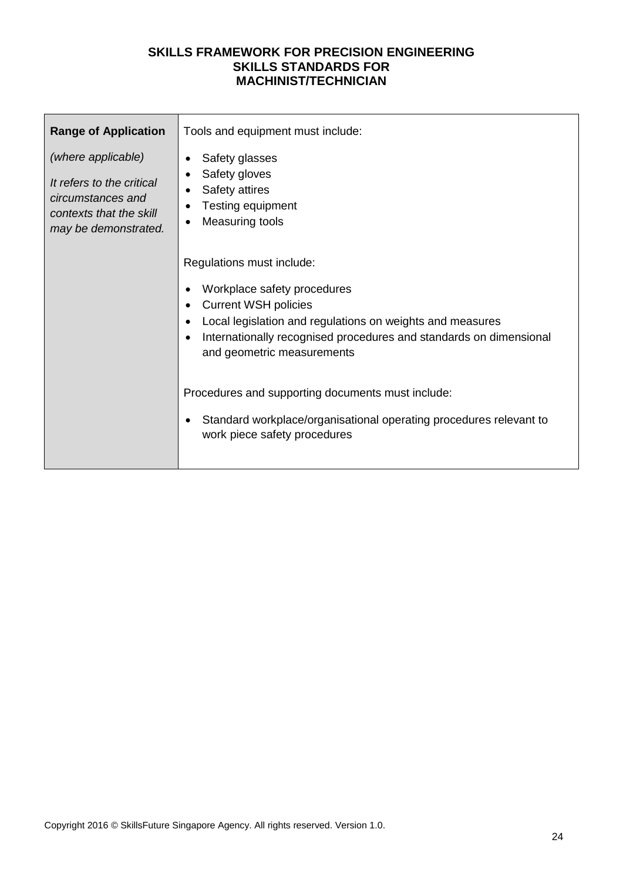| <b>Range of Application</b>                                                                                             | Tools and equipment must include:                                                                                                                                                                                                                        |  |  |  |
|-------------------------------------------------------------------------------------------------------------------------|----------------------------------------------------------------------------------------------------------------------------------------------------------------------------------------------------------------------------------------------------------|--|--|--|
| (where applicable)<br>It refers to the critical<br>circumstances and<br>contexts that the skill<br>may be demonstrated. | Safety glasses<br>Safety gloves<br>Safety attires<br>Testing equipment<br>Measuring tools                                                                                                                                                                |  |  |  |
|                                                                                                                         | Regulations must include:<br>Workplace safety procedures<br><b>Current WSH policies</b><br>Local legislation and regulations on weights and measures<br>Internationally recognised procedures and standards on dimensional<br>and geometric measurements |  |  |  |
|                                                                                                                         | Procedures and supporting documents must include:<br>Standard workplace/organisational operating procedures relevant to<br>work piece safety procedures                                                                                                  |  |  |  |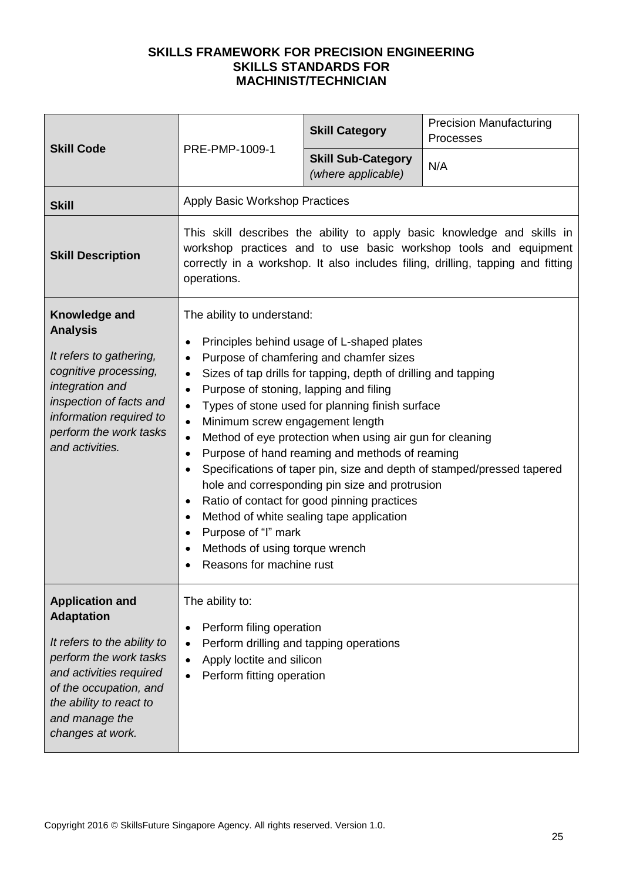| <b>Skill Code</b>                                                                                                                                                                                                          |                                                                                                                                                                                                                                                                                                                                                                                                                                                                                                                                                                                                                                                                                                                                                                                                                                                              | <b>Skill Category</b>                           | <b>Precision Manufacturing</b><br>Processes |
|----------------------------------------------------------------------------------------------------------------------------------------------------------------------------------------------------------------------------|--------------------------------------------------------------------------------------------------------------------------------------------------------------------------------------------------------------------------------------------------------------------------------------------------------------------------------------------------------------------------------------------------------------------------------------------------------------------------------------------------------------------------------------------------------------------------------------------------------------------------------------------------------------------------------------------------------------------------------------------------------------------------------------------------------------------------------------------------------------|-------------------------------------------------|---------------------------------------------|
|                                                                                                                                                                                                                            | PRE-PMP-1009-1                                                                                                                                                                                                                                                                                                                                                                                                                                                                                                                                                                                                                                                                                                                                                                                                                                               | <b>Skill Sub-Category</b><br>(where applicable) | N/A                                         |
| <b>Skill</b>                                                                                                                                                                                                               | <b>Apply Basic Workshop Practices</b>                                                                                                                                                                                                                                                                                                                                                                                                                                                                                                                                                                                                                                                                                                                                                                                                                        |                                                 |                                             |
| <b>Skill Description</b>                                                                                                                                                                                                   | This skill describes the ability to apply basic knowledge and skills in<br>workshop practices and to use basic workshop tools and equipment<br>correctly in a workshop. It also includes filing, drilling, tapping and fitting<br>operations.                                                                                                                                                                                                                                                                                                                                                                                                                                                                                                                                                                                                                |                                                 |                                             |
| Knowledge and<br><b>Analysis</b><br>It refers to gathering,<br>cognitive processing,<br>integration and<br>inspection of facts and<br>information required to<br>perform the work tasks<br>and activities.                 | The ability to understand:<br>Principles behind usage of L-shaped plates<br>٠<br>Purpose of chamfering and chamfer sizes<br>$\bullet$<br>Sizes of tap drills for tapping, depth of drilling and tapping<br>$\bullet$<br>Purpose of stoning, lapping and filing<br>$\bullet$<br>Types of stone used for planning finish surface<br>$\bullet$<br>Minimum screw engagement length<br>$\bullet$<br>Method of eye protection when using air gun for cleaning<br>$\bullet$<br>Purpose of hand reaming and methods of reaming<br>$\bullet$<br>Specifications of taper pin, size and depth of stamped/pressed tapered<br>hole and corresponding pin size and protrusion<br>Ratio of contact for good pinning practices<br>Method of white sealing tape application<br>Purpose of "I" mark<br>$\bullet$<br>Methods of using torque wrench<br>Reasons for machine rust |                                                 |                                             |
| <b>Application and</b><br><b>Adaptation</b><br>It refers to the ability to<br>perform the work tasks<br>and activities required<br>of the occupation, and<br>the ability to react to<br>and manage the<br>changes at work. | The ability to:<br>Perform filing operation<br>$\bullet$<br>Perform drilling and tapping operations<br>Apply loctite and silicon<br>$\bullet$<br>Perform fitting operation                                                                                                                                                                                                                                                                                                                                                                                                                                                                                                                                                                                                                                                                                   |                                                 |                                             |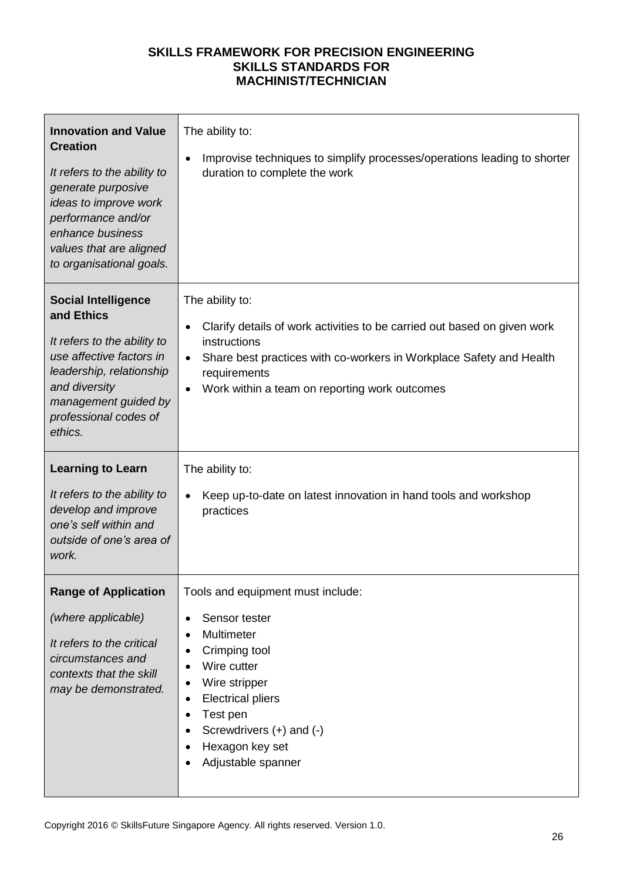| <b>Innovation and Value</b><br><b>Creation</b><br>It refers to the ability to<br>generate purposive<br>ideas to improve work<br>performance and/or<br>enhance business<br>values that are aligned<br>to organisational goals. | The ability to:<br>Improvise techniques to simplify processes/operations leading to shorter<br>$\bullet$<br>duration to complete the work                                                                                                                                                  |
|-------------------------------------------------------------------------------------------------------------------------------------------------------------------------------------------------------------------------------|--------------------------------------------------------------------------------------------------------------------------------------------------------------------------------------------------------------------------------------------------------------------------------------------|
| <b>Social Intelligence</b><br>and Ethics<br>It refers to the ability to<br>use affective factors in<br>leadership, relationship<br>and diversity<br>management guided by<br>professional codes of<br>ethics.                  | The ability to:<br>Clarify details of work activities to be carried out based on given work<br>$\bullet$<br>instructions<br>Share best practices with co-workers in Workplace Safety and Health<br>$\bullet$<br>requirements<br>Work within a team on reporting work outcomes<br>$\bullet$ |
| <b>Learning to Learn</b><br>It refers to the ability to<br>develop and improve<br>one's self within and<br>outside of one's area of<br>work.                                                                                  | The ability to:<br>Keep up-to-date on latest innovation in hand tools and workshop<br>$\bullet$<br>practices                                                                                                                                                                               |
| <b>Range of Application</b><br>(where applicable)<br>It refers to the critical<br>circumstances and<br>contexts that the skill<br>may be demonstrated.                                                                        | Tools and equipment must include:<br>Sensor tester<br>$\bullet$<br>Multimeter<br>Crimping tool<br>٠<br>Wire cutter<br>Wire stripper<br><b>Electrical pliers</b><br>٠<br>Test pen<br>$\bullet$<br>Screwdrivers (+) and (-)<br>Hexagon key set<br>Adjustable spanner                         |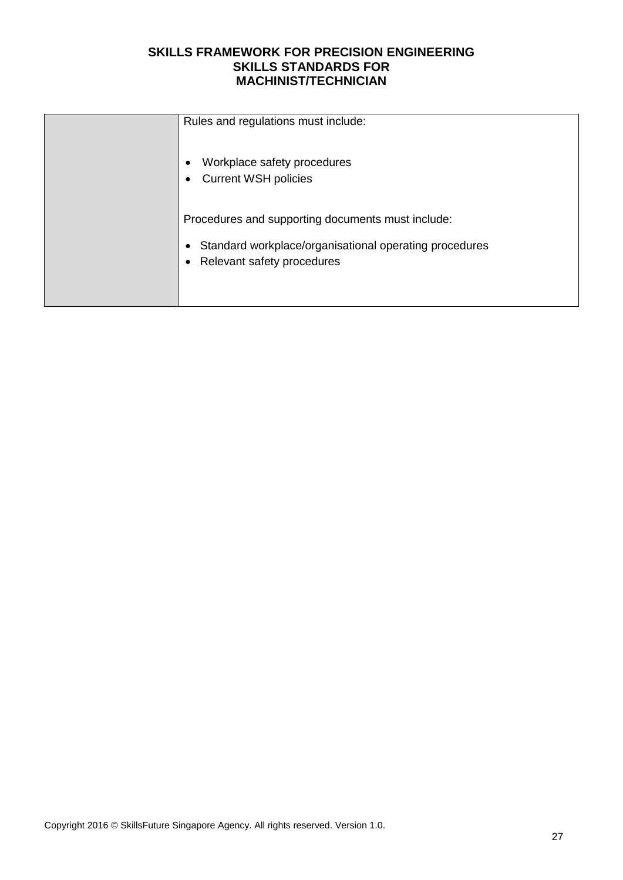| Rules and regulations must include:                                                                                                            |
|------------------------------------------------------------------------------------------------------------------------------------------------|
| Workplace safety procedures<br><b>Current WSH policies</b><br>$\bullet$                                                                        |
| Procedures and supporting documents must include:<br>Standard workplace/organisational operating procedures<br>٠<br>Relevant safety procedures |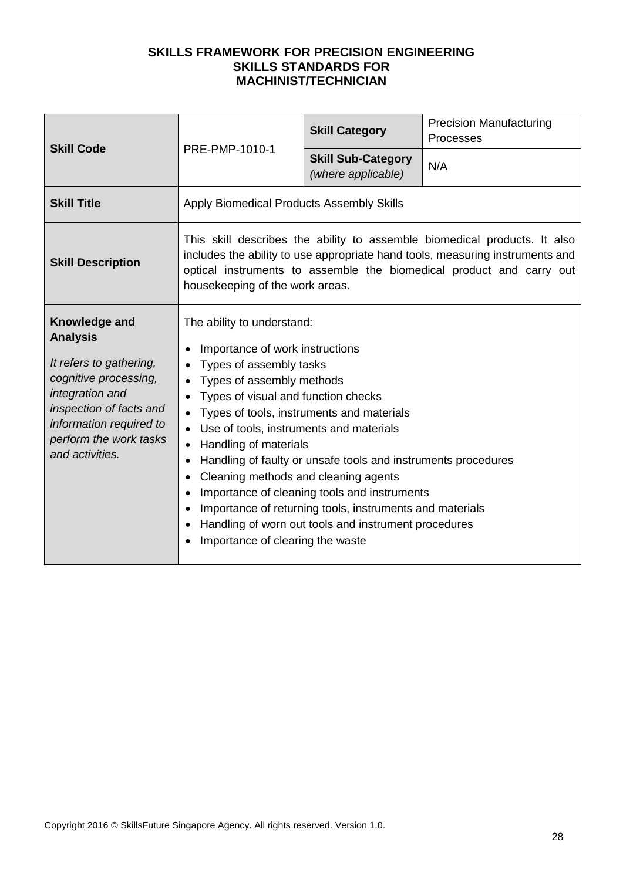| <b>Skill Code</b>                                                                                                                                                                                          | PRE-PMP-1010-1                                                                                                                                                                                                                                                                                                                              | <b>Skill Category</b>                                                                                                                                                                                                                                                          | <b>Precision Manufacturing</b><br>Processes |
|------------------------------------------------------------------------------------------------------------------------------------------------------------------------------------------------------------|---------------------------------------------------------------------------------------------------------------------------------------------------------------------------------------------------------------------------------------------------------------------------------------------------------------------------------------------|--------------------------------------------------------------------------------------------------------------------------------------------------------------------------------------------------------------------------------------------------------------------------------|---------------------------------------------|
|                                                                                                                                                                                                            |                                                                                                                                                                                                                                                                                                                                             | <b>Skill Sub-Category</b><br>(where applicable)                                                                                                                                                                                                                                | N/A                                         |
| <b>Skill Title</b>                                                                                                                                                                                         | Apply Biomedical Products Assembly Skills                                                                                                                                                                                                                                                                                                   |                                                                                                                                                                                                                                                                                |                                             |
| <b>Skill Description</b>                                                                                                                                                                                   | This skill describes the ability to assemble biomedical products. It also<br>includes the ability to use appropriate hand tools, measuring instruments and<br>optical instruments to assemble the biomedical product and carry out<br>housekeeping of the work areas.                                                                       |                                                                                                                                                                                                                                                                                |                                             |
| Knowledge and<br><b>Analysis</b><br>It refers to gathering,<br>cognitive processing,<br>integration and<br>inspection of facts and<br>information required to<br>perform the work tasks<br>and activities. | The ability to understand:<br>Importance of work instructions<br>Types of assembly tasks<br>Types of assembly methods<br>Types of visual and function checks<br>Use of tools, instruments and materials<br>Handling of materials<br>٠<br>Cleaning methods and cleaning agents<br>$\bullet$<br>$\bullet$<br>Importance of clearing the waste | Types of tools, instruments and materials<br>Handling of faulty or unsafe tools and instruments procedures<br>Importance of cleaning tools and instruments<br>Importance of returning tools, instruments and materials<br>Handling of worn out tools and instrument procedures |                                             |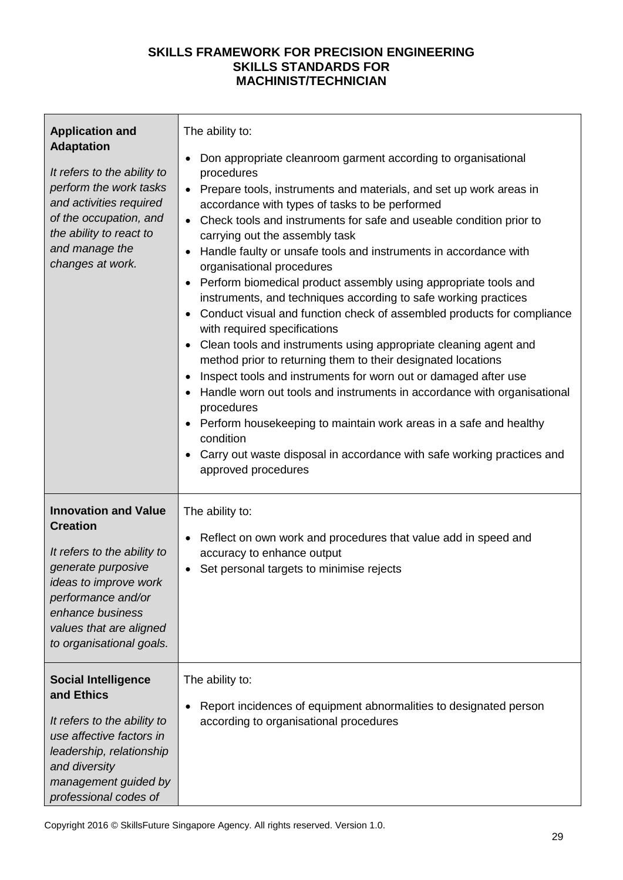| <b>Application and</b><br><b>Adaptation</b><br>It refers to the ability to<br>perform the work tasks<br>and activities required<br>of the occupation, and<br>the ability to react to<br>and manage the<br>changes at work.    | The ability to:<br>Don appropriate cleanroom garment according to organisational<br>procedures<br>Prepare tools, instruments and materials, and set up work areas in<br>$\bullet$<br>accordance with types of tasks to be performed<br>Check tools and instruments for safe and useable condition prior to<br>carrying out the assembly task<br>Handle faulty or unsafe tools and instruments in accordance with<br>organisational procedures<br>Perform biomedical product assembly using appropriate tools and<br>instruments, and techniques according to safe working practices<br>Conduct visual and function check of assembled products for compliance<br>with required specifications<br>Clean tools and instruments using appropriate cleaning agent and<br>method prior to returning them to their designated locations<br>Inspect tools and instruments for worn out or damaged after use<br>Handle worn out tools and instruments in accordance with organisational<br>procedures<br>Perform housekeeping to maintain work areas in a safe and healthy<br>condition<br>Carry out waste disposal in accordance with safe working practices and<br>approved procedures |
|-------------------------------------------------------------------------------------------------------------------------------------------------------------------------------------------------------------------------------|----------------------------------------------------------------------------------------------------------------------------------------------------------------------------------------------------------------------------------------------------------------------------------------------------------------------------------------------------------------------------------------------------------------------------------------------------------------------------------------------------------------------------------------------------------------------------------------------------------------------------------------------------------------------------------------------------------------------------------------------------------------------------------------------------------------------------------------------------------------------------------------------------------------------------------------------------------------------------------------------------------------------------------------------------------------------------------------------------------------------------------------------------------------------------------|
| <b>Innovation and Value</b><br><b>Creation</b><br>It refers to the ability to<br>generate purposive<br>ideas to improve work<br>performance and/or<br>enhance business<br>values that are aligned<br>to organisational goals. | The ability to:<br>Reflect on own work and procedures that value add in speed and<br>accuracy to enhance output<br>Set personal targets to minimise rejects<br>$\bullet$                                                                                                                                                                                                                                                                                                                                                                                                                                                                                                                                                                                                                                                                                                                                                                                                                                                                                                                                                                                                         |
| <b>Social Intelligence</b><br>and Ethics<br>It refers to the ability to<br>use affective factors in<br>leadership, relationship<br>and diversity<br>management guided by<br>professional codes of                             | The ability to:<br>Report incidences of equipment abnormalities to designated person<br>according to organisational procedures                                                                                                                                                                                                                                                                                                                                                                                                                                                                                                                                                                                                                                                                                                                                                                                                                                                                                                                                                                                                                                                   |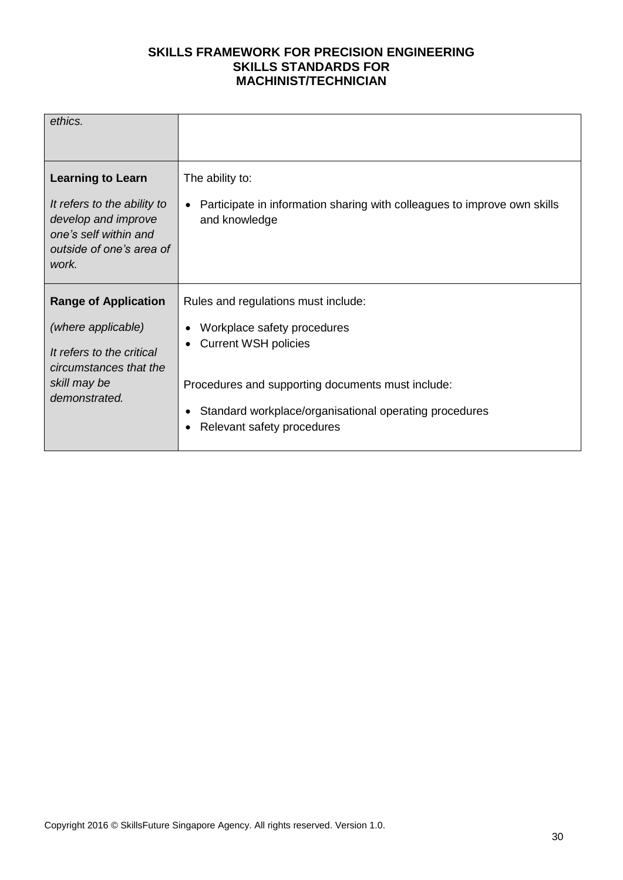| ethics.                                                                                                                                      |                                                                                                                                                                                                         |
|----------------------------------------------------------------------------------------------------------------------------------------------|---------------------------------------------------------------------------------------------------------------------------------------------------------------------------------------------------------|
|                                                                                                                                              |                                                                                                                                                                                                         |
| <b>Learning to Learn</b><br>It refers to the ability to<br>develop and improve<br>one's self within and<br>outside of one's area of<br>work. | The ability to:<br>Participate in information sharing with colleagues to improve own skills<br>and knowledge                                                                                            |
| <b>Range of Application</b>                                                                                                                  | Rules and regulations must include:                                                                                                                                                                     |
| (where applicable)<br>It refers to the critical<br>circumstances that the<br>skill may be<br>demonstrated.                                   | Workplace safety procedures<br><b>Current WSH policies</b><br>Procedures and supporting documents must include:<br>Standard workplace/organisational operating procedures<br>Relevant safety procedures |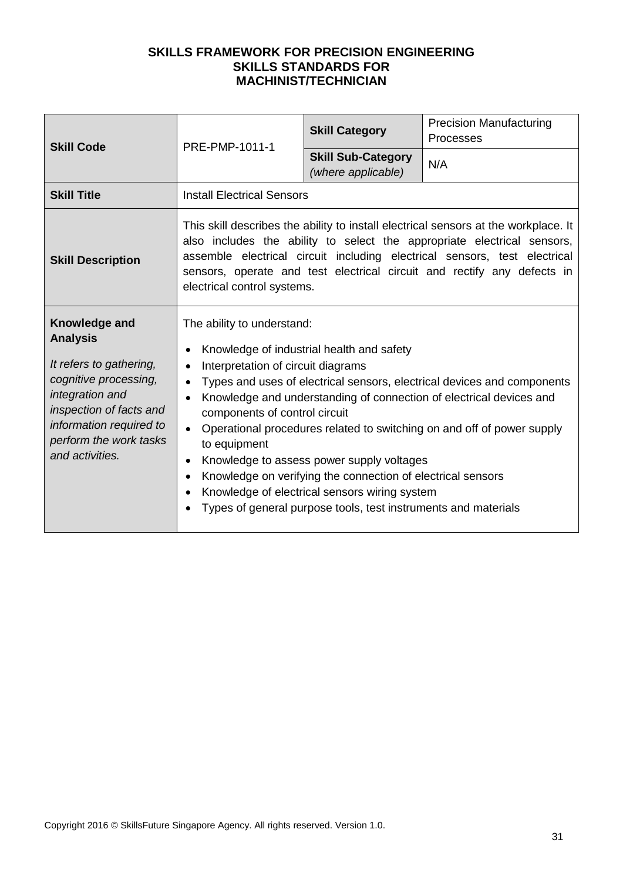| <b>Skill Code</b>                                                                                                                                                                                          | PRE-PMP-1011-1                                                                                                                                                        | <b>Skill Category</b>                                                                                                                                                                                                                                                    | <b>Precision Manufacturing</b><br>Processes                                                                                                                                                                                                                                                                            |
|------------------------------------------------------------------------------------------------------------------------------------------------------------------------------------------------------------|-----------------------------------------------------------------------------------------------------------------------------------------------------------------------|--------------------------------------------------------------------------------------------------------------------------------------------------------------------------------------------------------------------------------------------------------------------------|------------------------------------------------------------------------------------------------------------------------------------------------------------------------------------------------------------------------------------------------------------------------------------------------------------------------|
|                                                                                                                                                                                                            |                                                                                                                                                                       | <b>Skill Sub-Category</b><br>(where applicable)                                                                                                                                                                                                                          | N/A                                                                                                                                                                                                                                                                                                                    |
| <b>Skill Title</b>                                                                                                                                                                                         | <b>Install Electrical Sensors</b>                                                                                                                                     |                                                                                                                                                                                                                                                                          |                                                                                                                                                                                                                                                                                                                        |
| <b>Skill Description</b>                                                                                                                                                                                   | electrical control systems.                                                                                                                                           |                                                                                                                                                                                                                                                                          | This skill describes the ability to install electrical sensors at the workplace. It<br>also includes the ability to select the appropriate electrical sensors,<br>assemble electrical circuit including electrical sensors, test electrical<br>sensors, operate and test electrical circuit and rectify any defects in |
| Knowledge and<br><b>Analysis</b><br>It refers to gathering,<br>cognitive processing,<br>integration and<br>inspection of facts and<br>information required to<br>perform the work tasks<br>and activities. | The ability to understand:<br>Interpretation of circuit diagrams<br>$\bullet$<br>$\bullet$<br>components of control circuit<br>to equipment<br>$\bullet$<br>$\bullet$ | Knowledge of industrial health and safety<br>Knowledge to assess power supply voltages<br>Knowledge on verifying the connection of electrical sensors<br>Knowledge of electrical sensors wiring system<br>Types of general purpose tools, test instruments and materials | Types and uses of electrical sensors, electrical devices and components<br>Knowledge and understanding of connection of electrical devices and<br>Operational procedures related to switching on and off of power supply                                                                                               |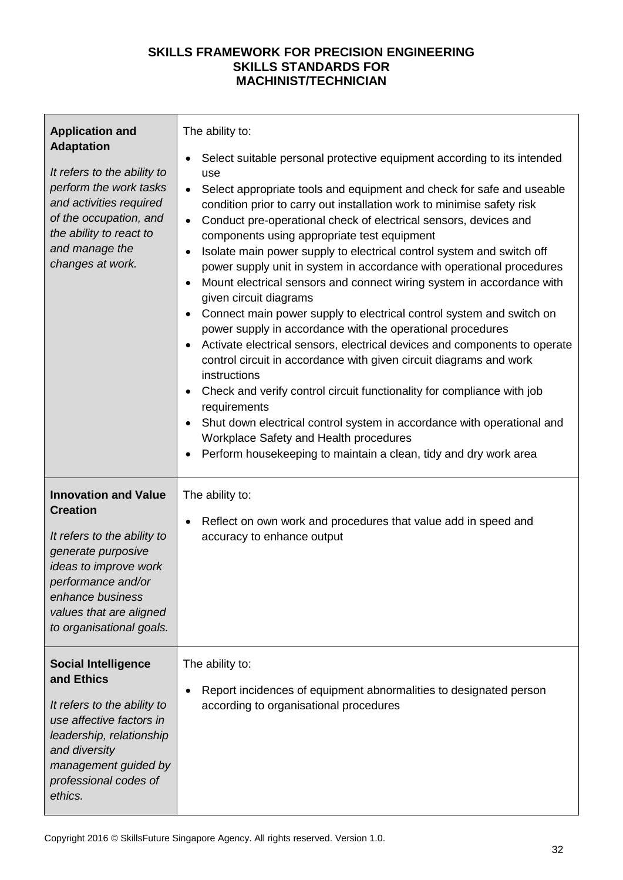| <b>Application and</b><br><b>Adaptation</b><br>It refers to the ability to<br>perform the work tasks<br>and activities required<br>of the occupation, and<br>the ability to react to<br>and manage the<br>changes at work.    | The ability to:<br>Select suitable personal protective equipment according to its intended<br>use<br>Select appropriate tools and equipment and check for safe and useable<br>$\bullet$<br>condition prior to carry out installation work to minimise safety risk<br>Conduct pre-operational check of electrical sensors, devices and<br>$\bullet$<br>components using appropriate test equipment<br>Isolate main power supply to electrical control system and switch off<br>power supply unit in system in accordance with operational procedures<br>Mount electrical sensors and connect wiring system in accordance with<br>given circuit diagrams<br>Connect main power supply to electrical control system and switch on<br>$\bullet$<br>power supply in accordance with the operational procedures<br>Activate electrical sensors, electrical devices and components to operate<br>control circuit in accordance with given circuit diagrams and work<br>instructions<br>Check and verify control circuit functionality for compliance with job<br>$\bullet$<br>requirements<br>Shut down electrical control system in accordance with operational and<br>Workplace Safety and Health procedures<br>Perform housekeeping to maintain a clean, tidy and dry work area |
|-------------------------------------------------------------------------------------------------------------------------------------------------------------------------------------------------------------------------------|-----------------------------------------------------------------------------------------------------------------------------------------------------------------------------------------------------------------------------------------------------------------------------------------------------------------------------------------------------------------------------------------------------------------------------------------------------------------------------------------------------------------------------------------------------------------------------------------------------------------------------------------------------------------------------------------------------------------------------------------------------------------------------------------------------------------------------------------------------------------------------------------------------------------------------------------------------------------------------------------------------------------------------------------------------------------------------------------------------------------------------------------------------------------------------------------------------------------------------------------------------------------------------|
| <b>Innovation and Value</b><br><b>Creation</b><br>It refers to the ability to<br>generate purposive<br>ideas to improve work<br>performance and/or<br>enhance business<br>values that are aligned<br>to organisational goals. | The ability to:<br>Reflect on own work and procedures that value add in speed and<br>$\bullet$<br>accuracy to enhance output                                                                                                                                                                                                                                                                                                                                                                                                                                                                                                                                                                                                                                                                                                                                                                                                                                                                                                                                                                                                                                                                                                                                                |
| <b>Social Intelligence</b><br>and Ethics<br>It refers to the ability to<br>use affective factors in<br>leadership, relationship<br>and diversity<br>management guided by<br>professional codes of<br>ethics.                  | The ability to:<br>Report incidences of equipment abnormalities to designated person<br>according to organisational procedures                                                                                                                                                                                                                                                                                                                                                                                                                                                                                                                                                                                                                                                                                                                                                                                                                                                                                                                                                                                                                                                                                                                                              |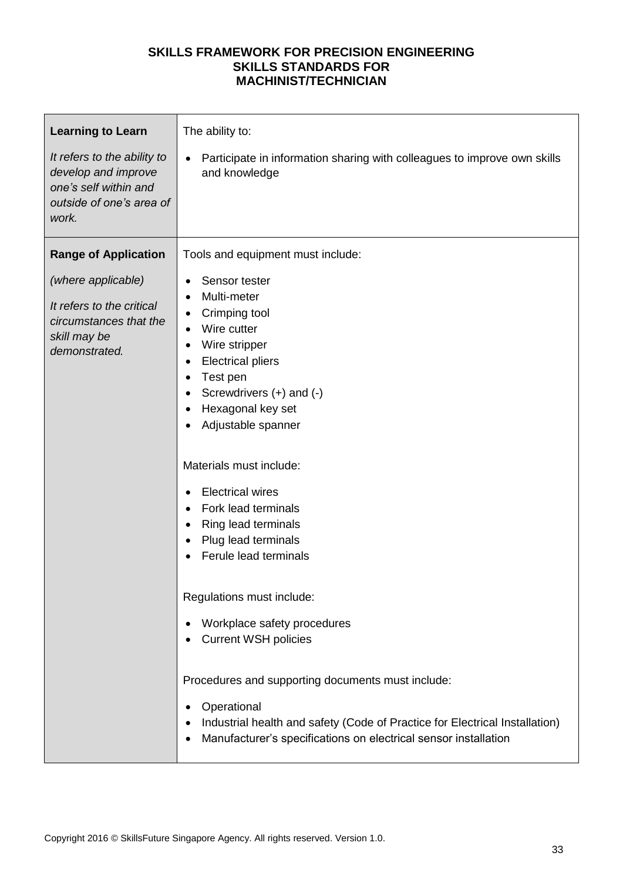| <b>Learning to Learn</b><br>It refers to the ability to<br>develop and improve<br>one's self within and<br>outside of one's area of<br>work. | The ability to:<br>Participate in information sharing with colleagues to improve own skills<br>and knowledge                                                                                                                                                                                                  |
|----------------------------------------------------------------------------------------------------------------------------------------------|---------------------------------------------------------------------------------------------------------------------------------------------------------------------------------------------------------------------------------------------------------------------------------------------------------------|
| <b>Range of Application</b>                                                                                                                  | Tools and equipment must include:                                                                                                                                                                                                                                                                             |
| (where applicable)<br>It refers to the critical<br>circumstances that the<br>skill may be<br>demonstrated.                                   | Sensor tester<br>Multi-meter<br>Crimping tool<br>٠<br>Wire cutter<br>Wire stripper<br><b>Electrical pliers</b><br>Test pen<br>Screwdrivers $(+)$ and $(-)$<br>Hexagonal key set<br>Adjustable spanner                                                                                                         |
|                                                                                                                                              | Materials must include:<br><b>Electrical wires</b><br>Fork lead terminals<br>Ring lead terminals<br>Plug lead terminals<br>Ferule lead terminals                                                                                                                                                              |
|                                                                                                                                              | Regulations must include:<br>Workplace safety procedures<br><b>Current WSH policies</b><br>Procedures and supporting documents must include:<br>Operational<br>Industrial health and safety (Code of Practice for Electrical Installation)<br>Manufacturer's specifications on electrical sensor installation |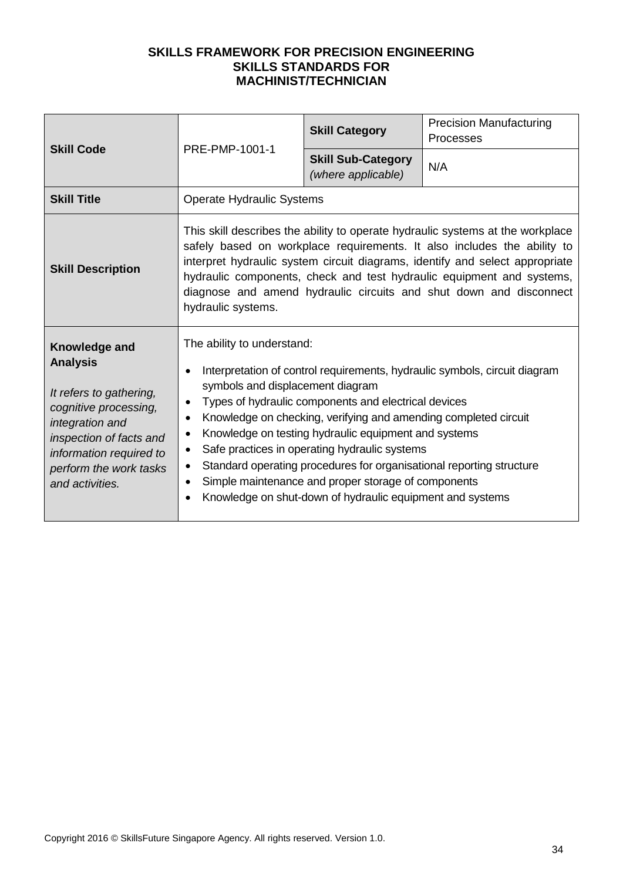| <b>Skill Code</b>                                                                                                                                                                                          | PRE-PMP-1001-1                                                                                                                                                                                                                                                                                                                                                                                                 | <b>Skill Category</b>                                                                                                                                                                                                                                                                                                                                                                                                        | <b>Precision Manufacturing</b><br><b>Processes</b>                         |
|------------------------------------------------------------------------------------------------------------------------------------------------------------------------------------------------------------|----------------------------------------------------------------------------------------------------------------------------------------------------------------------------------------------------------------------------------------------------------------------------------------------------------------------------------------------------------------------------------------------------------------|------------------------------------------------------------------------------------------------------------------------------------------------------------------------------------------------------------------------------------------------------------------------------------------------------------------------------------------------------------------------------------------------------------------------------|----------------------------------------------------------------------------|
|                                                                                                                                                                                                            |                                                                                                                                                                                                                                                                                                                                                                                                                | <b>Skill Sub-Category</b><br>(where applicable)                                                                                                                                                                                                                                                                                                                                                                              | N/A                                                                        |
| <b>Skill Title</b>                                                                                                                                                                                         | <b>Operate Hydraulic Systems</b>                                                                                                                                                                                                                                                                                                                                                                               |                                                                                                                                                                                                                                                                                                                                                                                                                              |                                                                            |
| <b>Skill Description</b>                                                                                                                                                                                   | This skill describes the ability to operate hydraulic systems at the workplace<br>safely based on workplace requirements. It also includes the ability to<br>interpret hydraulic system circuit diagrams, identify and select appropriate<br>hydraulic components, check and test hydraulic equipment and systems,<br>diagnose and amend hydraulic circuits and shut down and disconnect<br>hydraulic systems. |                                                                                                                                                                                                                                                                                                                                                                                                                              |                                                                            |
| Knowledge and<br><b>Analysis</b><br>It refers to gathering,<br>cognitive processing,<br>integration and<br>inspection of facts and<br>information required to<br>perform the work tasks<br>and activities. | The ability to understand:<br>$\bullet$<br>symbols and displacement diagram<br>$\bullet$<br>$\bullet$<br>$\bullet$                                                                                                                                                                                                                                                                                             | Types of hydraulic components and electrical devices<br>Knowledge on checking, verifying and amending completed circuit<br>Knowledge on testing hydraulic equipment and systems<br>Safe practices in operating hydraulic systems<br>Standard operating procedures for organisational reporting structure<br>Simple maintenance and proper storage of components<br>Knowledge on shut-down of hydraulic equipment and systems | Interpretation of control requirements, hydraulic symbols, circuit diagram |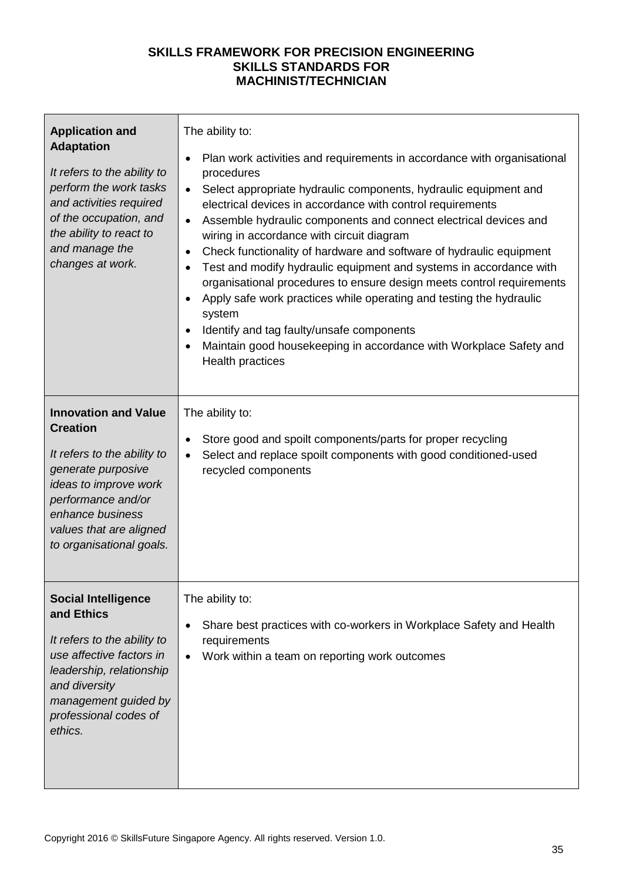| <b>Application and</b><br><b>Adaptation</b><br>It refers to the ability to<br>perform the work tasks<br>and activities required<br>of the occupation, and<br>the ability to react to<br>and manage the<br>changes at work.    | The ability to:<br>Plan work activities and requirements in accordance with organisational<br>٠<br>procedures<br>Select appropriate hydraulic components, hydraulic equipment and<br>$\bullet$<br>electrical devices in accordance with control requirements<br>Assemble hydraulic components and connect electrical devices and<br>$\bullet$<br>wiring in accordance with circuit diagram<br>Check functionality of hardware and software of hydraulic equipment<br>$\bullet$<br>Test and modify hydraulic equipment and systems in accordance with<br>$\bullet$<br>organisational procedures to ensure design meets control requirements<br>Apply safe work practices while operating and testing the hydraulic<br>system<br>Identify and tag faulty/unsafe components<br>$\bullet$<br>Maintain good housekeeping in accordance with Workplace Safety and<br>Health practices |
|-------------------------------------------------------------------------------------------------------------------------------------------------------------------------------------------------------------------------------|---------------------------------------------------------------------------------------------------------------------------------------------------------------------------------------------------------------------------------------------------------------------------------------------------------------------------------------------------------------------------------------------------------------------------------------------------------------------------------------------------------------------------------------------------------------------------------------------------------------------------------------------------------------------------------------------------------------------------------------------------------------------------------------------------------------------------------------------------------------------------------|
| <b>Innovation and Value</b><br><b>Creation</b><br>It refers to the ability to<br>generate purposive<br>ideas to improve work<br>performance and/or<br>enhance business<br>values that are aligned<br>to organisational goals. | The ability to:<br>Store good and spoilt components/parts for proper recycling<br>٠<br>Select and replace spoilt components with good conditioned-used<br>$\bullet$<br>recycled components                                                                                                                                                                                                                                                                                                                                                                                                                                                                                                                                                                                                                                                                                      |
| <b>Social Intelligence</b><br>and Ethics<br>It refers to the ability to<br>use affective factors in<br>leadership, relationship<br>and diversity<br>management guided by<br>professional codes of<br>ethics.                  | The ability to:<br>Share best practices with co-workers in Workplace Safety and Health<br>$\bullet$<br>requirements<br>Work within a team on reporting work outcomes                                                                                                                                                                                                                                                                                                                                                                                                                                                                                                                                                                                                                                                                                                            |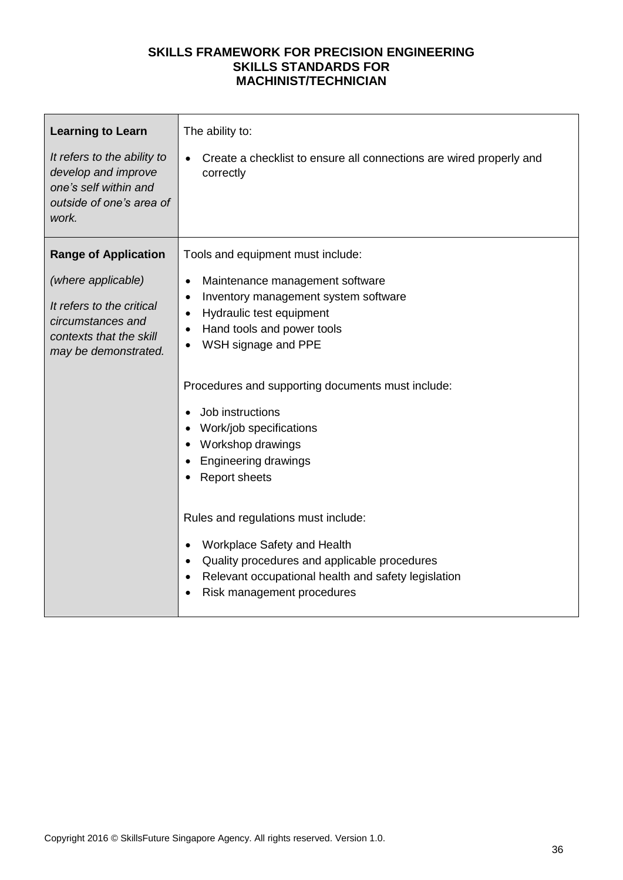| <b>Range of Application</b><br>Tools and equipment must include:<br>(where applicable)<br>Maintenance management software<br>$\bullet$<br>Inventory management system software<br>$\bullet$<br>It refers to the critical<br>Hydraulic test equipment<br>$\bullet$<br>circumstances and<br>Hand tools and power tools<br>$\bullet$<br>contexts that the skill<br>WSH signage and PPE<br>may be demonstrated.<br>Procedures and supporting documents must include:<br>Job instructions<br>Work/job specifications<br>Workshop drawings<br><b>Engineering drawings</b><br><b>Report sheets</b><br>Rules and regulations must include: | <b>Learning to Learn</b><br>It refers to the ability to<br>develop and improve<br>one's self within and<br>outside of one's area of<br>work. | The ability to:<br>Create a checklist to ensure all connections are wired properly and<br>correctly |
|------------------------------------------------------------------------------------------------------------------------------------------------------------------------------------------------------------------------------------------------------------------------------------------------------------------------------------------------------------------------------------------------------------------------------------------------------------------------------------------------------------------------------------------------------------------------------------------------------------------------------------|----------------------------------------------------------------------------------------------------------------------------------------------|-----------------------------------------------------------------------------------------------------|
| Workplace Safety and Health<br>$\bullet$<br>Quality procedures and applicable procedures<br>$\bullet$                                                                                                                                                                                                                                                                                                                                                                                                                                                                                                                              |                                                                                                                                              |                                                                                                     |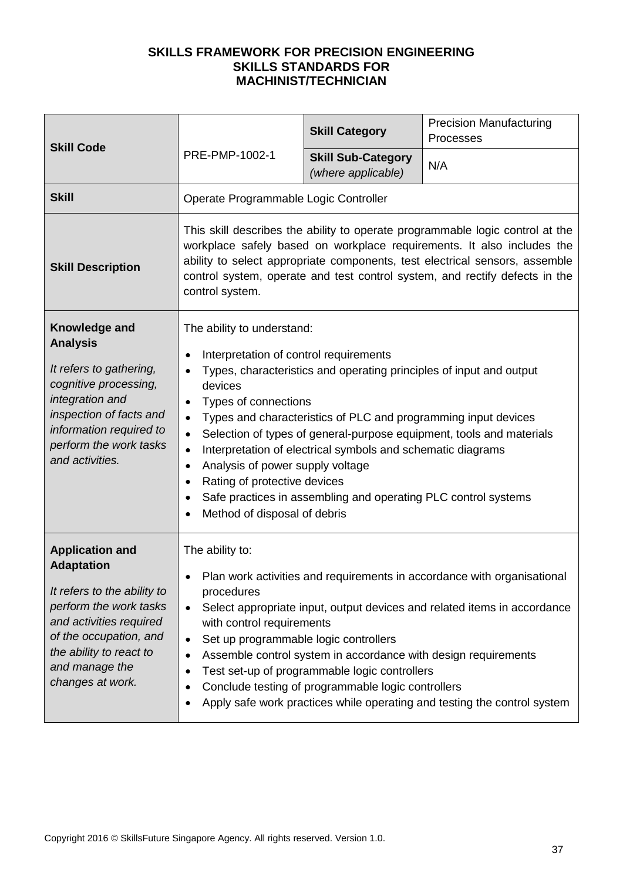| <b>Skill Code</b>                                                                                                                                                                                                          | PRE-PMP-1002-1                                                                                                                                                                                                                                                                                                                                                                                                                                                                                                                                                                                                                                           | <b>Skill Category</b>                                                                                                                                                 | <b>Precision Manufacturing</b><br>Processes                                                                                                                                                                                     |
|----------------------------------------------------------------------------------------------------------------------------------------------------------------------------------------------------------------------------|----------------------------------------------------------------------------------------------------------------------------------------------------------------------------------------------------------------------------------------------------------------------------------------------------------------------------------------------------------------------------------------------------------------------------------------------------------------------------------------------------------------------------------------------------------------------------------------------------------------------------------------------------------|-----------------------------------------------------------------------------------------------------------------------------------------------------------------------|---------------------------------------------------------------------------------------------------------------------------------------------------------------------------------------------------------------------------------|
|                                                                                                                                                                                                                            |                                                                                                                                                                                                                                                                                                                                                                                                                                                                                                                                                                                                                                                          | <b>Skill Sub-Category</b><br>(where applicable)                                                                                                                       | N/A                                                                                                                                                                                                                             |
| <b>Skill</b>                                                                                                                                                                                                               | Operate Programmable Logic Controller                                                                                                                                                                                                                                                                                                                                                                                                                                                                                                                                                                                                                    |                                                                                                                                                                       |                                                                                                                                                                                                                                 |
| <b>Skill Description</b>                                                                                                                                                                                                   | This skill describes the ability to operate programmable logic control at the<br>workplace safely based on workplace requirements. It also includes the<br>ability to select appropriate components, test electrical sensors, assemble<br>control system, operate and test control system, and rectify defects in the<br>control system.                                                                                                                                                                                                                                                                                                                 |                                                                                                                                                                       |                                                                                                                                                                                                                                 |
| Knowledge and<br><b>Analysis</b><br>It refers to gathering,<br>cognitive processing,<br>integration and<br>inspection of facts and<br>information required to<br>perform the work tasks<br>and activities.                 | The ability to understand:<br>Interpretation of control requirements<br>Types, characteristics and operating principles of input and output<br>$\bullet$<br>devices<br>Types of connections<br>$\bullet$<br>Types and characteristics of PLC and programming input devices<br>$\bullet$<br>Selection of types of general-purpose equipment, tools and materials<br>$\bullet$<br>Interpretation of electrical symbols and schematic diagrams<br>$\bullet$<br>Analysis of power supply voltage<br>$\bullet$<br>Rating of protective devices<br>Safe practices in assembling and operating PLC control systems<br>$\bullet$<br>Method of disposal of debris |                                                                                                                                                                       |                                                                                                                                                                                                                                 |
| <b>Application and</b><br><b>Adaptation</b><br>It refers to the ability to<br>perform the work tasks<br>and activities required<br>of the occupation, and<br>the ability to react to<br>and manage the<br>changes at work. | The ability to:<br>procedures<br>$\bullet$<br>with control requirements<br>Set up programmable logic controllers<br>$\bullet$                                                                                                                                                                                                                                                                                                                                                                                                                                                                                                                            | Assemble control system in accordance with design requirements<br>Test set-up of programmable logic controllers<br>Conclude testing of programmable logic controllers | Plan work activities and requirements in accordance with organisational<br>Select appropriate input, output devices and related items in accordance<br>Apply safe work practices while operating and testing the control system |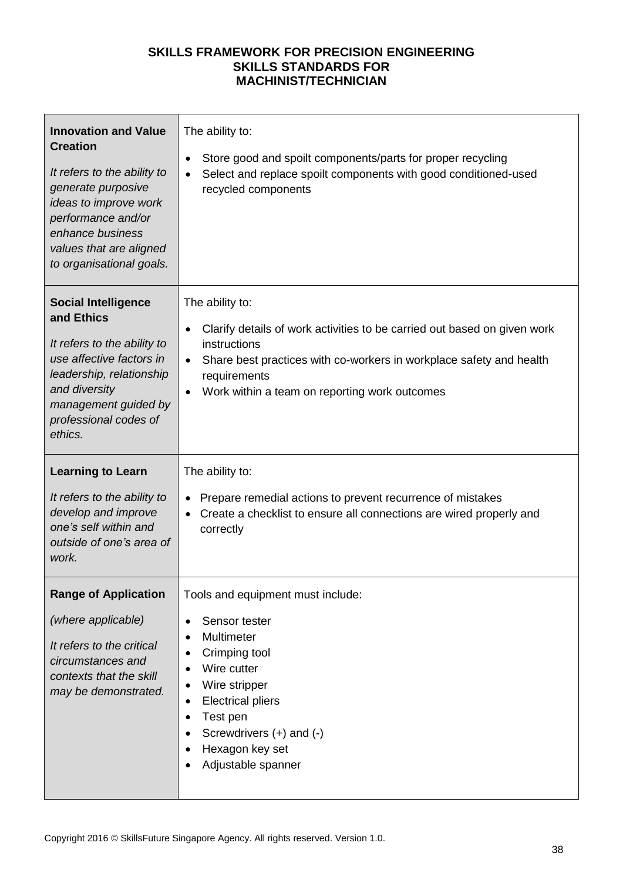| <b>Innovation and Value</b><br><b>Creation</b><br>It refers to the ability to<br>generate purposive<br>ideas to improve work<br>performance and/or<br>enhance business<br>values that are aligned<br>to organisational goals. | The ability to:<br>Store good and spoilt components/parts for proper recycling<br>$\bullet$<br>Select and replace spoilt components with good conditioned-used<br>$\bullet$<br>recycled components                                                                                         |
|-------------------------------------------------------------------------------------------------------------------------------------------------------------------------------------------------------------------------------|--------------------------------------------------------------------------------------------------------------------------------------------------------------------------------------------------------------------------------------------------------------------------------------------|
| <b>Social Intelligence</b><br>and Ethics<br>It refers to the ability to<br>use affective factors in<br>leadership, relationship<br>and diversity<br>management guided by<br>professional codes of<br>ethics.                  | The ability to:<br>Clarify details of work activities to be carried out based on given work<br>$\bullet$<br>instructions<br>Share best practices with co-workers in workplace safety and health<br>$\bullet$<br>requirements<br>Work within a team on reporting work outcomes<br>$\bullet$ |
| <b>Learning to Learn</b><br>It refers to the ability to<br>develop and improve<br>one's self within and<br>outside of one's area of<br>work.                                                                                  | The ability to:<br>Prepare remedial actions to prevent recurrence of mistakes<br>Create a checklist to ensure all connections are wired properly and<br>correctly                                                                                                                          |
| <b>Range of Application</b><br>(where applicable)<br>It refers to the critical<br>circumstances and<br>contexts that the skill<br>may be demonstrated.                                                                        | Tools and equipment must include:<br>Sensor tester<br>$\bullet$<br>Multimeter<br>٠<br>Crimping tool<br>Wire cutter<br>Wire stripper<br><b>Electrical pliers</b><br>٠<br>Test pen<br>$\bullet$<br>Screwdrivers (+) and (-)<br>Hexagon key set<br>Adjustable spanner                         |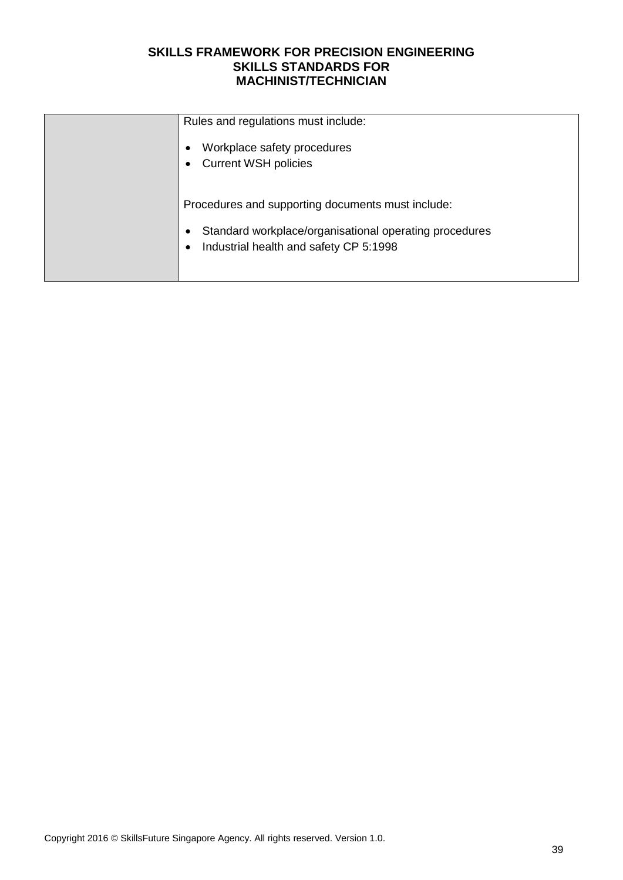| Rules and regulations must include:                    |
|--------------------------------------------------------|
| Workplace safety procedures                            |
| <b>Current WSH policies</b>                            |
|                                                        |
| Procedures and supporting documents must include:      |
| Standard workplace/organisational operating procedures |
| Industrial health and safety CP 5:1998                 |
|                                                        |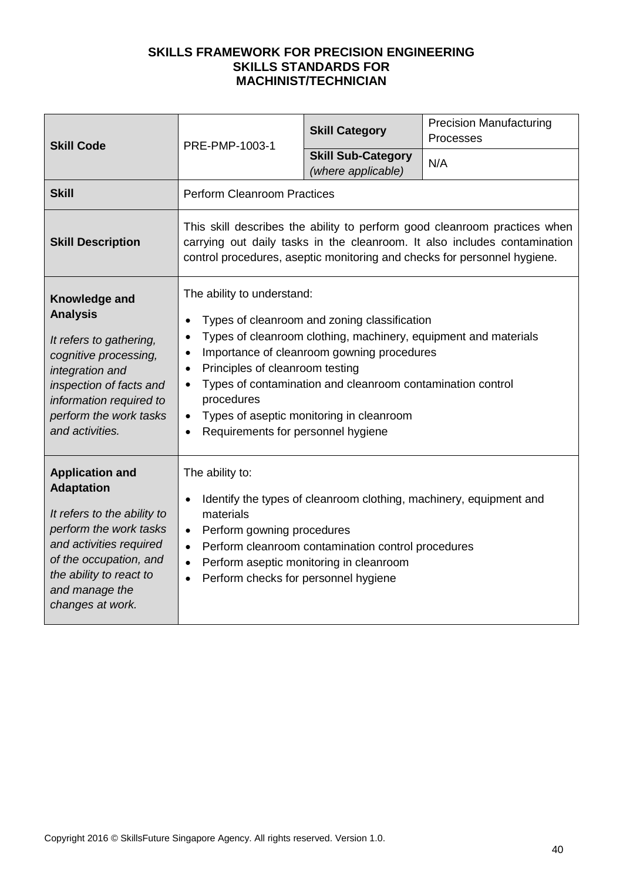| <b>Skill Code</b>                                                                                                                                                                                                          | PRE-PMP-1003-1                                                                                                                                                                                                                                                                                                                                                                                                                                                                          | <b>Skill Category</b>                                                                         | <b>Precision Manufacturing</b><br>Processes                        |
|----------------------------------------------------------------------------------------------------------------------------------------------------------------------------------------------------------------------------|-----------------------------------------------------------------------------------------------------------------------------------------------------------------------------------------------------------------------------------------------------------------------------------------------------------------------------------------------------------------------------------------------------------------------------------------------------------------------------------------|-----------------------------------------------------------------------------------------------|--------------------------------------------------------------------|
|                                                                                                                                                                                                                            |                                                                                                                                                                                                                                                                                                                                                                                                                                                                                         | <b>Skill Sub-Category</b><br>(where applicable)                                               | N/A                                                                |
| <b>Skill</b>                                                                                                                                                                                                               | <b>Perform Cleanroom Practices</b>                                                                                                                                                                                                                                                                                                                                                                                                                                                      |                                                                                               |                                                                    |
| <b>Skill Description</b>                                                                                                                                                                                                   | This skill describes the ability to perform good cleanroom practices when<br>carrying out daily tasks in the cleanroom. It also includes contamination<br>control procedures, aseptic monitoring and checks for personnel hygiene.                                                                                                                                                                                                                                                      |                                                                                               |                                                                    |
| Knowledge and<br><b>Analysis</b><br>It refers to gathering,<br>cognitive processing,<br>integration and<br>inspection of facts and<br>information required to<br>perform the work tasks<br>and activities.                 | The ability to understand:<br>Types of cleanroom and zoning classification<br>$\bullet$<br>Types of cleanroom clothing, machinery, equipment and materials<br>$\bullet$<br>Importance of cleanroom gowning procedures<br>$\bullet$<br>Principles of cleanroom testing<br>$\bullet$<br>Types of contamination and cleanroom contamination control<br>$\bullet$<br>procedures<br>Types of aseptic monitoring in cleanroom<br>$\bullet$<br>Requirements for personnel hygiene<br>$\bullet$ |                                                                                               |                                                                    |
| <b>Application and</b><br><b>Adaptation</b><br>It refers to the ability to<br>perform the work tasks<br>and activities required<br>of the occupation, and<br>the ability to react to<br>and manage the<br>changes at work. | The ability to:<br>$\bullet$<br>materials<br>Perform gowning procedures<br>$\bullet$<br>$\bullet$<br>$\bullet$<br>Perform checks for personnel hygiene<br>$\bullet$                                                                                                                                                                                                                                                                                                                     | Perform cleanroom contamination control procedures<br>Perform aseptic monitoring in cleanroom | Identify the types of cleanroom clothing, machinery, equipment and |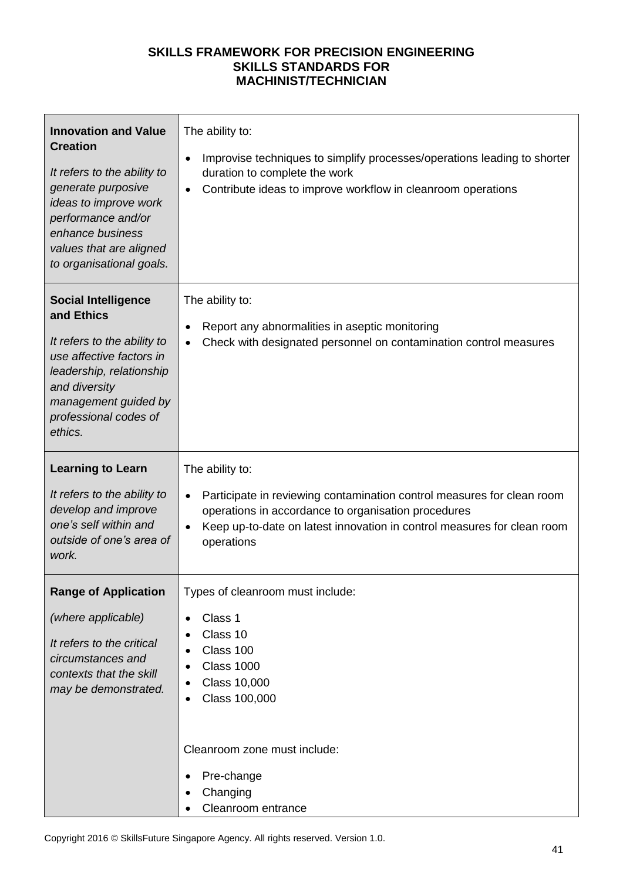| <b>Innovation and Value</b><br><b>Creation</b><br>It refers to the ability to<br>generate purposive<br>ideas to improve work<br>performance and/or<br>enhance business<br>values that are aligned<br>to organisational goals. | The ability to:<br>Improvise techniques to simplify processes/operations leading to shorter<br>٠<br>duration to complete the work<br>Contribute ideas to improve workflow in cleanroom operations                                                                   |
|-------------------------------------------------------------------------------------------------------------------------------------------------------------------------------------------------------------------------------|---------------------------------------------------------------------------------------------------------------------------------------------------------------------------------------------------------------------------------------------------------------------|
| <b>Social Intelligence</b><br>and Ethics<br>It refers to the ability to<br>use affective factors in<br>leadership, relationship<br>and diversity<br>management guided by<br>professional codes of<br>ethics.                  | The ability to:<br>Report any abnormalities in aseptic monitoring<br>Check with designated personnel on contamination control measures<br>$\bullet$                                                                                                                 |
| <b>Learning to Learn</b><br>It refers to the ability to<br>develop and improve<br>one's self within and<br>outside of one's area of<br>work.                                                                                  | The ability to:<br>Participate in reviewing contamination control measures for clean room<br>$\bullet$<br>operations in accordance to organisation procedures<br>Keep up-to-date on latest innovation in control measures for clean room<br>$\bullet$<br>operations |
| <b>Range of Application</b><br>(where applicable)<br>It refers to the critical<br>circumstances and<br>contexts that the skill<br>may be demonstrated.                                                                        | Types of cleanroom must include:<br>Class 1<br>$\bullet$<br>Class 10<br>Class 100<br><b>Class 1000</b><br><b>Class 10,000</b><br>Class 100,000<br>Cleanroom zone must include:<br>Pre-change<br>Changing                                                            |
|                                                                                                                                                                                                                               | Cleanroom entrance                                                                                                                                                                                                                                                  |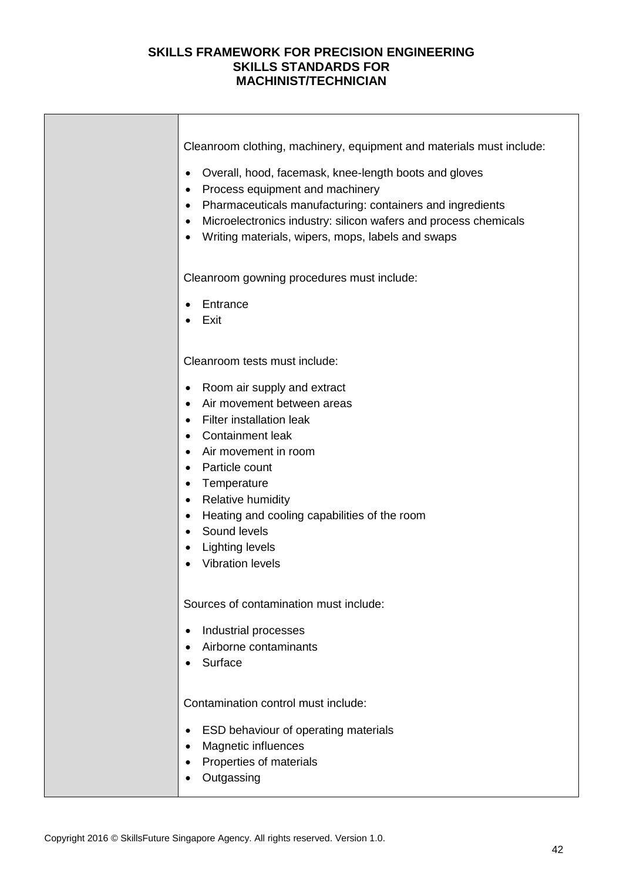| Cleanroom clothing, machinery, equipment and materials must include:                                                                                                                                                                                                                                                                                                                                                                     |
|------------------------------------------------------------------------------------------------------------------------------------------------------------------------------------------------------------------------------------------------------------------------------------------------------------------------------------------------------------------------------------------------------------------------------------------|
| Overall, hood, facemask, knee-length boots and gloves<br>$\bullet$<br>Process equipment and machinery<br>$\bullet$<br>Pharmaceuticals manufacturing: containers and ingredients<br>$\bullet$<br>Microelectronics industry: silicon wafers and process chemicals<br>$\bullet$<br>Writing materials, wipers, mops, labels and swaps<br>$\bullet$                                                                                           |
| Cleanroom gowning procedures must include:                                                                                                                                                                                                                                                                                                                                                                                               |
| Entrance<br>Exit                                                                                                                                                                                                                                                                                                                                                                                                                         |
| Cleanroom tests must include:                                                                                                                                                                                                                                                                                                                                                                                                            |
| Room air supply and extract<br>$\bullet$<br>Air movement between areas<br>$\bullet$<br>Filter installation leak<br>$\bullet$<br>Containment leak<br>Air movement in room<br>$\bullet$<br>Particle count<br>$\bullet$<br>Temperature<br>$\bullet$<br><b>Relative humidity</b><br>$\bullet$<br>Heating and cooling capabilities of the room<br>$\bullet$<br>Sound levels<br>$\bullet$<br><b>Lighting levels</b><br><b>Vibration levels</b> |
| Sources of contamination must include:<br>Industrial processes<br>Airborne contaminants<br>Surface                                                                                                                                                                                                                                                                                                                                       |
| Contamination control must include:<br>ESD behaviour of operating materials<br>Magnetic influences<br>Properties of materials<br>Outgassing                                                                                                                                                                                                                                                                                              |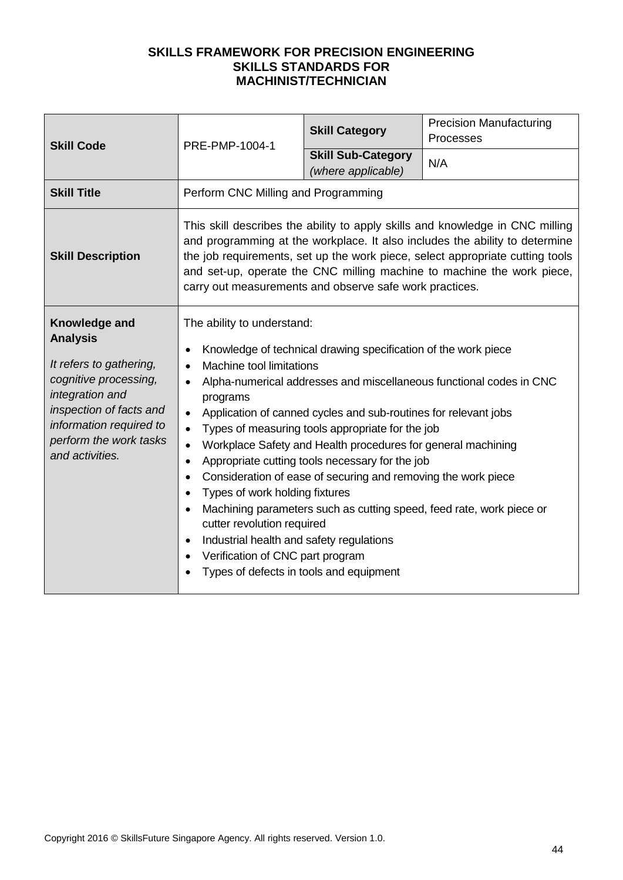| <b>Skill Code</b>                                                                                                                                                                                          | PRE-PMP-1004-1                                                                                                                                                                                                                                                                                                                                                                                                                                                                                                                                                                                                                                                                                                                                                                                                                                                                                                 | <b>Skill Category</b>                           | <b>Precision Manufacturing</b><br>Processes |
|------------------------------------------------------------------------------------------------------------------------------------------------------------------------------------------------------------|----------------------------------------------------------------------------------------------------------------------------------------------------------------------------------------------------------------------------------------------------------------------------------------------------------------------------------------------------------------------------------------------------------------------------------------------------------------------------------------------------------------------------------------------------------------------------------------------------------------------------------------------------------------------------------------------------------------------------------------------------------------------------------------------------------------------------------------------------------------------------------------------------------------|-------------------------------------------------|---------------------------------------------|
|                                                                                                                                                                                                            |                                                                                                                                                                                                                                                                                                                                                                                                                                                                                                                                                                                                                                                                                                                                                                                                                                                                                                                | <b>Skill Sub-Category</b><br>(where applicable) | N/A                                         |
| <b>Skill Title</b>                                                                                                                                                                                         | Perform CNC Milling and Programming                                                                                                                                                                                                                                                                                                                                                                                                                                                                                                                                                                                                                                                                                                                                                                                                                                                                            |                                                 |                                             |
| <b>Skill Description</b>                                                                                                                                                                                   | This skill describes the ability to apply skills and knowledge in CNC milling<br>and programming at the workplace. It also includes the ability to determine<br>the job requirements, set up the work piece, select appropriate cutting tools<br>and set-up, operate the CNC milling machine to machine the work piece,<br>carry out measurements and observe safe work practices.                                                                                                                                                                                                                                                                                                                                                                                                                                                                                                                             |                                                 |                                             |
| Knowledge and<br><b>Analysis</b><br>It refers to gathering,<br>cognitive processing,<br>integration and<br>inspection of facts and<br>information required to<br>perform the work tasks<br>and activities. | The ability to understand:<br>Knowledge of technical drawing specification of the work piece<br>$\bullet$<br>Machine tool limitations<br>Alpha-numerical addresses and miscellaneous functional codes in CNC<br>programs<br>Application of canned cycles and sub-routines for relevant jobs<br>$\bullet$<br>Types of measuring tools appropriate for the job<br>$\bullet$<br>Workplace Safety and Health procedures for general machining<br>$\bullet$<br>Appropriate cutting tools necessary for the job<br>$\bullet$<br>Consideration of ease of securing and removing the work piece<br>$\bullet$<br>Types of work holding fixtures<br>$\bullet$<br>Machining parameters such as cutting speed, feed rate, work piece or<br>cutter revolution required<br>Industrial health and safety regulations<br>$\bullet$<br>Verification of CNC part program<br>$\bullet$<br>Types of defects in tools and equipment |                                                 |                                             |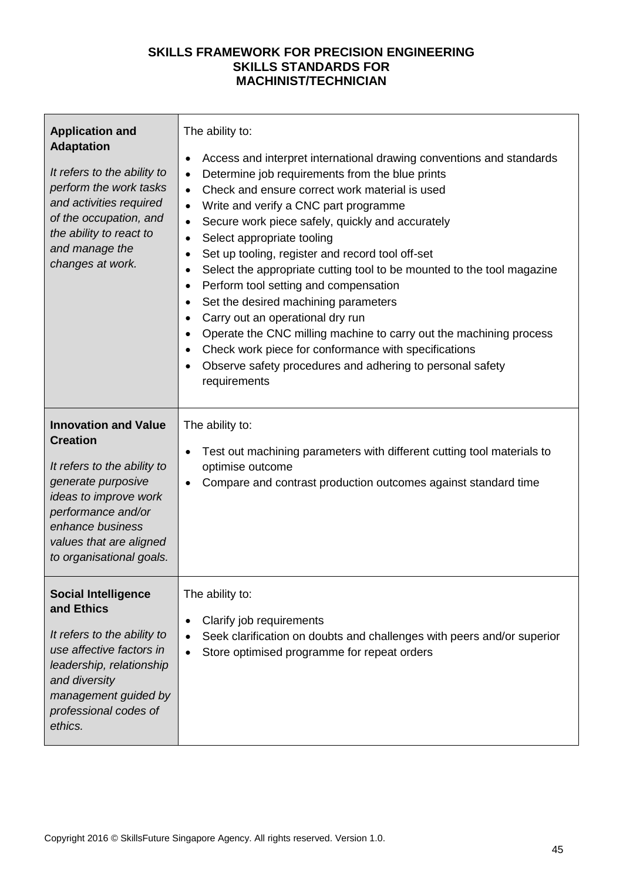| <b>Application and</b><br><b>Adaptation</b><br>It refers to the ability to<br>perform the work tasks<br>and activities required<br>of the occupation, and<br>the ability to react to<br>and manage the<br>changes at work.    | The ability to:<br>Access and interpret international drawing conventions and standards<br>$\bullet$<br>Determine job requirements from the blue prints<br>$\bullet$<br>Check and ensure correct work material is used<br>$\bullet$<br>Write and verify a CNC part programme<br>$\bullet$<br>Secure work piece safely, quickly and accurately<br>$\bullet$<br>Select appropriate tooling<br>$\bullet$<br>Set up tooling, register and record tool off-set<br>$\bullet$<br>Select the appropriate cutting tool to be mounted to the tool magazine<br>$\bullet$<br>Perform tool setting and compensation<br>$\bullet$<br>Set the desired machining parameters<br>$\bullet$<br>Carry out an operational dry run<br>$\bullet$<br>Operate the CNC milling machine to carry out the machining process<br>Check work piece for conformance with specifications<br>$\bullet$<br>Observe safety procedures and adhering to personal safety<br>requirements |
|-------------------------------------------------------------------------------------------------------------------------------------------------------------------------------------------------------------------------------|---------------------------------------------------------------------------------------------------------------------------------------------------------------------------------------------------------------------------------------------------------------------------------------------------------------------------------------------------------------------------------------------------------------------------------------------------------------------------------------------------------------------------------------------------------------------------------------------------------------------------------------------------------------------------------------------------------------------------------------------------------------------------------------------------------------------------------------------------------------------------------------------------------------------------------------------------|
| <b>Innovation and Value</b><br><b>Creation</b><br>It refers to the ability to<br>generate purposive<br>ideas to improve work<br>performance and/or<br>enhance business<br>values that are aligned<br>to organisational goals. | The ability to:<br>Test out machining parameters with different cutting tool materials to<br>$\bullet$<br>optimise outcome<br>Compare and contrast production outcomes against standard time<br>$\bullet$                                                                                                                                                                                                                                                                                                                                                                                                                                                                                                                                                                                                                                                                                                                                         |
| <b>Social Intelligence</b><br>and Ethics<br>It refers to the ability to<br>use affective factors in<br>leadership, relationship<br>and diversity<br>management guided by<br>professional codes of<br>ethics.                  | The ability to:<br>Clarify job requirements<br>٠<br>Seek clarification on doubts and challenges with peers and/or superior<br>Store optimised programme for repeat orders<br>$\bullet$                                                                                                                                                                                                                                                                                                                                                                                                                                                                                                                                                                                                                                                                                                                                                            |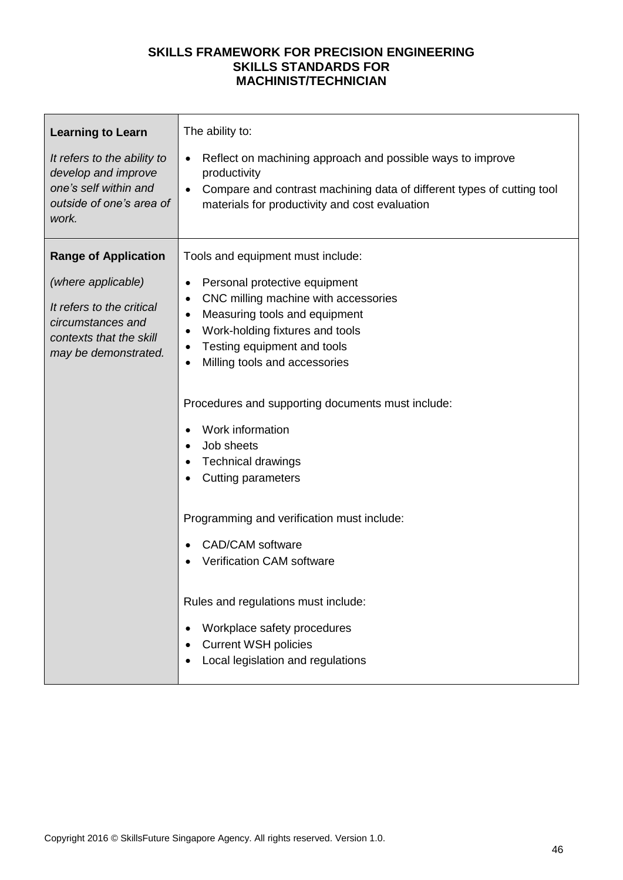| <b>Learning to Learn</b><br>It refers to the ability to<br>develop and improve<br>one's self within and<br>outside of one's area of<br>work. | The ability to:<br>Reflect on machining approach and possible ways to improve<br>productivity<br>Compare and contrast machining data of different types of cutting tool<br>materials for productivity and cost evaluation   |
|----------------------------------------------------------------------------------------------------------------------------------------------|-----------------------------------------------------------------------------------------------------------------------------------------------------------------------------------------------------------------------------|
| <b>Range of Application</b>                                                                                                                  | Tools and equipment must include:                                                                                                                                                                                           |
| (where applicable)<br>It refers to the critical<br>circumstances and<br>contexts that the skill<br>may be demonstrated.                      | Personal protective equipment<br>٠<br>CNC milling machine with accessories<br>Measuring tools and equipment<br>$\bullet$<br>Work-holding fixtures and tools<br>Testing equipment and tools<br>Milling tools and accessories |
|                                                                                                                                              | Procedures and supporting documents must include:                                                                                                                                                                           |
|                                                                                                                                              | Work information<br>Job sheets<br><b>Technical drawings</b><br><b>Cutting parameters</b>                                                                                                                                    |
|                                                                                                                                              | Programming and verification must include:                                                                                                                                                                                  |
|                                                                                                                                              | <b>CAD/CAM</b> software<br><b>Verification CAM software</b>                                                                                                                                                                 |
|                                                                                                                                              | Rules and regulations must include:<br>Workplace safety procedures<br><b>Current WSH policies</b>                                                                                                                           |
|                                                                                                                                              | Local legislation and regulations                                                                                                                                                                                           |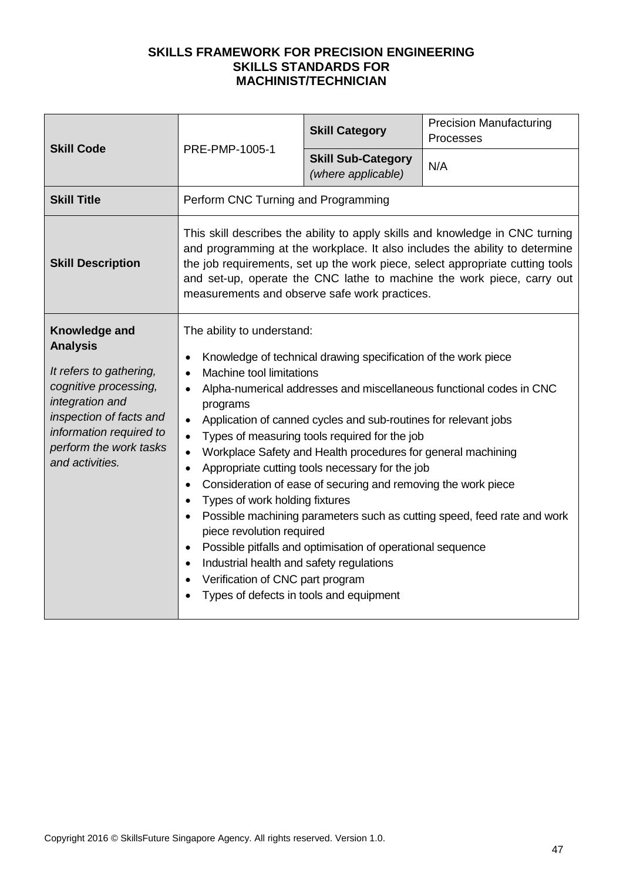| <b>Skill Code</b>                                                                                                                                                                                          | PRE-PMP-1005-1                                                                                                                                                                                                                                                                                                                                                                                                                                                                                                                                                                                                                                                                                                                                                                                                                                                                                                                                    | <b>Skill Category</b>                           | <b>Precision Manufacturing</b><br>Processes |
|------------------------------------------------------------------------------------------------------------------------------------------------------------------------------------------------------------|---------------------------------------------------------------------------------------------------------------------------------------------------------------------------------------------------------------------------------------------------------------------------------------------------------------------------------------------------------------------------------------------------------------------------------------------------------------------------------------------------------------------------------------------------------------------------------------------------------------------------------------------------------------------------------------------------------------------------------------------------------------------------------------------------------------------------------------------------------------------------------------------------------------------------------------------------|-------------------------------------------------|---------------------------------------------|
|                                                                                                                                                                                                            |                                                                                                                                                                                                                                                                                                                                                                                                                                                                                                                                                                                                                                                                                                                                                                                                                                                                                                                                                   | <b>Skill Sub-Category</b><br>(where applicable) | N/A                                         |
| <b>Skill Title</b>                                                                                                                                                                                         | Perform CNC Turning and Programming                                                                                                                                                                                                                                                                                                                                                                                                                                                                                                                                                                                                                                                                                                                                                                                                                                                                                                               |                                                 |                                             |
| <b>Skill Description</b>                                                                                                                                                                                   | This skill describes the ability to apply skills and knowledge in CNC turning<br>and programming at the workplace. It also includes the ability to determine<br>the job requirements, set up the work piece, select appropriate cutting tools<br>and set-up, operate the CNC lathe to machine the work piece, carry out<br>measurements and observe safe work practices.                                                                                                                                                                                                                                                                                                                                                                                                                                                                                                                                                                          |                                                 |                                             |
| Knowledge and<br><b>Analysis</b><br>It refers to gathering,<br>cognitive processing,<br>integration and<br>inspection of facts and<br>information required to<br>perform the work tasks<br>and activities. | The ability to understand:<br>Knowledge of technical drawing specification of the work piece<br>Machine tool limitations<br>$\bullet$<br>Alpha-numerical addresses and miscellaneous functional codes in CNC<br>$\bullet$<br>programs<br>Application of canned cycles and sub-routines for relevant jobs<br>$\bullet$<br>Types of measuring tools required for the job<br>$\bullet$<br>Workplace Safety and Health procedures for general machining<br>$\bullet$<br>Appropriate cutting tools necessary for the job<br>$\bullet$<br>Consideration of ease of securing and removing the work piece<br>$\bullet$<br>Types of work holding fixtures<br>Possible machining parameters such as cutting speed, feed rate and work<br>piece revolution required<br>Possible pitfalls and optimisation of operational sequence<br>Industrial health and safety regulations<br>Verification of CNC part program<br>Types of defects in tools and equipment |                                                 |                                             |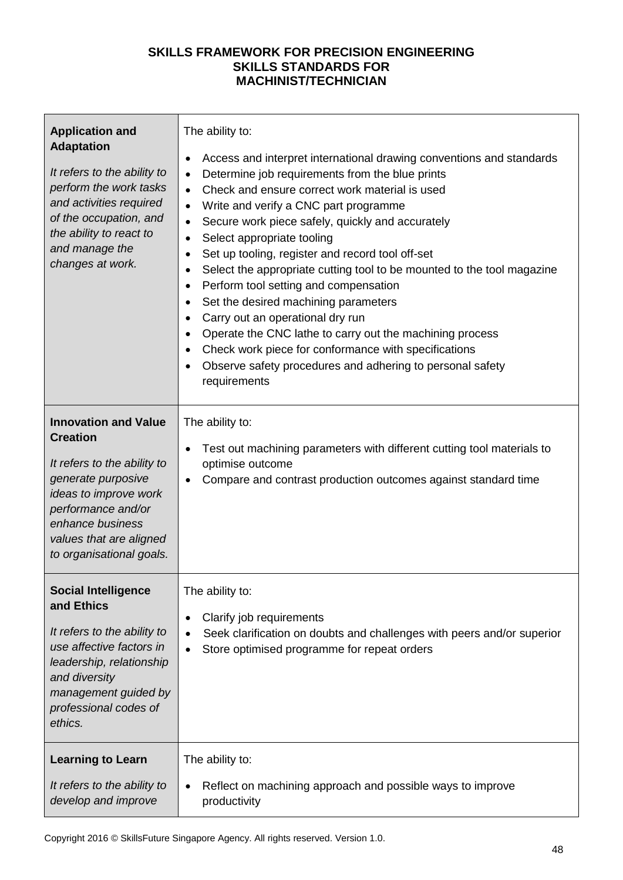| <b>Application and</b><br><b>Adaptation</b><br>It refers to the ability to<br>perform the work tasks<br>and activities required<br>of the occupation, and<br>the ability to react to<br>and manage the<br>changes at work.    | The ability to:<br>Access and interpret international drawing conventions and standards<br>٠<br>Determine job requirements from the blue prints<br>٠<br>Check and ensure correct work material is used<br>$\bullet$<br>Write and verify a CNC part programme<br>$\bullet$<br>Secure work piece safely, quickly and accurately<br>$\bullet$<br>Select appropriate tooling<br>$\bullet$<br>Set up tooling, register and record tool off-set<br>٠<br>Select the appropriate cutting tool to be mounted to the tool magazine<br>$\bullet$<br>Perform tool setting and compensation<br>$\bullet$<br>Set the desired machining parameters<br>$\bullet$<br>Carry out an operational dry run<br>$\bullet$<br>Operate the CNC lathe to carry out the machining process<br>Check work piece for conformance with specifications<br>$\bullet$<br>Observe safety procedures and adhering to personal safety<br>requirements |
|-------------------------------------------------------------------------------------------------------------------------------------------------------------------------------------------------------------------------------|-----------------------------------------------------------------------------------------------------------------------------------------------------------------------------------------------------------------------------------------------------------------------------------------------------------------------------------------------------------------------------------------------------------------------------------------------------------------------------------------------------------------------------------------------------------------------------------------------------------------------------------------------------------------------------------------------------------------------------------------------------------------------------------------------------------------------------------------------------------------------------------------------------------------|
| <b>Innovation and Value</b><br><b>Creation</b><br>It refers to the ability to<br>generate purposive<br>ideas to improve work<br>performance and/or<br>enhance business<br>values that are aligned<br>to organisational goals. | The ability to:<br>Test out machining parameters with different cutting tool materials to<br>٠<br>optimise outcome<br>Compare and contrast production outcomes against standard time<br>$\bullet$                                                                                                                                                                                                                                                                                                                                                                                                                                                                                                                                                                                                                                                                                                               |
| <b>Social Intelligence</b><br>and Ethics<br>It refers to the ability to<br>use affective factors in<br>leadership, relationship<br>and diversity<br>management guided by<br>professional codes of<br>ethics.                  | The ability to:<br>Clarify job requirements<br>Seek clarification on doubts and challenges with peers and/or superior<br>Store optimised programme for repeat orders<br>٠                                                                                                                                                                                                                                                                                                                                                                                                                                                                                                                                                                                                                                                                                                                                       |
| <b>Learning to Learn</b><br>It refers to the ability to<br>develop and improve                                                                                                                                                | The ability to:<br>Reflect on machining approach and possible ways to improve<br>productivity                                                                                                                                                                                                                                                                                                                                                                                                                                                                                                                                                                                                                                                                                                                                                                                                                   |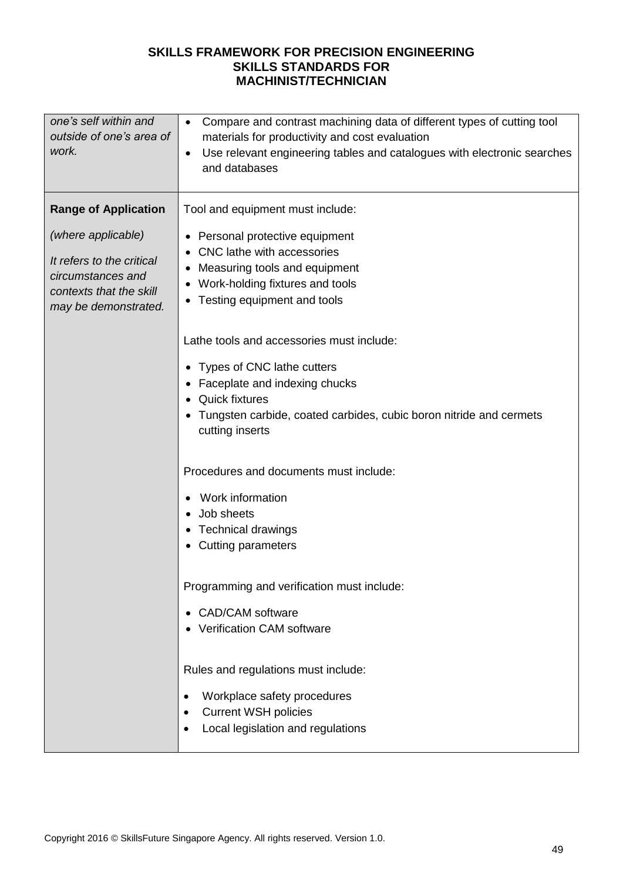| one's self within and<br>outside of one's area of<br>work.                                                                                             | Compare and contrast machining data of different types of cutting tool<br>$\bullet$<br>materials for productivity and cost evaluation<br>Use relevant engineering tables and catalogues with electronic searches<br>$\bullet$<br>and databases                                                                                                                                                                                                        |
|--------------------------------------------------------------------------------------------------------------------------------------------------------|-------------------------------------------------------------------------------------------------------------------------------------------------------------------------------------------------------------------------------------------------------------------------------------------------------------------------------------------------------------------------------------------------------------------------------------------------------|
| <b>Range of Application</b><br>(where applicable)<br>It refers to the critical<br>circumstances and<br>contexts that the skill<br>may be demonstrated. | Tool and equipment must include:<br>• Personal protective equipment<br>• CNC lathe with accessories<br>Measuring tools and equipment<br>$\bullet$<br>Work-holding fixtures and tools<br>٠<br>Testing equipment and tools<br>٠<br>Lathe tools and accessories must include:<br>Types of CNC lathe cutters<br>$\bullet$<br>Faceplate and indexing chucks<br><b>Quick fixtures</b><br>Tungsten carbide, coated carbides, cubic boron nitride and cermets |
|                                                                                                                                                        | cutting inserts<br>Procedures and documents must include:<br>Work information<br>Job sheets<br>Technical drawings<br>Cutting parameters<br>Programming and verification must include:                                                                                                                                                                                                                                                                 |
|                                                                                                                                                        | <b>CAD/CAM</b> software<br><b>Verification CAM software</b><br>Rules and regulations must include:<br>Workplace safety procedures<br>٠<br><b>Current WSH policies</b><br>Local legislation and regulations<br>٠                                                                                                                                                                                                                                       |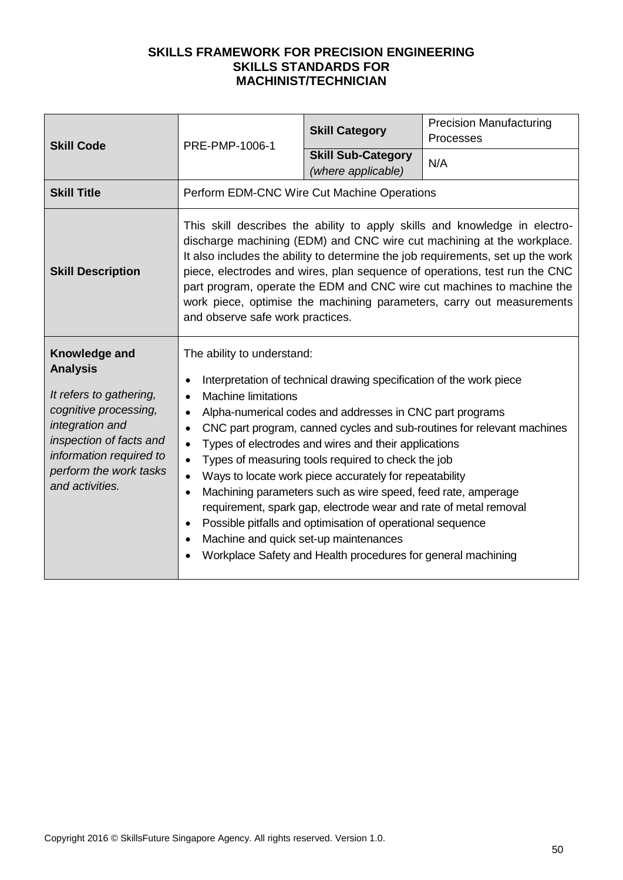| <b>Skill Code</b>                                                                                                                                                                                          | PRE-PMP-1006-1                                                                                                                                                                                                                                                                                                                                                                                                                                                                                                                                                                                                                                                                                                                                                                                                                                                   | <b>Skill Category</b>                           | <b>Precision Manufacturing</b><br>Processes                                                                                                                                                                                                                                                                                                                                                                                                                              |
|------------------------------------------------------------------------------------------------------------------------------------------------------------------------------------------------------------|------------------------------------------------------------------------------------------------------------------------------------------------------------------------------------------------------------------------------------------------------------------------------------------------------------------------------------------------------------------------------------------------------------------------------------------------------------------------------------------------------------------------------------------------------------------------------------------------------------------------------------------------------------------------------------------------------------------------------------------------------------------------------------------------------------------------------------------------------------------|-------------------------------------------------|--------------------------------------------------------------------------------------------------------------------------------------------------------------------------------------------------------------------------------------------------------------------------------------------------------------------------------------------------------------------------------------------------------------------------------------------------------------------------|
|                                                                                                                                                                                                            |                                                                                                                                                                                                                                                                                                                                                                                                                                                                                                                                                                                                                                                                                                                                                                                                                                                                  | <b>Skill Sub-Category</b><br>(where applicable) | N/A                                                                                                                                                                                                                                                                                                                                                                                                                                                                      |
| <b>Skill Title</b>                                                                                                                                                                                         | Perform EDM-CNC Wire Cut Machine Operations                                                                                                                                                                                                                                                                                                                                                                                                                                                                                                                                                                                                                                                                                                                                                                                                                      |                                                 |                                                                                                                                                                                                                                                                                                                                                                                                                                                                          |
| <b>Skill Description</b>                                                                                                                                                                                   | and observe safe work practices.                                                                                                                                                                                                                                                                                                                                                                                                                                                                                                                                                                                                                                                                                                                                                                                                                                 |                                                 | This skill describes the ability to apply skills and knowledge in electro-<br>discharge machining (EDM) and CNC wire cut machining at the workplace.<br>It also includes the ability to determine the job requirements, set up the work<br>piece, electrodes and wires, plan sequence of operations, test run the CNC<br>part program, operate the EDM and CNC wire cut machines to machine the<br>work piece, optimise the machining parameters, carry out measurements |
| Knowledge and<br><b>Analysis</b><br>It refers to gathering,<br>cognitive processing,<br>integration and<br>inspection of facts and<br>information required to<br>perform the work tasks<br>and activities. | The ability to understand:<br>Interpretation of technical drawing specification of the work piece<br><b>Machine limitations</b><br>$\bullet$<br>Alpha-numerical codes and addresses in CNC part programs<br>$\bullet$<br>CNC part program, canned cycles and sub-routines for relevant machines<br>$\bullet$<br>Types of electrodes and wires and their applications<br>$\bullet$<br>Types of measuring tools required to check the job<br>$\bullet$<br>Ways to locate work piece accurately for repeatability<br>$\bullet$<br>Machining parameters such as wire speed, feed rate, amperage<br>$\bullet$<br>requirement, spark gap, electrode wear and rate of metal removal<br>Possible pitfalls and optimisation of operational sequence<br>$\bullet$<br>Machine and quick set-up maintenances<br>Workplace Safety and Health procedures for general machining |                                                 |                                                                                                                                                                                                                                                                                                                                                                                                                                                                          |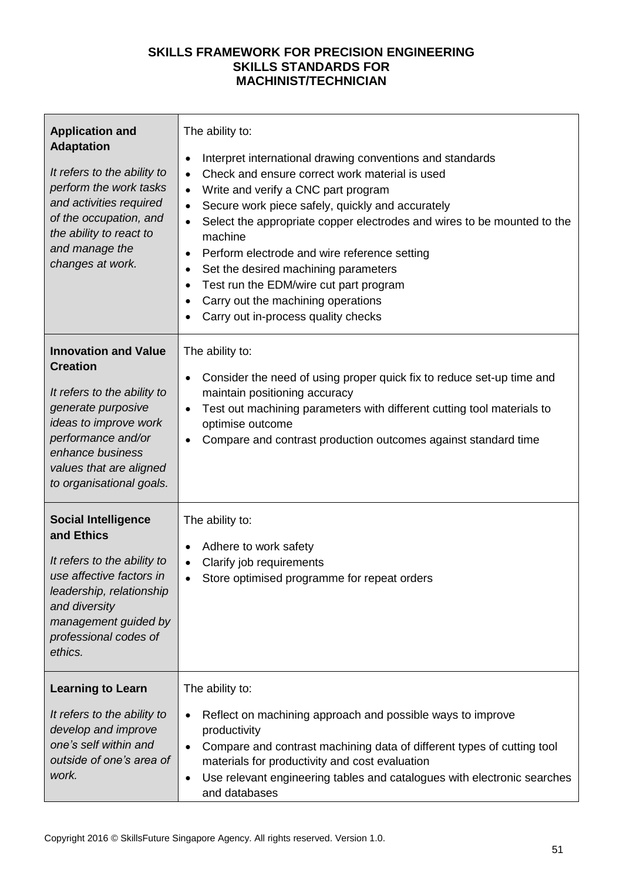| <b>Application and</b><br><b>Adaptation</b><br>It refers to the ability to<br>perform the work tasks<br>and activities required<br>of the occupation, and<br>the ability to react to<br>and manage the<br>changes at work.    | The ability to:<br>Interpret international drawing conventions and standards<br>$\bullet$<br>Check and ensure correct work material is used<br>$\bullet$<br>Write and verify a CNC part program<br>$\bullet$<br>Secure work piece safely, quickly and accurately<br>$\bullet$<br>Select the appropriate copper electrodes and wires to be mounted to the<br>$\bullet$<br>machine<br>Perform electrode and wire reference setting<br>$\bullet$<br>Set the desired machining parameters<br>$\bullet$<br>Test run the EDM/wire cut part program<br>Carry out the machining operations<br>$\bullet$<br>Carry out in-process quality checks |
|-------------------------------------------------------------------------------------------------------------------------------------------------------------------------------------------------------------------------------|----------------------------------------------------------------------------------------------------------------------------------------------------------------------------------------------------------------------------------------------------------------------------------------------------------------------------------------------------------------------------------------------------------------------------------------------------------------------------------------------------------------------------------------------------------------------------------------------------------------------------------------|
| <b>Innovation and Value</b><br><b>Creation</b><br>It refers to the ability to<br>generate purposive<br>ideas to improve work<br>performance and/or<br>enhance business<br>values that are aligned<br>to organisational goals. | The ability to:<br>Consider the need of using proper quick fix to reduce set-up time and<br>maintain positioning accuracy<br>Test out machining parameters with different cutting tool materials to<br>optimise outcome<br>Compare and contrast production outcomes against standard time                                                                                                                                                                                                                                                                                                                                              |
| <b>Social Intelligence</b><br>and Ethics<br>It refers to the ability to<br>use affective factors in<br>leadership, relationship<br>and diversity<br>management guided by<br>professional codes of<br>ethics.                  | The ability to:<br>Adhere to work safety<br>Clarify job requirements<br>٠<br>Store optimised programme for repeat orders                                                                                                                                                                                                                                                                                                                                                                                                                                                                                                               |
| <b>Learning to Learn</b><br>It refers to the ability to<br>develop and improve<br>one's self within and<br>outside of one's area of<br>work.                                                                                  | The ability to:<br>Reflect on machining approach and possible ways to improve<br>productivity<br>Compare and contrast machining data of different types of cutting tool<br>materials for productivity and cost evaluation<br>Use relevant engineering tables and catalogues with electronic searches<br>$\bullet$<br>and databases                                                                                                                                                                                                                                                                                                     |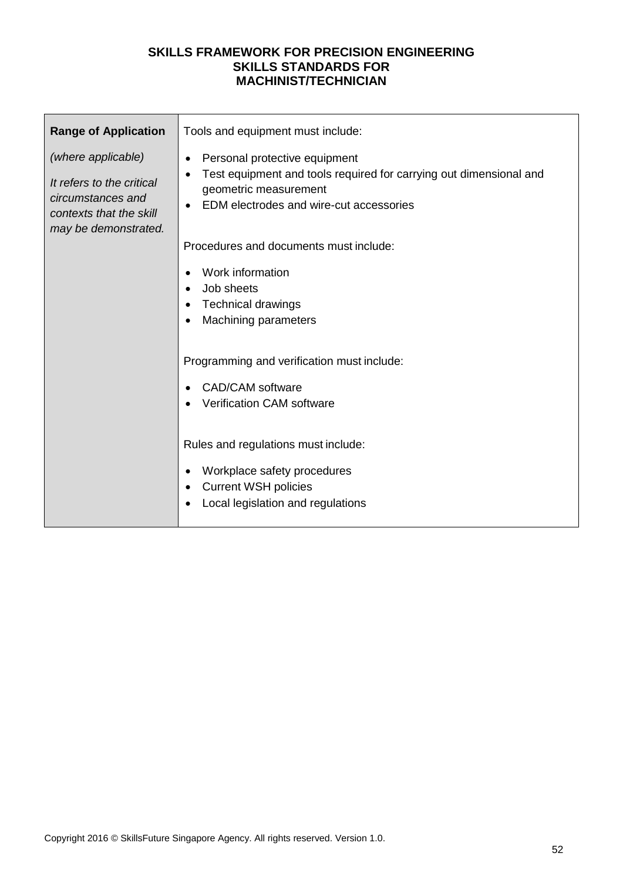| <b>Range of Application</b><br>(where applicable)                                                 | Tools and equipment must include:<br>Personal protective equipment<br>$\bullet$                                                                     |
|---------------------------------------------------------------------------------------------------|-----------------------------------------------------------------------------------------------------------------------------------------------------|
| It refers to the critical<br>circumstances and<br>contexts that the skill<br>may be demonstrated. | Test equipment and tools required for carrying out dimensional and<br>$\bullet$<br>geometric measurement<br>EDM electrodes and wire-cut accessories |
|                                                                                                   | Procedures and documents must include:                                                                                                              |
|                                                                                                   | Work information<br>Job sheets<br><b>Technical drawings</b><br><b>Machining parameters</b>                                                          |
|                                                                                                   | Programming and verification must include:                                                                                                          |
|                                                                                                   | <b>CAD/CAM</b> software<br><b>Verification CAM software</b>                                                                                         |
|                                                                                                   | Rules and regulations must include:                                                                                                                 |
|                                                                                                   | Workplace safety procedures<br><b>Current WSH policies</b><br>Local legislation and regulations                                                     |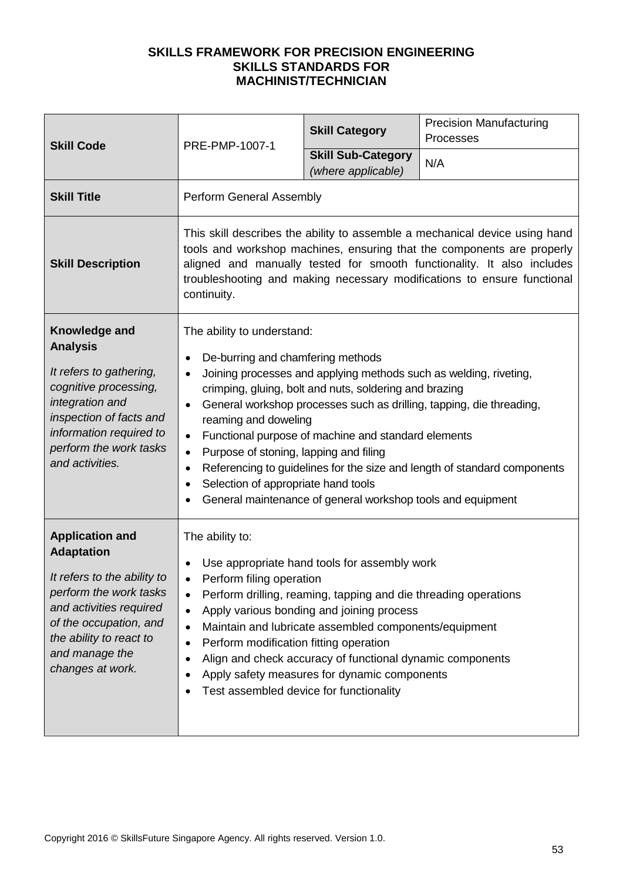| <b>Skill Code</b>                                                                                                                                                                                                          | PRE-PMP-1007-1                                                                                                                                                                                                                                                                                                                                                                                                                                                                                                                                                                                                                                                  | <b>Skill Category</b>                           | <b>Precision Manufacturing</b><br>Processes |
|----------------------------------------------------------------------------------------------------------------------------------------------------------------------------------------------------------------------------|-----------------------------------------------------------------------------------------------------------------------------------------------------------------------------------------------------------------------------------------------------------------------------------------------------------------------------------------------------------------------------------------------------------------------------------------------------------------------------------------------------------------------------------------------------------------------------------------------------------------------------------------------------------------|-------------------------------------------------|---------------------------------------------|
|                                                                                                                                                                                                                            |                                                                                                                                                                                                                                                                                                                                                                                                                                                                                                                                                                                                                                                                 | <b>Skill Sub-Category</b><br>(where applicable) | N/A                                         |
| <b>Skill Title</b>                                                                                                                                                                                                         | Perform General Assembly                                                                                                                                                                                                                                                                                                                                                                                                                                                                                                                                                                                                                                        |                                                 |                                             |
| <b>Skill Description</b>                                                                                                                                                                                                   | This skill describes the ability to assemble a mechanical device using hand<br>tools and workshop machines, ensuring that the components are properly<br>aligned and manually tested for smooth functionality. It also includes<br>troubleshooting and making necessary modifications to ensure functional<br>continuity.                                                                                                                                                                                                                                                                                                                                       |                                                 |                                             |
| Knowledge and<br><b>Analysis</b><br>It refers to gathering,<br>cognitive processing,<br>integration and<br>inspection of facts and<br>information required to<br>perform the work tasks<br>and activities.                 | The ability to understand:<br>De-burring and chamfering methods<br>Joining processes and applying methods such as welding, riveting,<br>$\bullet$<br>crimping, gluing, bolt and nuts, soldering and brazing<br>General workshop processes such as drilling, tapping, die threading,<br>$\bullet$<br>reaming and doweling<br>Functional purpose of machine and standard elements<br>$\bullet$<br>Purpose of stoning, lapping and filing<br>$\bullet$<br>Referencing to guidelines for the size and length of standard components<br>$\bullet$<br>Selection of appropriate hand tools<br>$\bullet$<br>General maintenance of general workshop tools and equipment |                                                 |                                             |
| <b>Application and</b><br><b>Adaptation</b><br>It refers to the ability to<br>perform the work tasks<br>and activities required<br>of the occupation, and<br>the ability to react to<br>and manage the<br>changes at work. | The ability to:<br>Use appropriate hand tools for assembly work<br>Perform filing operation<br>Perform drilling, reaming, tapping and die threading operations<br>Apply various bonding and joining process<br>$\bullet$<br>Maintain and lubricate assembled components/equipment<br>$\bullet$<br>Perform modification fitting operation<br>٠<br>Align and check accuracy of functional dynamic components<br>Apply safety measures for dynamic components<br>Test assembled device for functionality                                                                                                                                                           |                                                 |                                             |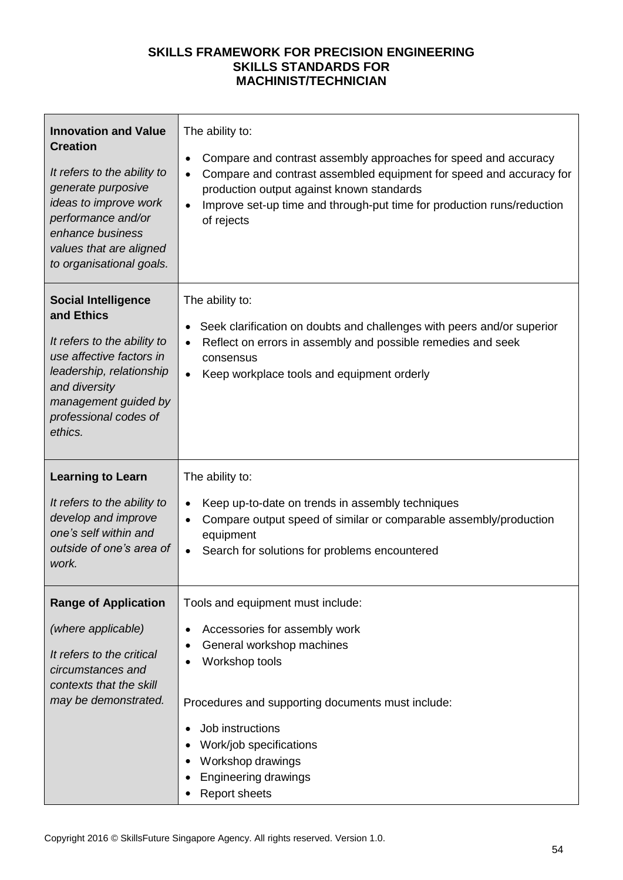| <b>Innovation and Value</b><br><b>Creation</b><br>It refers to the ability to<br>generate purposive<br>ideas to improve work<br>performance and/or<br>enhance business<br>values that are aligned<br>to organisational goals. | The ability to:<br>Compare and contrast assembly approaches for speed and accuracy<br>$\bullet$<br>Compare and contrast assembled equipment for speed and accuracy for<br>$\bullet$<br>production output against known standards<br>Improve set-up time and through-put time for production runs/reduction<br>$\bullet$<br>of rejects |
|-------------------------------------------------------------------------------------------------------------------------------------------------------------------------------------------------------------------------------|---------------------------------------------------------------------------------------------------------------------------------------------------------------------------------------------------------------------------------------------------------------------------------------------------------------------------------------|
| <b>Social Intelligence</b><br>and Ethics<br>It refers to the ability to<br>use affective factors in<br>leadership, relationship<br>and diversity<br>management guided by<br>professional codes of<br>ethics.                  | The ability to:<br>Seek clarification on doubts and challenges with peers and/or superior<br>٠<br>Reflect on errors in assembly and possible remedies and seek<br>$\bullet$<br>consensus<br>Keep workplace tools and equipment orderly<br>$\bullet$                                                                                   |
| <b>Learning to Learn</b><br>It refers to the ability to<br>develop and improve<br>one's self within and<br>outside of one's area of<br>work.                                                                                  | The ability to:<br>Keep up-to-date on trends in assembly techniques<br>$\bullet$<br>Compare output speed of similar or comparable assembly/production<br>$\bullet$<br>equipment<br>Search for solutions for problems encountered<br>$\bullet$                                                                                         |
| <b>Range of Application</b><br>(where applicable)<br>It refers to the critical<br>circumstances and<br>contexts that the skill<br>may be demonstrated.                                                                        | Tools and equipment must include:<br>Accessories for assembly work<br>General workshop machines<br>Workshop tools<br>Procedures and supporting documents must include:<br>Job instructions<br>Work/job specifications<br>Workshop drawings<br>Engineering drawings<br><b>Report sheets</b>                                            |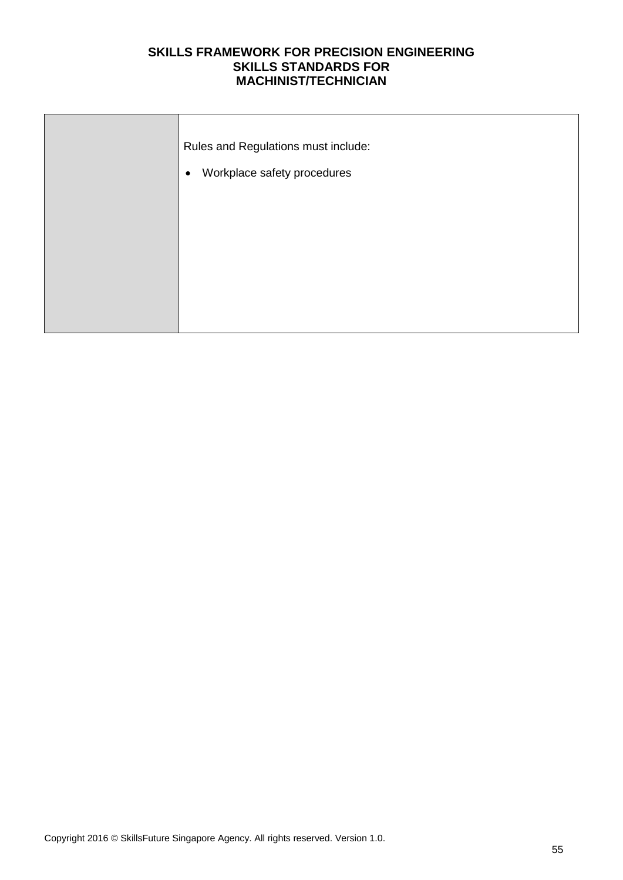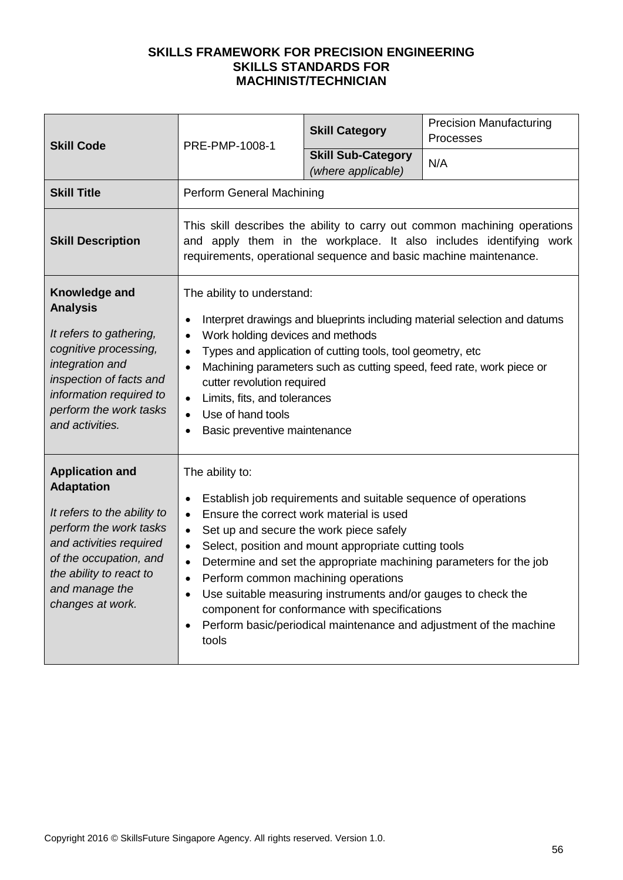| <b>Skill Code</b>                                                                                                                                                                                                          | PRE-PMP-1008-1                                                                                                                                                                                                                                                                                                                                                                                                                                                        | <b>Skill Category</b>                                                                                                                                                                                                                                                                                                           | <b>Precision Manufacturing</b><br>Processes                                                                                              |
|----------------------------------------------------------------------------------------------------------------------------------------------------------------------------------------------------------------------------|-----------------------------------------------------------------------------------------------------------------------------------------------------------------------------------------------------------------------------------------------------------------------------------------------------------------------------------------------------------------------------------------------------------------------------------------------------------------------|---------------------------------------------------------------------------------------------------------------------------------------------------------------------------------------------------------------------------------------------------------------------------------------------------------------------------------|------------------------------------------------------------------------------------------------------------------------------------------|
|                                                                                                                                                                                                                            |                                                                                                                                                                                                                                                                                                                                                                                                                                                                       | <b>Skill Sub-Category</b><br>(where applicable)                                                                                                                                                                                                                                                                                 | N/A                                                                                                                                      |
| <b>Skill Title</b>                                                                                                                                                                                                         | Perform General Machining                                                                                                                                                                                                                                                                                                                                                                                                                                             |                                                                                                                                                                                                                                                                                                                                 |                                                                                                                                          |
| <b>Skill Description</b>                                                                                                                                                                                                   | This skill describes the ability to carry out common machining operations<br>and apply them in the workplace. It also includes identifying work<br>requirements, operational sequence and basic machine maintenance.                                                                                                                                                                                                                                                  |                                                                                                                                                                                                                                                                                                                                 |                                                                                                                                          |
| Knowledge and<br><b>Analysis</b><br>It refers to gathering,<br>cognitive processing,<br>integration and<br>inspection of facts and<br>information required to<br>perform the work tasks<br>and activities.                 | The ability to understand:<br>Interpret drawings and blueprints including material selection and datums<br>Work holding devices and methods<br>$\bullet$<br>Types and application of cutting tools, tool geometry, etc<br>$\bullet$<br>Machining parameters such as cutting speed, feed rate, work piece or<br>$\bullet$<br>cutter revolution required<br>Limits, fits, and tolerances<br>$\bullet$<br>Use of hand tools<br>$\bullet$<br>Basic preventive maintenance |                                                                                                                                                                                                                                                                                                                                 |                                                                                                                                          |
| <b>Application and</b><br><b>Adaptation</b><br>It refers to the ability to<br>perform the work tasks<br>and activities required<br>of the occupation, and<br>the ability to react to<br>and manage the<br>changes at work. | The ability to:<br>$\bullet$<br>$\bullet$<br>$\bullet$<br>$\bullet$<br>Perform common machining operations<br>tools                                                                                                                                                                                                                                                                                                                                                   | Establish job requirements and suitable sequence of operations<br>Ensure the correct work material is used<br>Set up and secure the work piece safely<br>Select, position and mount appropriate cutting tools<br>Use suitable measuring instruments and/or gauges to check the<br>component for conformance with specifications | Determine and set the appropriate machining parameters for the job<br>Perform basic/periodical maintenance and adjustment of the machine |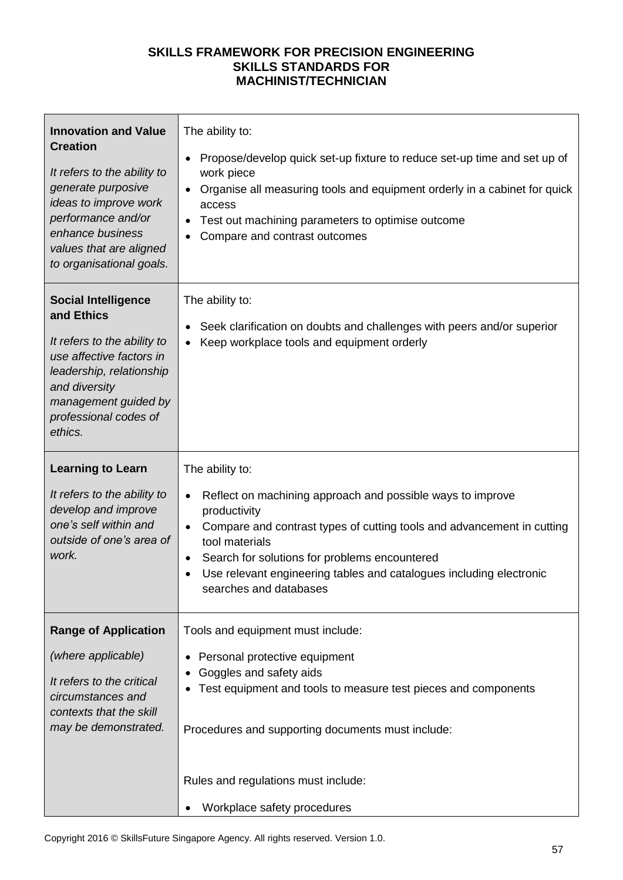| <b>Innovation and Value</b><br><b>Creation</b><br>It refers to the ability to<br>generate purposive<br>ideas to improve work<br>performance and/or<br>enhance business<br>values that are aligned<br>to organisational goals. | The ability to:<br>Propose/develop quick set-up fixture to reduce set-up time and set up of<br>work piece<br>Organise all measuring tools and equipment orderly in a cabinet for quick<br>access<br>Test out machining parameters to optimise outcome<br>Compare and contrast outcomes                                                                   |
|-------------------------------------------------------------------------------------------------------------------------------------------------------------------------------------------------------------------------------|----------------------------------------------------------------------------------------------------------------------------------------------------------------------------------------------------------------------------------------------------------------------------------------------------------------------------------------------------------|
| <b>Social Intelligence</b><br>and Ethics<br>It refers to the ability to<br>use affective factors in<br>leadership, relationship<br>and diversity<br>management guided by<br>professional codes of<br>ethics.                  | The ability to:<br>Seek clarification on doubts and challenges with peers and/or superior<br>Keep workplace tools and equipment orderly                                                                                                                                                                                                                  |
| <b>Learning to Learn</b><br>It refers to the ability to<br>develop and improve<br>one's self within and<br>outside of one's area of<br>work.                                                                                  | The ability to:<br>Reflect on machining approach and possible ways to improve<br>productivity<br>Compare and contrast types of cutting tools and advancement in cutting<br>$\bullet$<br>tool materials<br>Search for solutions for problems encountered<br>Use relevant engineering tables and catalogues including electronic<br>searches and databases |
| <b>Range of Application</b><br>(where applicable)<br>It refers to the critical<br>circumstances and<br>contexts that the skill<br>may be demonstrated.                                                                        | Tools and equipment must include:<br>Personal protective equipment<br>Goggles and safety aids<br>Test equipment and tools to measure test pieces and components<br>Procedures and supporting documents must include:<br>Rules and regulations must include:<br>Workplace safety procedures                                                               |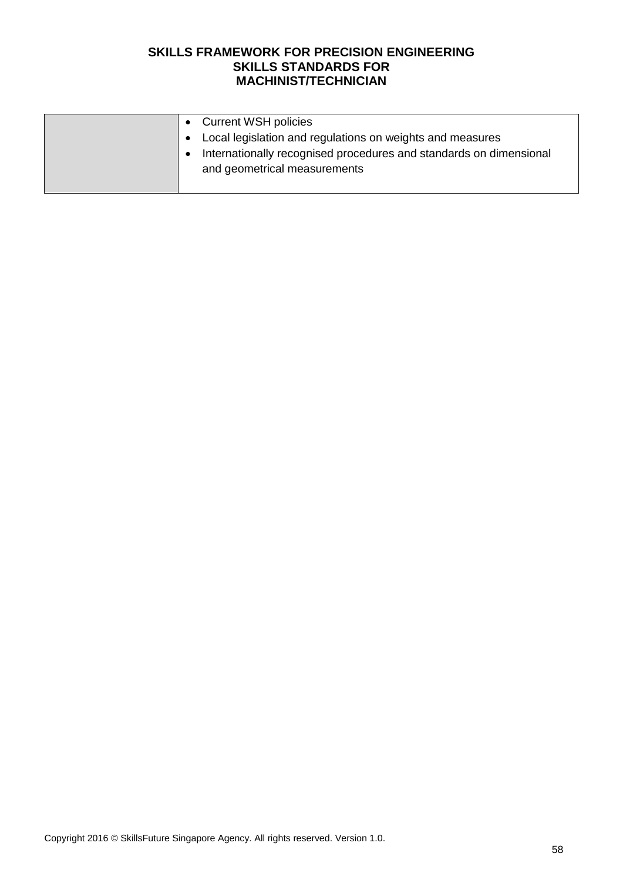| <b>Current WSH policies</b>                                        |
|--------------------------------------------------------------------|
| Local legislation and regulations on weights and measures          |
| Internationally recognised procedures and standards on dimensional |
| and geometrical measurements                                       |
|                                                                    |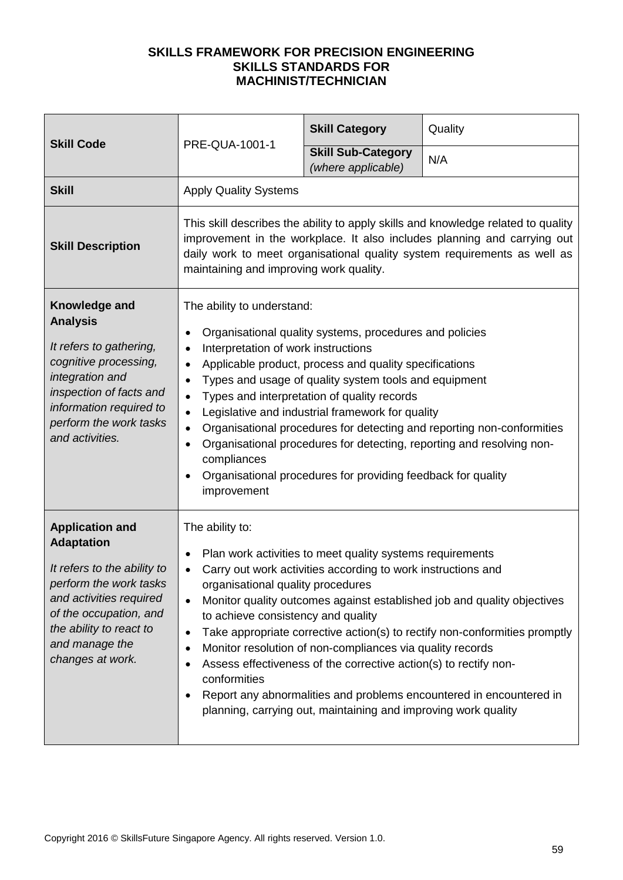| PRE-QUA-1001-1<br><b>Skill Code</b>                                                                                                                                                                                        |                                                                                                                                                                                                                                                                                                                                                                                                                                                                                                                                                                                                                                                                                                | <b>Skill Category</b>                                                                                                                                                                                                                                                                                                        | Quality                                                                                                                                                                                                                      |
|----------------------------------------------------------------------------------------------------------------------------------------------------------------------------------------------------------------------------|------------------------------------------------------------------------------------------------------------------------------------------------------------------------------------------------------------------------------------------------------------------------------------------------------------------------------------------------------------------------------------------------------------------------------------------------------------------------------------------------------------------------------------------------------------------------------------------------------------------------------------------------------------------------------------------------|------------------------------------------------------------------------------------------------------------------------------------------------------------------------------------------------------------------------------------------------------------------------------------------------------------------------------|------------------------------------------------------------------------------------------------------------------------------------------------------------------------------------------------------------------------------|
|                                                                                                                                                                                                                            | <b>Skill Sub-Category</b><br>(where applicable)                                                                                                                                                                                                                                                                                                                                                                                                                                                                                                                                                                                                                                                | N/A                                                                                                                                                                                                                                                                                                                          |                                                                                                                                                                                                                              |
| <b>Skill</b>                                                                                                                                                                                                               | <b>Apply Quality Systems</b>                                                                                                                                                                                                                                                                                                                                                                                                                                                                                                                                                                                                                                                                   |                                                                                                                                                                                                                                                                                                                              |                                                                                                                                                                                                                              |
| <b>Skill Description</b>                                                                                                                                                                                                   | This skill describes the ability to apply skills and knowledge related to quality<br>improvement in the workplace. It also includes planning and carrying out<br>daily work to meet organisational quality system requirements as well as<br>maintaining and improving work quality.                                                                                                                                                                                                                                                                                                                                                                                                           |                                                                                                                                                                                                                                                                                                                              |                                                                                                                                                                                                                              |
| Knowledge and<br><b>Analysis</b><br>It refers to gathering,<br>cognitive processing,<br>integration and<br>inspection of facts and<br>information required to<br>perform the work tasks<br>and activities.                 | The ability to understand:<br>Organisational quality systems, procedures and policies<br>Interpretation of work instructions<br>$\bullet$<br>Applicable product, process and quality specifications<br>$\bullet$<br>Types and usage of quality system tools and equipment<br>$\bullet$<br>Types and interpretation of quality records<br>$\bullet$<br>Legislative and industrial framework for quality<br>$\bullet$<br>Organisational procedures for detecting and reporting non-conformities<br>$\bullet$<br>Organisational procedures for detecting, reporting and resolving non-<br>$\bullet$<br>compliances<br>Organisational procedures for providing feedback for quality<br>improvement |                                                                                                                                                                                                                                                                                                                              |                                                                                                                                                                                                                              |
| <b>Application and</b><br><b>Adaptation</b><br>It refers to the ability to<br>perform the work tasks<br>and activities required<br>of the occupation, and<br>the ability to react to<br>and manage the<br>changes at work. | The ability to:<br>$\bullet$<br>organisational quality procedures<br>to achieve consistency and quality<br>$\bullet$<br>conformities                                                                                                                                                                                                                                                                                                                                                                                                                                                                                                                                                           | Plan work activities to meet quality systems requirements<br>Carry out work activities according to work instructions and<br>Monitor resolution of non-compliances via quality records<br>Assess effectiveness of the corrective action(s) to rectify non-<br>planning, carrying out, maintaining and improving work quality | Monitor quality outcomes against established job and quality objectives<br>Take appropriate corrective action(s) to rectify non-conformities promptly<br>Report any abnormalities and problems encountered in encountered in |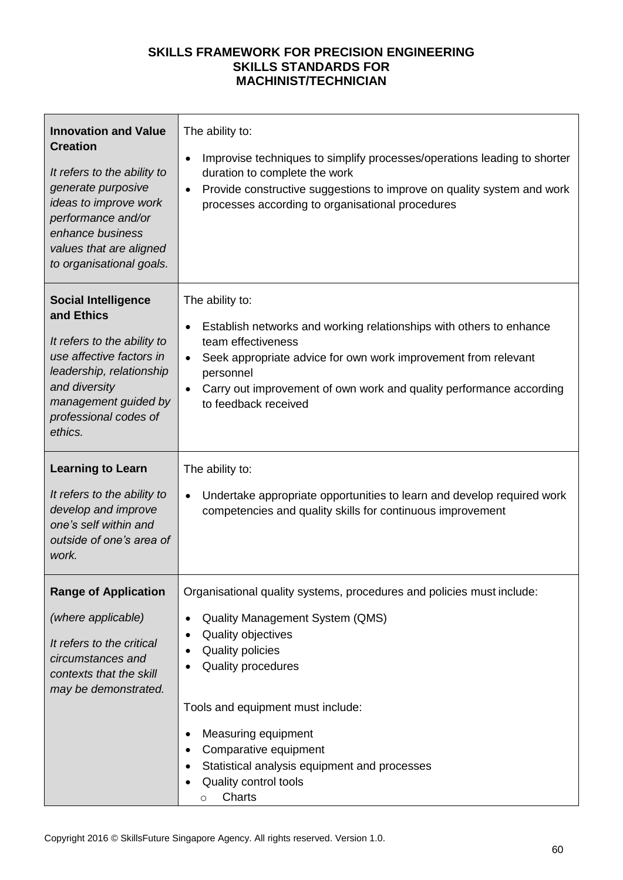| <b>Innovation and Value</b><br><b>Creation</b><br>It refers to the ability to<br>generate purposive<br>ideas to improve work<br>performance and/or<br>enhance business<br>values that are aligned<br>to organisational goals. | The ability to:<br>Improvise techniques to simplify processes/operations leading to shorter<br>$\bullet$<br>duration to complete the work<br>Provide constructive suggestions to improve on quality system and work<br>$\bullet$<br>processes according to organisational procedures                                                                                                              |
|-------------------------------------------------------------------------------------------------------------------------------------------------------------------------------------------------------------------------------|---------------------------------------------------------------------------------------------------------------------------------------------------------------------------------------------------------------------------------------------------------------------------------------------------------------------------------------------------------------------------------------------------|
| <b>Social Intelligence</b><br>and Ethics<br>It refers to the ability to<br>use affective factors in<br>leadership, relationship<br>and diversity<br>management guided by<br>professional codes of<br>ethics.                  | The ability to:<br>Establish networks and working relationships with others to enhance<br>$\bullet$<br>team effectiveness<br>Seek appropriate advice for own work improvement from relevant<br>$\bullet$<br>personnel<br>Carry out improvement of own work and quality performance according<br>$\bullet$<br>to feedback received                                                                 |
| <b>Learning to Learn</b><br>It refers to the ability to<br>develop and improve<br>one's self within and<br>outside of one's area of<br>work.                                                                                  | The ability to:<br>Undertake appropriate opportunities to learn and develop required work<br>$\bullet$<br>competencies and quality skills for continuous improvement                                                                                                                                                                                                                              |
| <b>Range of Application</b><br>(where applicable)<br>It refers to the critical<br>circumstances and<br>contexts that the skill<br>may be demonstrated.                                                                        | Organisational quality systems, procedures and policies must include:<br>Quality Management System (QMS)<br>$\bullet$<br>Quality objectives<br><b>Quality policies</b><br>Quality procedures<br>Tools and equipment must include:<br>Measuring equipment<br>٠<br>Comparative equipment<br>$\bullet$<br>Statistical analysis equipment and processes<br>Quality control tools<br>Charts<br>$\circ$ |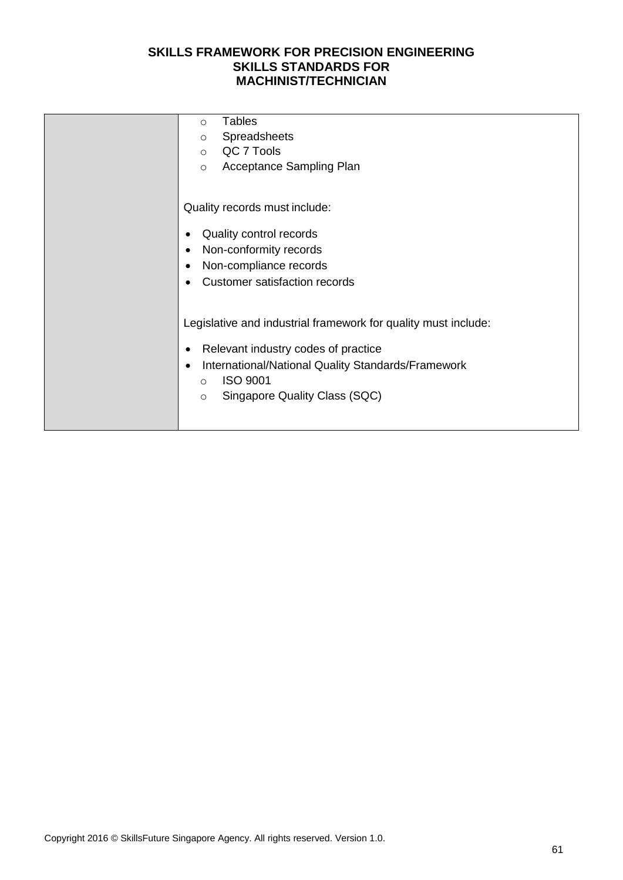| Tables<br>$\circ$                                               |
|-----------------------------------------------------------------|
| Spreadsheets<br>$\circ$                                         |
| QC 7 Tools<br>$\circ$                                           |
| Acceptance Sampling Plan<br>$\circ$                             |
|                                                                 |
| Quality records must include:                                   |
|                                                                 |
| Quality control records                                         |
| Non-conformity records<br>$\bullet$                             |
| Non-compliance records<br>$\bullet$                             |
| <b>Customer satisfaction records</b>                            |
|                                                                 |
| Legislative and industrial framework for quality must include:  |
|                                                                 |
| Relevant industry codes of practice                             |
| International/National Quality Standards/Framework<br>$\bullet$ |
| <b>ISO 9001</b><br>$\circ$                                      |
| Singapore Quality Class (SQC)<br>$\circ$                        |
|                                                                 |
|                                                                 |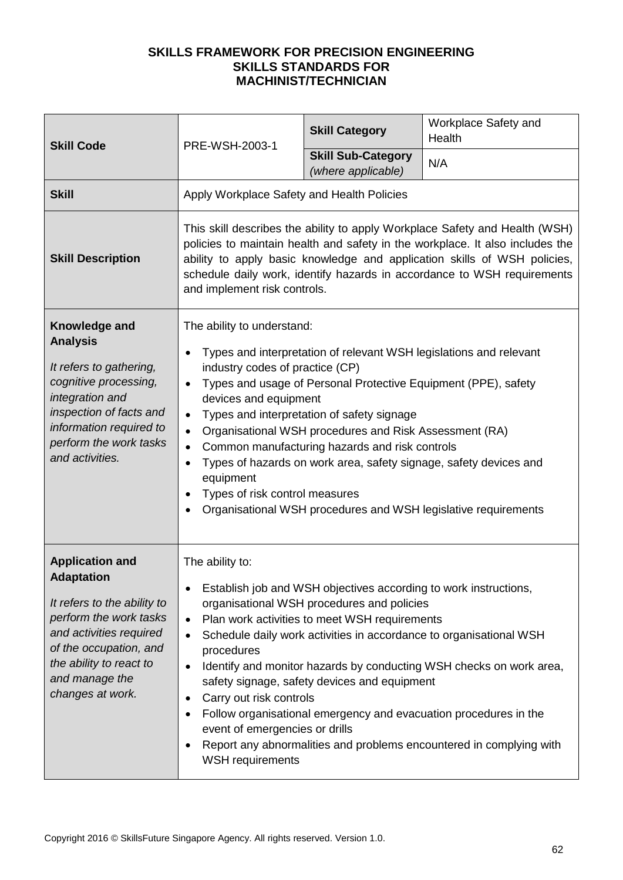| <b>Skill Code</b>                                                                                                                                                                                                          | PRE-WSH-2003-1                                                                                                                                                                                                                                                                                                                                                                                                                                                                                                                                                                                                                                               | <b>Skill Category</b>                                                                                                                                                                                                                                                                                                                                                                                                                                                                                   | Workplace Safety and<br>Health |  |
|----------------------------------------------------------------------------------------------------------------------------------------------------------------------------------------------------------------------------|--------------------------------------------------------------------------------------------------------------------------------------------------------------------------------------------------------------------------------------------------------------------------------------------------------------------------------------------------------------------------------------------------------------------------------------------------------------------------------------------------------------------------------------------------------------------------------------------------------------------------------------------------------------|---------------------------------------------------------------------------------------------------------------------------------------------------------------------------------------------------------------------------------------------------------------------------------------------------------------------------------------------------------------------------------------------------------------------------------------------------------------------------------------------------------|--------------------------------|--|
|                                                                                                                                                                                                                            |                                                                                                                                                                                                                                                                                                                                                                                                                                                                                                                                                                                                                                                              | <b>Skill Sub-Category</b><br>(where applicable)                                                                                                                                                                                                                                                                                                                                                                                                                                                         | N/A                            |  |
| <b>Skill</b>                                                                                                                                                                                                               | Apply Workplace Safety and Health Policies                                                                                                                                                                                                                                                                                                                                                                                                                                                                                                                                                                                                                   |                                                                                                                                                                                                                                                                                                                                                                                                                                                                                                         |                                |  |
| <b>Skill Description</b>                                                                                                                                                                                                   | This skill describes the ability to apply Workplace Safety and Health (WSH)<br>policies to maintain health and safety in the workplace. It also includes the<br>ability to apply basic knowledge and application skills of WSH policies,<br>schedule daily work, identify hazards in accordance to WSH requirements<br>and implement risk controls.                                                                                                                                                                                                                                                                                                          |                                                                                                                                                                                                                                                                                                                                                                                                                                                                                                         |                                |  |
| Knowledge and<br><b>Analysis</b><br>It refers to gathering,<br>cognitive processing,<br>integration and<br>inspection of facts and<br>information required to<br>perform the work tasks<br>and activities.                 | The ability to understand:<br>Types and interpretation of relevant WSH legislations and relevant<br>$\bullet$<br>industry codes of practice (CP)<br>Types and usage of Personal Protective Equipment (PPE), safety<br>$\bullet$<br>devices and equipment<br>Types and interpretation of safety signage<br>$\bullet$<br>Organisational WSH procedures and Risk Assessment (RA)<br>$\bullet$<br>Common manufacturing hazards and risk controls<br>$\bullet$<br>Types of hazards on work area, safety signage, safety devices and<br>$\bullet$<br>equipment<br>Types of risk control measures<br>Organisational WSH procedures and WSH legislative requirements |                                                                                                                                                                                                                                                                                                                                                                                                                                                                                                         |                                |  |
| <b>Application and</b><br><b>Adaptation</b><br>It refers to the ability to<br>perform the work tasks<br>and activities required<br>of the occupation, and<br>the ability to react to<br>and manage the<br>changes at work. | The ability to:<br>$\bullet$<br>$\bullet$<br>procedures<br>$\bullet$<br>Carry out risk controls<br>$\bullet$<br>event of emergencies or drills<br><b>WSH requirements</b>                                                                                                                                                                                                                                                                                                                                                                                                                                                                                    | Establish job and WSH objectives according to work instructions,<br>organisational WSH procedures and policies<br>Plan work activities to meet WSH requirements<br>Schedule daily work activities in accordance to organisational WSH<br>Identify and monitor hazards by conducting WSH checks on work area,<br>safety signage, safety devices and equipment<br>Follow organisational emergency and evacuation procedures in the<br>Report any abnormalities and problems encountered in complying with |                                |  |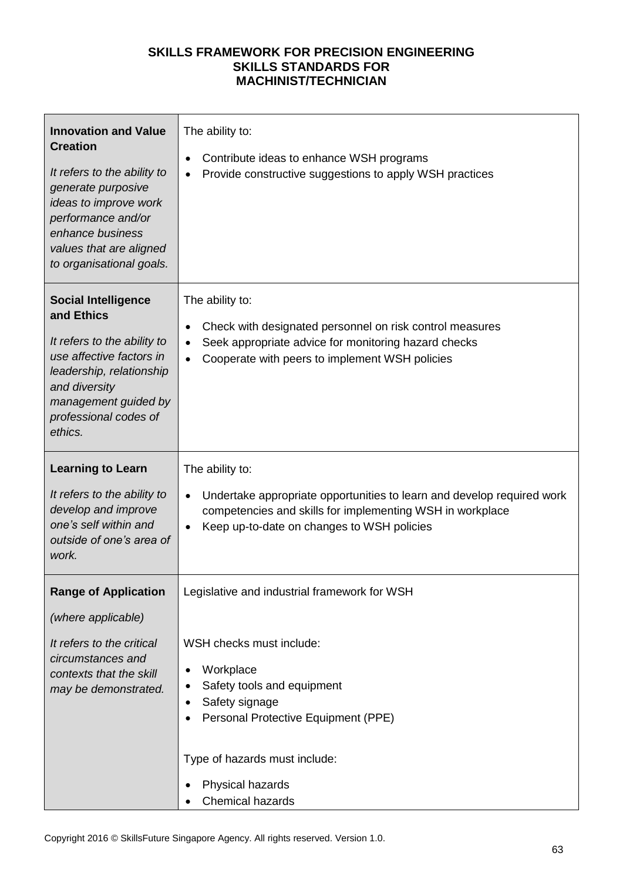| <b>Innovation and Value</b><br><b>Creation</b><br>It refers to the ability to<br>generate purposive<br>ideas to improve work<br>performance and/or<br>enhance business<br>values that are aligned<br>to organisational goals. | The ability to:<br>Contribute ideas to enhance WSH programs<br>٠<br>Provide constructive suggestions to apply WSH practices                                                                           |
|-------------------------------------------------------------------------------------------------------------------------------------------------------------------------------------------------------------------------------|-------------------------------------------------------------------------------------------------------------------------------------------------------------------------------------------------------|
| <b>Social Intelligence</b><br>and Ethics<br>It refers to the ability to<br>use affective factors in<br>leadership, relationship<br>and diversity<br>management guided by<br>professional codes of<br>ethics.                  | The ability to:<br>Check with designated personnel on risk control measures<br>Seek appropriate advice for monitoring hazard checks<br>$\bullet$<br>Cooperate with peers to implement WSH policies    |
| <b>Learning to Learn</b>                                                                                                                                                                                                      | The ability to:                                                                                                                                                                                       |
| It refers to the ability to<br>develop and improve<br>one's self within and<br>outside of one's area of<br>work.                                                                                                              | Undertake appropriate opportunities to learn and develop required work<br>$\bullet$<br>competencies and skills for implementing WSH in workplace<br>Keep up-to-date on changes to WSH policies        |
| <b>Range of Application</b>                                                                                                                                                                                                   | Legislative and industrial framework for WSH                                                                                                                                                          |
| (where applicable)                                                                                                                                                                                                            |                                                                                                                                                                                                       |
| It refers to the critical<br>circumstances and<br>contexts that the skill<br>may be demonstrated.                                                                                                                             | WSH checks must include:<br>Workplace<br>Safety tools and equipment<br>Safety signage<br>Personal Protective Equipment (PPE)<br>Type of hazards must include:<br>Physical hazards<br>Chemical hazards |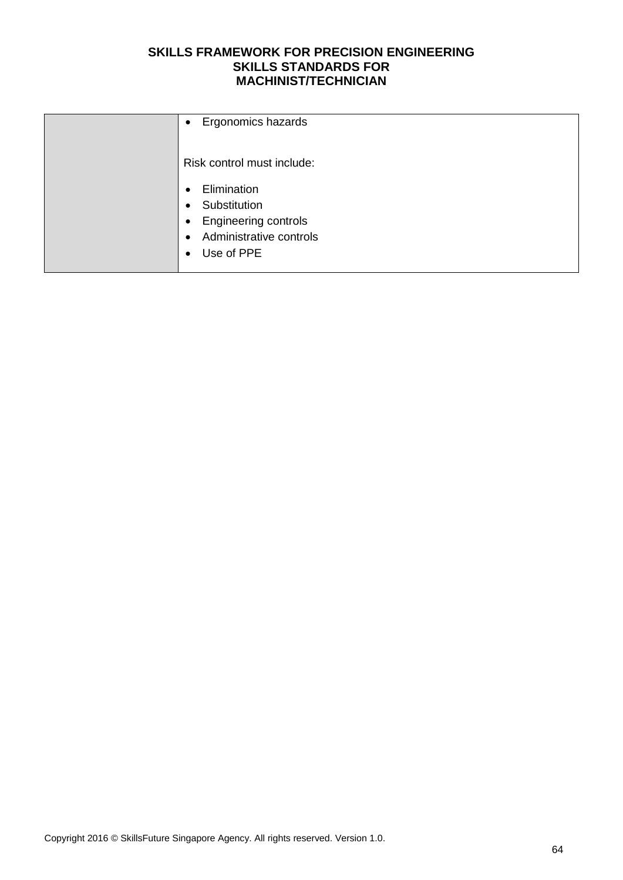| Ergonomics hazards<br>$\bullet$                                                                                                                               |
|---------------------------------------------------------------------------------------------------------------------------------------------------------------|
| Risk control must include:                                                                                                                                    |
| Elimination<br>$\bullet$<br>Substitution<br>$\bullet$<br>Engineering controls<br>$\bullet$<br>Administrative controls<br>$\bullet$<br>Use of PPE<br>$\bullet$ |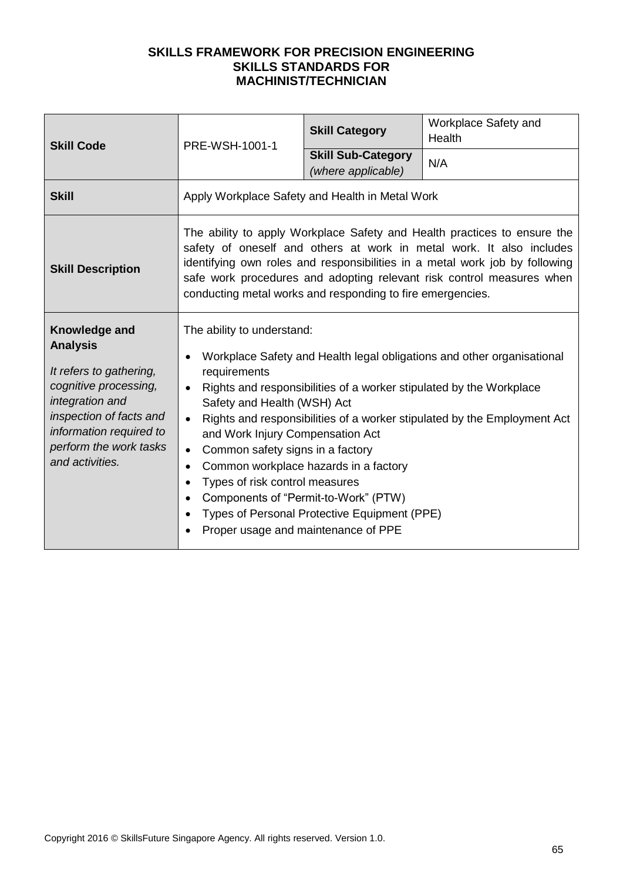| <b>Skill Code</b>                                                                                                                                                                                          | PRE-WSH-1001-1                                                                                                                                                                                                                                                                                                                                                                                                                                                                                                                                                                                                                  | <b>Skill Category</b>                           | Workplace Safety and<br>Health |  |
|------------------------------------------------------------------------------------------------------------------------------------------------------------------------------------------------------------|---------------------------------------------------------------------------------------------------------------------------------------------------------------------------------------------------------------------------------------------------------------------------------------------------------------------------------------------------------------------------------------------------------------------------------------------------------------------------------------------------------------------------------------------------------------------------------------------------------------------------------|-------------------------------------------------|--------------------------------|--|
|                                                                                                                                                                                                            |                                                                                                                                                                                                                                                                                                                                                                                                                                                                                                                                                                                                                                 | <b>Skill Sub-Category</b><br>(where applicable) | N/A                            |  |
| <b>Skill</b>                                                                                                                                                                                               | Apply Workplace Safety and Health in Metal Work                                                                                                                                                                                                                                                                                                                                                                                                                                                                                                                                                                                 |                                                 |                                |  |
| <b>Skill Description</b>                                                                                                                                                                                   | The ability to apply Workplace Safety and Health practices to ensure the<br>safety of oneself and others at work in metal work. It also includes<br>identifying own roles and responsibilities in a metal work job by following<br>safe work procedures and adopting relevant risk control measures when<br>conducting metal works and responding to fire emergencies.                                                                                                                                                                                                                                                          |                                                 |                                |  |
| Knowledge and<br><b>Analysis</b><br>It refers to gathering,<br>cognitive processing,<br>integration and<br>inspection of facts and<br>information required to<br>perform the work tasks<br>and activities. | The ability to understand:<br>Workplace Safety and Health legal obligations and other organisational<br>requirements<br>Rights and responsibilities of a worker stipulated by the Workplace<br>Safety and Health (WSH) Act<br>Rights and responsibilities of a worker stipulated by the Employment Act<br>$\bullet$<br>and Work Injury Compensation Act<br>Common safety signs in a factory<br>$\bullet$<br>Common workplace hazards in a factory<br>$\bullet$<br>Types of risk control measures<br>Components of "Permit-to-Work" (PTW)<br>Types of Personal Protective Equipment (PPE)<br>Proper usage and maintenance of PPE |                                                 |                                |  |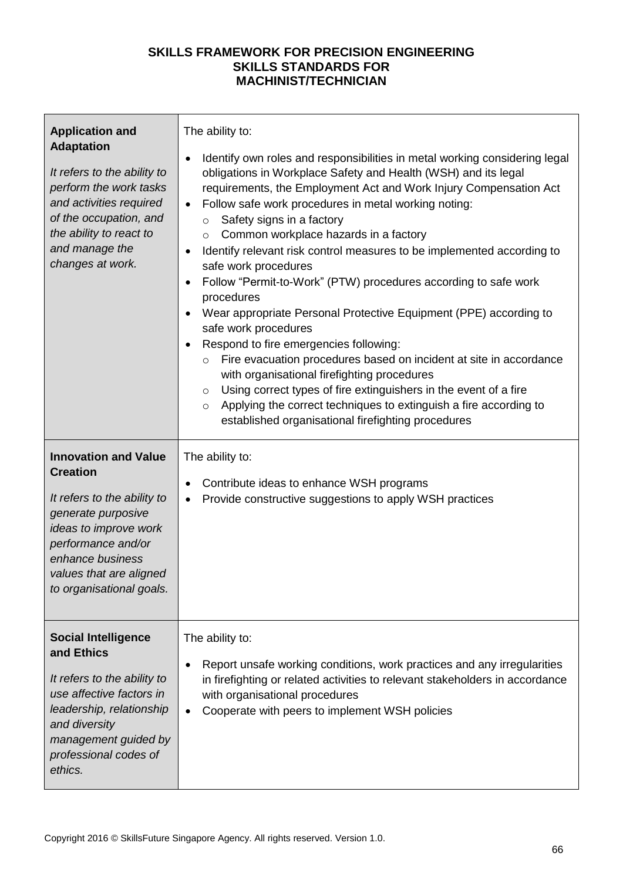| <b>Application and</b><br><b>Adaptation</b><br>It refers to the ability to<br>perform the work tasks<br>and activities required<br>of the occupation, and<br>the ability to react to<br>and manage the<br>changes at work.    | The ability to:<br>Identify own roles and responsibilities in metal working considering legal<br>٠<br>obligations in Workplace Safety and Health (WSH) and its legal<br>requirements, the Employment Act and Work Injury Compensation Act<br>Follow safe work procedures in metal working noting:<br>$\bullet$<br>Safety signs in a factory<br>$\circ$<br>Common workplace hazards in a factory<br>$\circ$<br>Identify relevant risk control measures to be implemented according to<br>safe work procedures<br>Follow "Permit-to-Work" (PTW) procedures according to safe work<br>$\bullet$<br>procedures<br>Wear appropriate Personal Protective Equipment (PPE) according to<br>$\bullet$<br>safe work procedures<br>Respond to fire emergencies following:<br>Fire evacuation procedures based on incident at site in accordance<br>$\circ$<br>with organisational firefighting procedures<br>Using correct types of fire extinguishers in the event of a fire<br>$\circ$<br>Applying the correct techniques to extinguish a fire according to<br>$\circ$<br>established organisational firefighting procedures |
|-------------------------------------------------------------------------------------------------------------------------------------------------------------------------------------------------------------------------------|---------------------------------------------------------------------------------------------------------------------------------------------------------------------------------------------------------------------------------------------------------------------------------------------------------------------------------------------------------------------------------------------------------------------------------------------------------------------------------------------------------------------------------------------------------------------------------------------------------------------------------------------------------------------------------------------------------------------------------------------------------------------------------------------------------------------------------------------------------------------------------------------------------------------------------------------------------------------------------------------------------------------------------------------------------------------------------------------------------------------|
| <b>Innovation and Value</b><br><b>Creation</b><br>It refers to the ability to<br>generate purposive<br>ideas to improve work<br>performance and/or<br>enhance business<br>values that are aligned<br>to organisational goals. | The ability to:<br>Contribute ideas to enhance WSH programs<br>Provide constructive suggestions to apply WSH practices<br>$\bullet$                                                                                                                                                                                                                                                                                                                                                                                                                                                                                                                                                                                                                                                                                                                                                                                                                                                                                                                                                                                 |
| <b>Social Intelligence</b><br>and Ethics<br>It refers to the ability to<br>use affective factors in<br>leadership, relationship<br>and diversity<br>management guided by<br>professional codes of<br>ethics.                  | The ability to:<br>Report unsafe working conditions, work practices and any irregularities<br>$\bullet$<br>in firefighting or related activities to relevant stakeholders in accordance<br>with organisational procedures<br>Cooperate with peers to implement WSH policies                                                                                                                                                                                                                                                                                                                                                                                                                                                                                                                                                                                                                                                                                                                                                                                                                                         |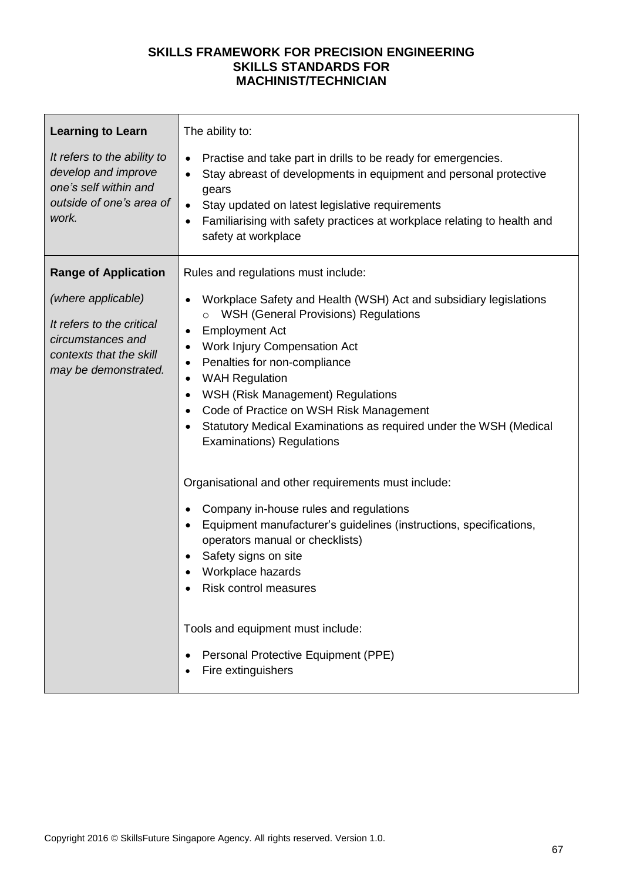| <b>Learning to Learn</b>                                                                                                | The ability to:                                                                                                                                                                                                                                                                                                                                                                                                                                                                           |  |
|-------------------------------------------------------------------------------------------------------------------------|-------------------------------------------------------------------------------------------------------------------------------------------------------------------------------------------------------------------------------------------------------------------------------------------------------------------------------------------------------------------------------------------------------------------------------------------------------------------------------------------|--|
| It refers to the ability to<br>develop and improve<br>one's self within and<br>outside of one's area of<br>work.        | Practise and take part in drills to be ready for emergencies.<br>$\bullet$<br>Stay abreast of developments in equipment and personal protective<br>gears<br>Stay updated on latest legislative requirements<br>Familiarising with safety practices at workplace relating to health and<br>safety at workplace                                                                                                                                                                             |  |
| <b>Range of Application</b>                                                                                             | Rules and regulations must include:                                                                                                                                                                                                                                                                                                                                                                                                                                                       |  |
| (where applicable)<br>It refers to the critical<br>circumstances and<br>contexts that the skill<br>may be demonstrated. | Workplace Safety and Health (WSH) Act and subsidiary legislations<br><b>WSH (General Provisions) Regulations</b><br><b>Employment Act</b><br>٠<br>Work Injury Compensation Act<br>$\bullet$<br>Penalties for non-compliance<br>٠<br><b>WAH Regulation</b><br>$\bullet$<br>WSH (Risk Management) Regulations<br>$\bullet$<br>Code of Practice on WSH Risk Management<br>$\bullet$<br>Statutory Medical Examinations as required under the WSH (Medical<br><b>Examinations) Regulations</b> |  |
|                                                                                                                         | Organisational and other requirements must include:<br>Company in-house rules and regulations<br>Equipment manufacturer's guidelines (instructions, specifications,<br>operators manual or checklists)<br>Safety signs on site<br>Workplace hazards<br>Risk control measures<br>Tools and equipment must include:<br>Personal Protective Equipment (PPE)<br>Fire extinguishers                                                                                                            |  |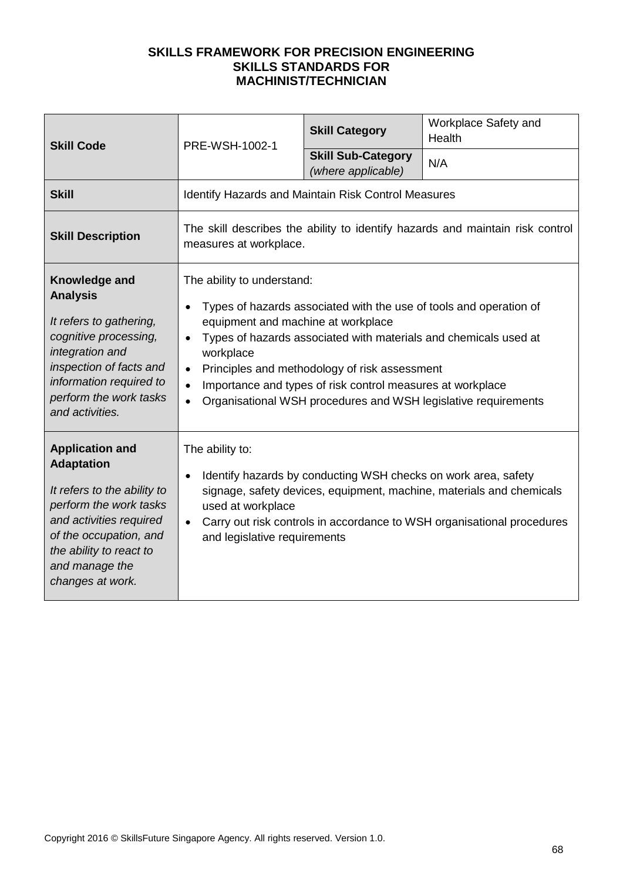| <b>Skill Code</b>                                                                                                                                                                                                          | PRE-WSH-1002-1                                                                                                                                                                                                                                                                                                                                                                                                                                  | <b>Skill Category</b>                           | Workplace Safety and<br>Health |
|----------------------------------------------------------------------------------------------------------------------------------------------------------------------------------------------------------------------------|-------------------------------------------------------------------------------------------------------------------------------------------------------------------------------------------------------------------------------------------------------------------------------------------------------------------------------------------------------------------------------------------------------------------------------------------------|-------------------------------------------------|--------------------------------|
|                                                                                                                                                                                                                            |                                                                                                                                                                                                                                                                                                                                                                                                                                                 | <b>Skill Sub-Category</b><br>(where applicable) | N/A                            |
| <b>Skill</b>                                                                                                                                                                                                               | <b>Identify Hazards and Maintain Risk Control Measures</b>                                                                                                                                                                                                                                                                                                                                                                                      |                                                 |                                |
| <b>Skill Description</b>                                                                                                                                                                                                   | The skill describes the ability to identify hazards and maintain risk control<br>measures at workplace.                                                                                                                                                                                                                                                                                                                                         |                                                 |                                |
| Knowledge and<br><b>Analysis</b><br>It refers to gathering,<br>cognitive processing,<br>integration and<br>inspection of facts and<br>information required to<br>perform the work tasks<br>and activities.                 | The ability to understand:<br>Types of hazards associated with the use of tools and operation of<br>equipment and machine at workplace<br>Types of hazards associated with materials and chemicals used at<br>$\bullet$<br>workplace<br>Principles and methodology of risk assessment<br>Importance and types of risk control measures at workplace<br>$\bullet$<br>Organisational WSH procedures and WSH legislative requirements<br>$\bullet$ |                                                 |                                |
| <b>Application and</b><br><b>Adaptation</b><br>It refers to the ability to<br>perform the work tasks<br>and activities required<br>of the occupation, and<br>the ability to react to<br>and manage the<br>changes at work. | The ability to:<br>Identify hazards by conducting WSH checks on work area, safety<br>$\bullet$<br>signage, safety devices, equipment, machine, materials and chemicals<br>used at workplace<br>Carry out risk controls in accordance to WSH organisational procedures<br>$\bullet$<br>and legislative requirements                                                                                                                              |                                                 |                                |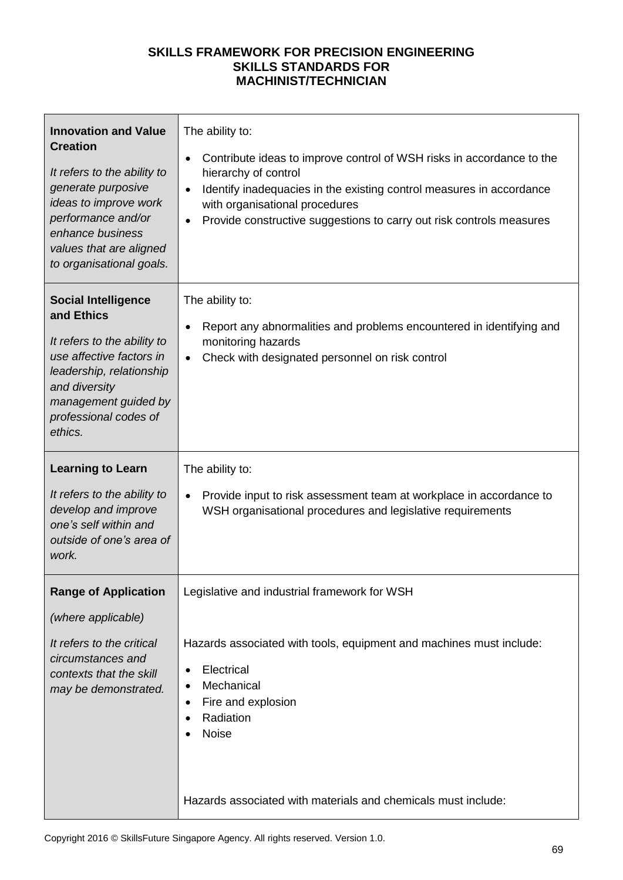| <b>Innovation and Value</b><br><b>Creation</b><br>It refers to the ability to<br>generate purposive<br>ideas to improve work<br>performance and/or<br>enhance business<br>values that are aligned<br>to organisational goals. | The ability to:<br>Contribute ideas to improve control of WSH risks in accordance to the<br>٠<br>hierarchy of control<br>Identify inadequacies in the existing control measures in accordance<br>$\bullet$<br>with organisational procedures<br>Provide constructive suggestions to carry out risk controls measures<br>$\bullet$ |
|-------------------------------------------------------------------------------------------------------------------------------------------------------------------------------------------------------------------------------|-----------------------------------------------------------------------------------------------------------------------------------------------------------------------------------------------------------------------------------------------------------------------------------------------------------------------------------|
| <b>Social Intelligence</b><br>and Ethics<br>It refers to the ability to<br>use affective factors in<br>leadership, relationship<br>and diversity<br>management guided by<br>professional codes of<br>ethics.                  | The ability to:<br>Report any abnormalities and problems encountered in identifying and<br>$\bullet$<br>monitoring hazards<br>Check with designated personnel on risk control<br>$\bullet$                                                                                                                                        |
| <b>Learning to Learn</b><br>It refers to the ability to<br>develop and improve<br>one's self within and<br>outside of one's area of<br>work.                                                                                  | The ability to:<br>Provide input to risk assessment team at workplace in accordance to<br>$\bullet$<br>WSH organisational procedures and legislative requirements                                                                                                                                                                 |
| <b>Range of Application</b><br>(where applicable)<br>It refers to the critical<br>circumstances and<br>contexts that the skill<br>may be demonstrated.                                                                        | Legislative and industrial framework for WSH<br>Hazards associated with tools, equipment and machines must include:<br>Electrical<br>٠<br>Mechanical<br>Fire and explosion<br>٠<br>Radiation<br>Noise<br>Hazards associated with materials and chemicals must include:                                                            |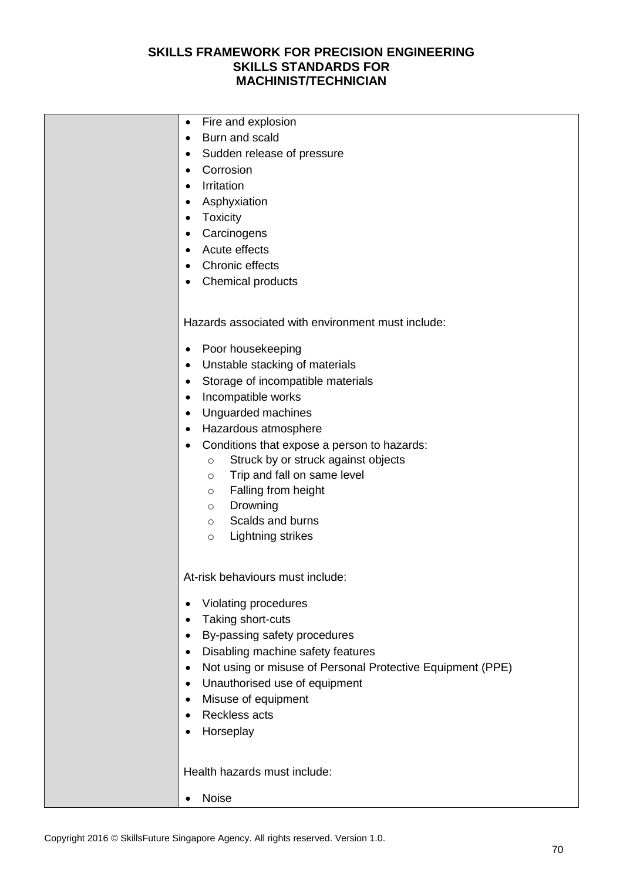| Fire and explosion<br>$\bullet$<br>Burn and scald<br>$\bullet$<br>Sudden release of pressure<br>$\bullet$<br>Corrosion<br>$\bullet$<br>Irritation<br>$\bullet$<br>Asphyxiation<br>$\bullet$<br>Toxicity<br>$\bullet$<br>Carcinogens<br>$\bullet$<br>Acute effects<br>$\bullet$<br>Chronic effects<br>$\bullet$<br>Chemical products<br>$\bullet$                                                                                                                                                                                                                                       |
|----------------------------------------------------------------------------------------------------------------------------------------------------------------------------------------------------------------------------------------------------------------------------------------------------------------------------------------------------------------------------------------------------------------------------------------------------------------------------------------------------------------------------------------------------------------------------------------|
| Hazards associated with environment must include:<br>Poor housekeeping<br>$\bullet$<br>Unstable stacking of materials<br>$\bullet$<br>Storage of incompatible materials<br>$\bullet$<br>Incompatible works<br>$\bullet$<br>Unguarded machines<br>$\bullet$<br>Hazardous atmosphere<br>$\bullet$<br>Conditions that expose a person to hazards:<br>$\bullet$<br>Struck by or struck against objects<br>$\circ$<br>Trip and fall on same level<br>$\circ$<br>Falling from height<br>$\circ$<br>Drowning<br>$\circ$<br>Scalds and burns<br>$\circ$<br><b>Lightning strikes</b><br>$\circ$ |
| At-risk behaviours must include:<br>Violating procedures<br>$\bullet$<br>Taking short-cuts<br>$\bullet$<br>By-passing safety procedures<br>$\bullet$<br>Disabling machine safety features<br>$\bullet$<br>Not using or misuse of Personal Protective Equipment (PPE)<br>$\bullet$<br>Unauthorised use of equipment<br>$\bullet$<br>Misuse of equipment<br>$\bullet$<br><b>Reckless acts</b><br>$\bullet$<br>Horseplay<br>$\bullet$                                                                                                                                                     |
| Health hazards must include:<br>Noise<br>$\bullet$                                                                                                                                                                                                                                                                                                                                                                                                                                                                                                                                     |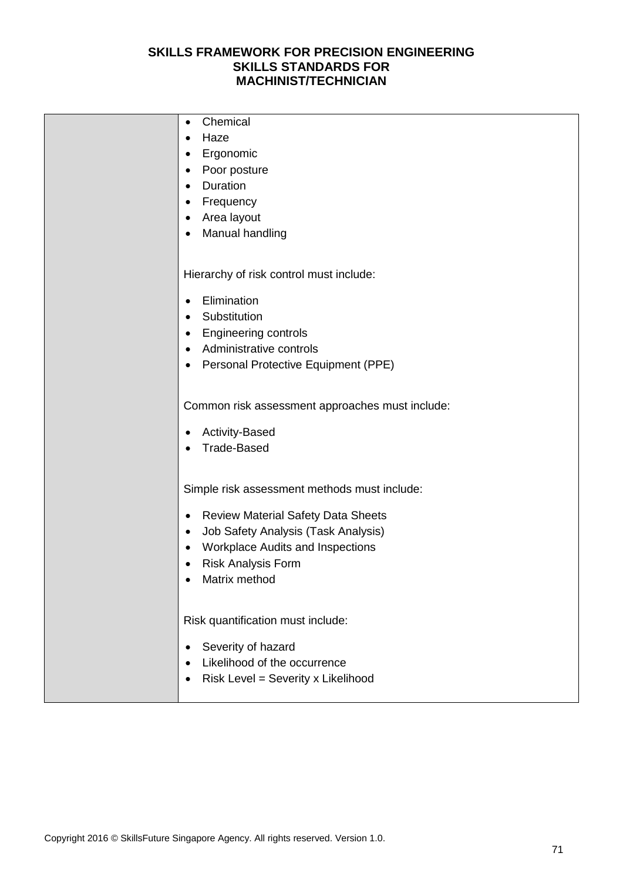| Chemical<br>٠                                   |
|-------------------------------------------------|
| Haze                                            |
| Ergonomic                                       |
| Poor posture                                    |
| Duration<br>$\bullet$                           |
| Frequency                                       |
| Area layout                                     |
| Manual handling                                 |
|                                                 |
| Hierarchy of risk control must include:         |
| Elimination                                     |
| Substitution                                    |
| <b>Engineering controls</b><br>٠                |
| Administrative controls                         |
| Personal Protective Equipment (PPE)<br>٠        |
|                                                 |
| Common risk assessment approaches must include: |
| <b>Activity-Based</b>                           |
| <b>Trade-Based</b>                              |
|                                                 |
| Simple risk assessment methods must include:    |
| Review Material Safety Data Sheets<br>$\bullet$ |
| Job Safety Analysis (Task Analysis)             |
| Workplace Audits and Inspections                |
| <b>Risk Analysis Form</b>                       |
| Matrix method                                   |
|                                                 |
| Risk quantification must include:               |
| Severity of hazard                              |
| Likelihood of the occurrence                    |
| Risk Level = Severity x Likelihood              |
|                                                 |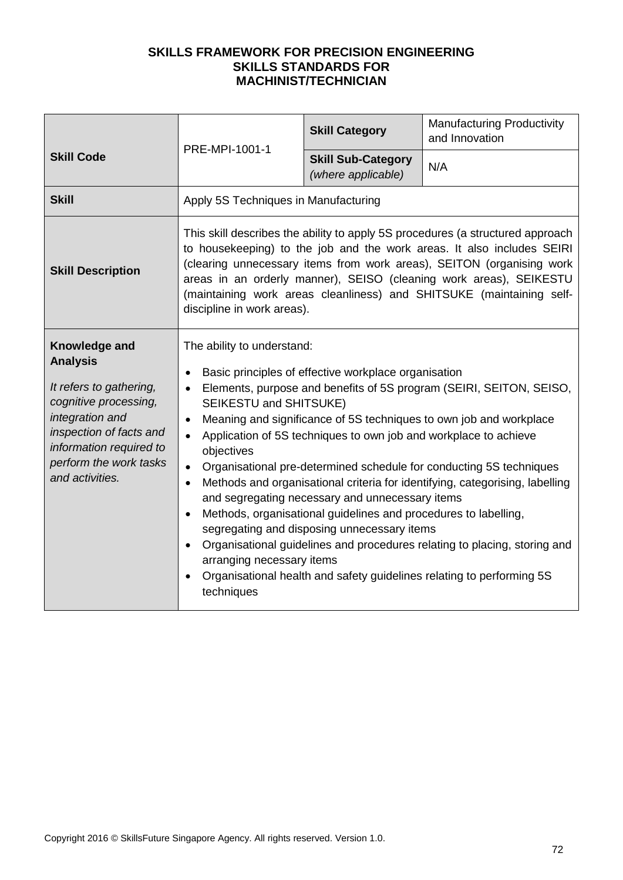|                                                                                                                                                                                                            | PRE-MPI-1001-1                                                                                                                                                                                                                                                                                                                                                                                                                                                                                                                                                                                                                                                                                                                                                                                                                                                                                                               | <b>Skill Category</b>                           | <b>Manufacturing Productivity</b><br>and Innovation |  |
|------------------------------------------------------------------------------------------------------------------------------------------------------------------------------------------------------------|------------------------------------------------------------------------------------------------------------------------------------------------------------------------------------------------------------------------------------------------------------------------------------------------------------------------------------------------------------------------------------------------------------------------------------------------------------------------------------------------------------------------------------------------------------------------------------------------------------------------------------------------------------------------------------------------------------------------------------------------------------------------------------------------------------------------------------------------------------------------------------------------------------------------------|-------------------------------------------------|-----------------------------------------------------|--|
| <b>Skill Code</b>                                                                                                                                                                                          |                                                                                                                                                                                                                                                                                                                                                                                                                                                                                                                                                                                                                                                                                                                                                                                                                                                                                                                              | <b>Skill Sub-Category</b><br>(where applicable) | N/A                                                 |  |
| <b>Skill</b>                                                                                                                                                                                               | Apply 5S Techniques in Manufacturing                                                                                                                                                                                                                                                                                                                                                                                                                                                                                                                                                                                                                                                                                                                                                                                                                                                                                         |                                                 |                                                     |  |
| <b>Skill Description</b>                                                                                                                                                                                   | This skill describes the ability to apply 5S procedures (a structured approach<br>to housekeeping) to the job and the work areas. It also includes SEIRI<br>(clearing unnecessary items from work areas), SEITON (organising work<br>areas in an orderly manner), SEISO (cleaning work areas), SEIKESTU<br>(maintaining work areas cleanliness) and SHITSUKE (maintaining self-<br>discipline in work areas).                                                                                                                                                                                                                                                                                                                                                                                                                                                                                                                |                                                 |                                                     |  |
| Knowledge and<br><b>Analysis</b><br>It refers to gathering,<br>cognitive processing,<br>integration and<br>inspection of facts and<br>information required to<br>perform the work tasks<br>and activities. | The ability to understand:<br>Basic principles of effective workplace organisation<br>Elements, purpose and benefits of 5S program (SEIRI, SEITON, SEISO,<br>SEIKESTU and SHITSUKE)<br>Meaning and significance of 5S techniques to own job and workplace<br>$\bullet$<br>Application of 5S techniques to own job and workplace to achieve<br>$\bullet$<br>objectives<br>Organisational pre-determined schedule for conducting 5S techniques<br>$\bullet$<br>Methods and organisational criteria for identifying, categorising, labelling<br>$\bullet$<br>and segregating necessary and unnecessary items<br>Methods, organisational guidelines and procedures to labelling,<br>segregating and disposing unnecessary items<br>Organisational guidelines and procedures relating to placing, storing and<br>arranging necessary items<br>Organisational health and safety guidelines relating to performing 5S<br>techniques |                                                 |                                                     |  |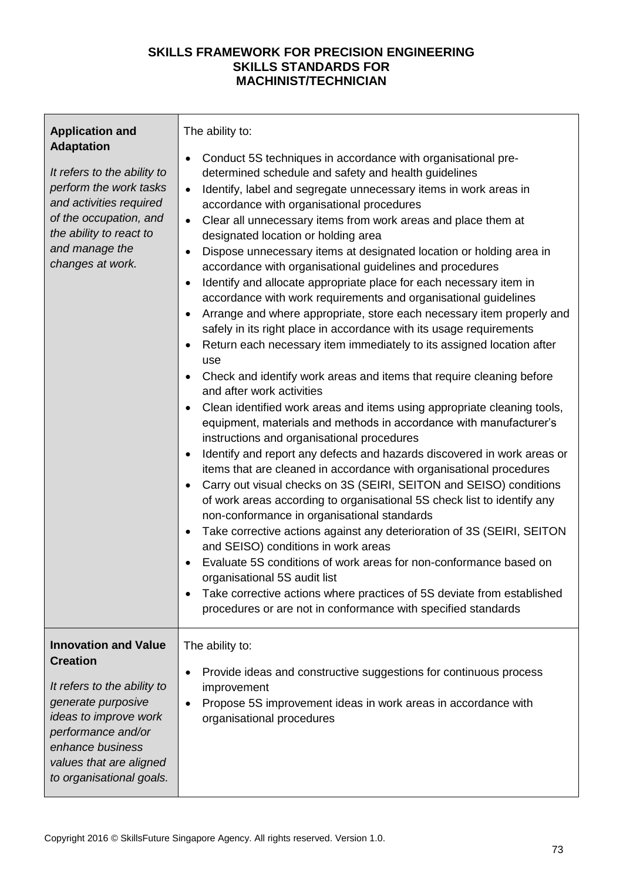| <b>Application and</b><br><b>Adaptation</b><br>It refers to the ability to<br>perform the work tasks<br>and activities required<br>of the occupation, and<br>the ability to react to<br>and manage the<br>changes at work.    | The ability to:<br>Conduct 5S techniques in accordance with organisational pre-<br>determined schedule and safety and health guidelines<br>Identify, label and segregate unnecessary items in work areas in<br>$\bullet$<br>accordance with organisational procedures<br>Clear all unnecessary items from work areas and place them at<br>$\bullet$<br>designated location or holding area<br>Dispose unnecessary items at designated location or holding area in<br>accordance with organisational guidelines and procedures<br>Identify and allocate appropriate place for each necessary item in<br>$\bullet$<br>accordance with work requirements and organisational guidelines<br>Arrange and where appropriate, store each necessary item properly and<br>safely in its right place in accordance with its usage requirements<br>Return each necessary item immediately to its assigned location after<br>use<br>Check and identify work areas and items that require cleaning before<br>and after work activities<br>Clean identified work areas and items using appropriate cleaning tools,<br>equipment, materials and methods in accordance with manufacturer's<br>instructions and organisational procedures<br>Identify and report any defects and hazards discovered in work areas or<br>$\bullet$<br>items that are cleaned in accordance with organisational procedures<br>Carry out visual checks on 3S (SEIRI, SEITON and SEISO) conditions<br>$\bullet$<br>of work areas according to organisational 5S check list to identify any<br>non-conformance in organisational standards<br>Take corrective actions against any deterioration of 3S (SEIRI, SEITON<br>$\bullet$<br>and SEISO) conditions in work areas<br>Evaluate 5S conditions of work areas for non-conformance based on<br>organisational 5S audit list<br>Take corrective actions where practices of 5S deviate from established<br>procedures or are not in conformance with specified standards |
|-------------------------------------------------------------------------------------------------------------------------------------------------------------------------------------------------------------------------------|-----------------------------------------------------------------------------------------------------------------------------------------------------------------------------------------------------------------------------------------------------------------------------------------------------------------------------------------------------------------------------------------------------------------------------------------------------------------------------------------------------------------------------------------------------------------------------------------------------------------------------------------------------------------------------------------------------------------------------------------------------------------------------------------------------------------------------------------------------------------------------------------------------------------------------------------------------------------------------------------------------------------------------------------------------------------------------------------------------------------------------------------------------------------------------------------------------------------------------------------------------------------------------------------------------------------------------------------------------------------------------------------------------------------------------------------------------------------------------------------------------------------------------------------------------------------------------------------------------------------------------------------------------------------------------------------------------------------------------------------------------------------------------------------------------------------------------------------------------------------------------------------------------------------------------------------------------------------------------------|
| <b>Innovation and Value</b><br><b>Creation</b><br>It refers to the ability to<br>generate purposive<br>ideas to improve work<br>performance and/or<br>enhance business<br>values that are aligned<br>to organisational goals. | The ability to:<br>Provide ideas and constructive suggestions for continuous process<br>improvement<br>Propose 5S improvement ideas in work areas in accordance with<br>organisational procedures                                                                                                                                                                                                                                                                                                                                                                                                                                                                                                                                                                                                                                                                                                                                                                                                                                                                                                                                                                                                                                                                                                                                                                                                                                                                                                                                                                                                                                                                                                                                                                                                                                                                                                                                                                                 |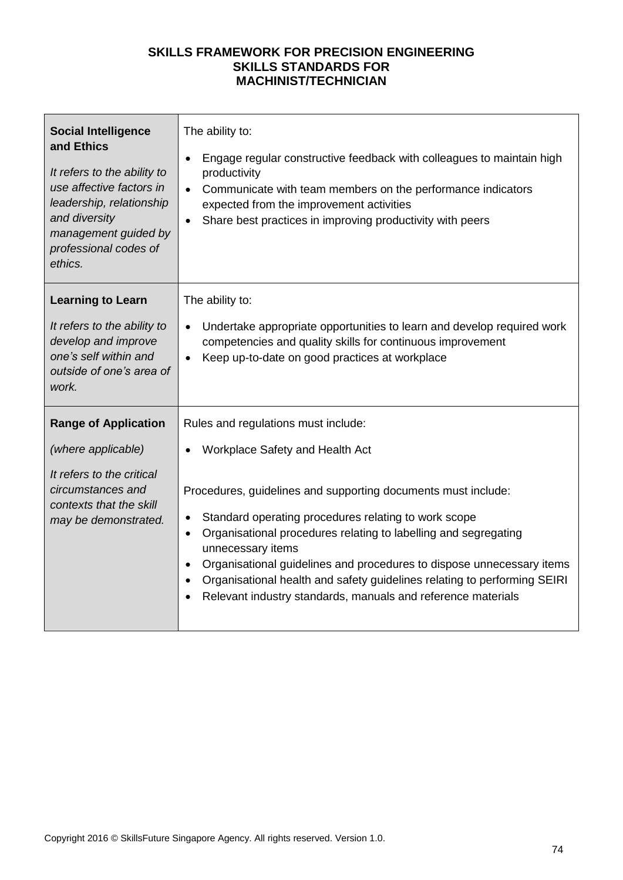| <b>Social Intelligence</b><br>and Ethics<br>It refers to the ability to<br>use affective factors in<br>leadership, relationship<br>and diversity<br>management guided by<br>professional codes of<br>ethics. | The ability to:<br>Engage regular constructive feedback with colleagues to maintain high<br>$\bullet$<br>productivity<br>Communicate with team members on the performance indicators<br>$\bullet$<br>expected from the improvement activities<br>Share best practices in improving productivity with peers                                                                                                                                                                                                                             |
|--------------------------------------------------------------------------------------------------------------------------------------------------------------------------------------------------------------|----------------------------------------------------------------------------------------------------------------------------------------------------------------------------------------------------------------------------------------------------------------------------------------------------------------------------------------------------------------------------------------------------------------------------------------------------------------------------------------------------------------------------------------|
| <b>Learning to Learn</b><br>It refers to the ability to<br>develop and improve<br>one's self within and<br>outside of one's area of<br>work.                                                                 | The ability to:<br>Undertake appropriate opportunities to learn and develop required work<br>$\bullet$<br>competencies and quality skills for continuous improvement<br>Keep up-to-date on good practices at workplace                                                                                                                                                                                                                                                                                                                 |
| <b>Range of Application</b><br>(where applicable)<br>It refers to the critical<br>circumstances and<br>contexts that the skill<br>may be demonstrated.                                                       | Rules and regulations must include:<br>Workplace Safety and Health Act<br>Procedures, guidelines and supporting documents must include:<br>Standard operating procedures relating to work scope<br>$\bullet$<br>Organisational procedures relating to labelling and segregating<br>$\bullet$<br>unnecessary items<br>Organisational guidelines and procedures to dispose unnecessary items<br>Organisational health and safety guidelines relating to performing SEIRI<br>Relevant industry standards, manuals and reference materials |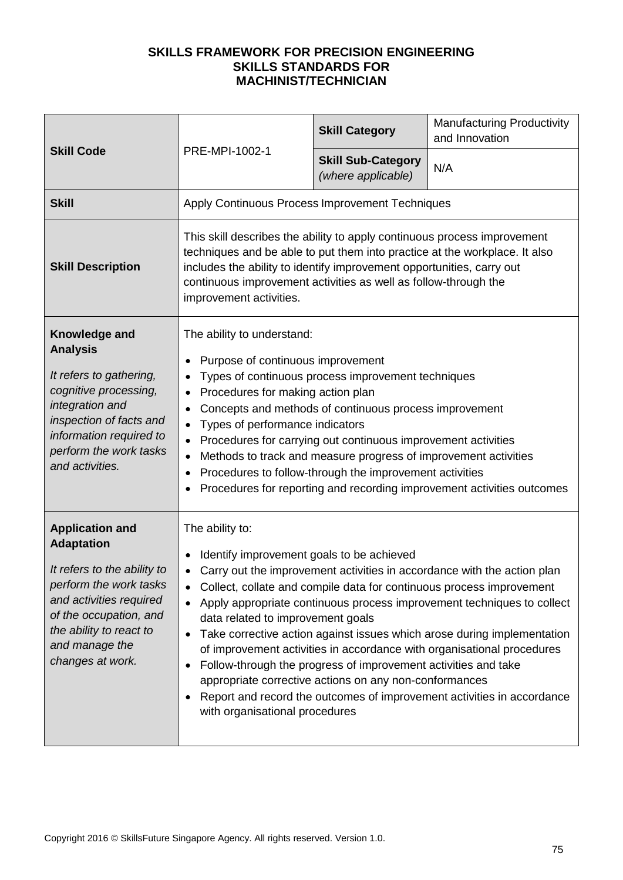| <b>Skill Code</b>                                                                                                                                                                                                          | PRE-MPI-1002-1                                                                                                                                                                                                                                                                                                                | <b>Skill Category</b>                                                                                                                                                                                                                                                                                       | <b>Manufacturing Productivity</b><br>and Innovation                                                                                                                                                                                                                                                                                                                                                                                                      |
|----------------------------------------------------------------------------------------------------------------------------------------------------------------------------------------------------------------------------|-------------------------------------------------------------------------------------------------------------------------------------------------------------------------------------------------------------------------------------------------------------------------------------------------------------------------------|-------------------------------------------------------------------------------------------------------------------------------------------------------------------------------------------------------------------------------------------------------------------------------------------------------------|----------------------------------------------------------------------------------------------------------------------------------------------------------------------------------------------------------------------------------------------------------------------------------------------------------------------------------------------------------------------------------------------------------------------------------------------------------|
|                                                                                                                                                                                                                            |                                                                                                                                                                                                                                                                                                                               | <b>Skill Sub-Category</b><br>(where applicable)                                                                                                                                                                                                                                                             | N/A                                                                                                                                                                                                                                                                                                                                                                                                                                                      |
| <b>Skill</b>                                                                                                                                                                                                               | Apply Continuous Process Improvement Techniques                                                                                                                                                                                                                                                                               |                                                                                                                                                                                                                                                                                                             |                                                                                                                                                                                                                                                                                                                                                                                                                                                          |
| <b>Skill Description</b>                                                                                                                                                                                                   | This skill describes the ability to apply continuous process improvement<br>techniques and be able to put them into practice at the workplace. It also<br>includes the ability to identify improvement opportunities, carry out<br>continuous improvement activities as well as follow-through the<br>improvement activities. |                                                                                                                                                                                                                                                                                                             |                                                                                                                                                                                                                                                                                                                                                                                                                                                          |
| Knowledge and<br><b>Analysis</b><br>It refers to gathering,<br>cognitive processing,<br>integration and<br>inspection of facts and<br>information required to<br>perform the work tasks<br>and activities.                 | The ability to understand:<br>Purpose of continuous improvement<br>Procedures for making action plan<br>$\bullet$<br>Types of performance indicators                                                                                                                                                                          | Types of continuous process improvement techniques<br>Concepts and methods of continuous process improvement<br>Procedures for carrying out continuous improvement activities<br>Methods to track and measure progress of improvement activities<br>Procedures to follow-through the improvement activities | Procedures for reporting and recording improvement activities outcomes                                                                                                                                                                                                                                                                                                                                                                                   |
| <b>Application and</b><br><b>Adaptation</b><br>It refers to the ability to<br>perform the work tasks<br>and activities required<br>of the occupation, and<br>the ability to react to<br>and manage the<br>changes at work. | The ability to:<br>Identify improvement goals to be achieved<br>data related to improvement goals<br>$\bullet$<br>with organisational procedures                                                                                                                                                                              | Follow-through the progress of improvement activities and take<br>appropriate corrective actions on any non-conformances                                                                                                                                                                                    | Carry out the improvement activities in accordance with the action plan<br>Collect, collate and compile data for continuous process improvement<br>Apply appropriate continuous process improvement techniques to collect<br>Take corrective action against issues which arose during implementation<br>of improvement activities in accordance with organisational procedures<br>Report and record the outcomes of improvement activities in accordance |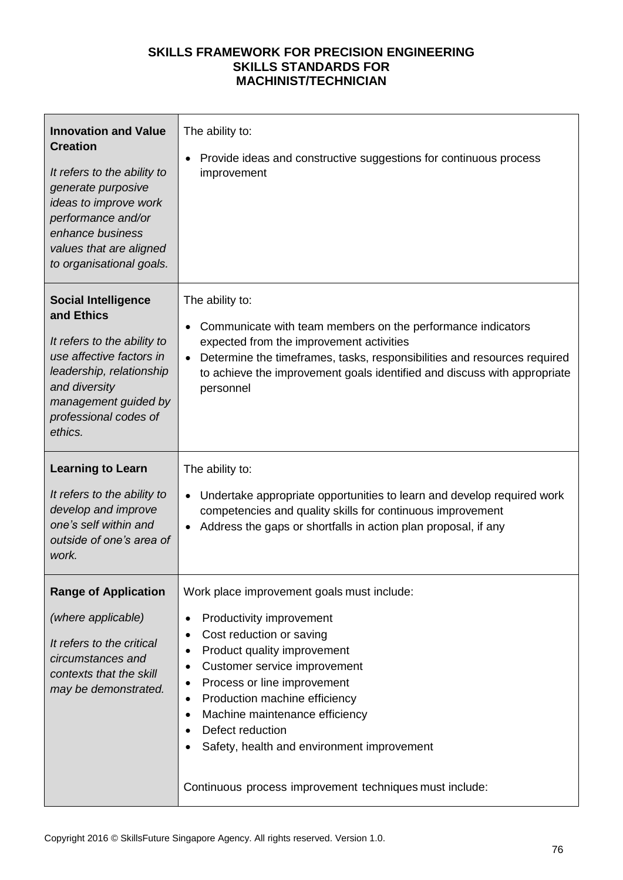| <b>Innovation and Value</b><br><b>Creation</b><br>It refers to the ability to<br>generate purposive<br>ideas to improve work<br>performance and/or<br>enhance business<br>values that are aligned<br>to organisational goals. | The ability to:<br>Provide ideas and constructive suggestions for continuous process<br>improvement                                                                                                                                                                                                                                                                                                                                                                    |
|-------------------------------------------------------------------------------------------------------------------------------------------------------------------------------------------------------------------------------|------------------------------------------------------------------------------------------------------------------------------------------------------------------------------------------------------------------------------------------------------------------------------------------------------------------------------------------------------------------------------------------------------------------------------------------------------------------------|
| <b>Social Intelligence</b><br>and Ethics<br>It refers to the ability to<br>use affective factors in<br>leadership, relationship<br>and diversity<br>management guided by<br>professional codes of<br>ethics.                  | The ability to:<br>Communicate with team members on the performance indicators<br>$\bullet$<br>expected from the improvement activities<br>Determine the timeframes, tasks, responsibilities and resources required<br>to achieve the improvement goals identified and discuss with appropriate<br>personnel                                                                                                                                                           |
| <b>Learning to Learn</b><br>It refers to the ability to<br>develop and improve<br>one's self within and<br>outside of one's area of<br>work.                                                                                  | The ability to:<br>Undertake appropriate opportunities to learn and develop required work<br>competencies and quality skills for continuous improvement<br>Address the gaps or shortfalls in action plan proposal, if any                                                                                                                                                                                                                                              |
| <b>Range of Application</b><br>(where applicable)<br>It refers to the critical<br>circumstances and<br>contexts that the skill<br>may be demonstrated.                                                                        | Work place improvement goals must include:<br>Productivity improvement<br>$\bullet$<br>Cost reduction or saving<br>Product quality improvement<br>$\bullet$<br>Customer service improvement<br>Process or line improvement<br>٠<br>Production machine efficiency<br>$\bullet$<br>Machine maintenance efficiency<br>$\bullet$<br>Defect reduction<br>$\bullet$<br>Safety, health and environment improvement<br>Continuous process improvement techniques must include: |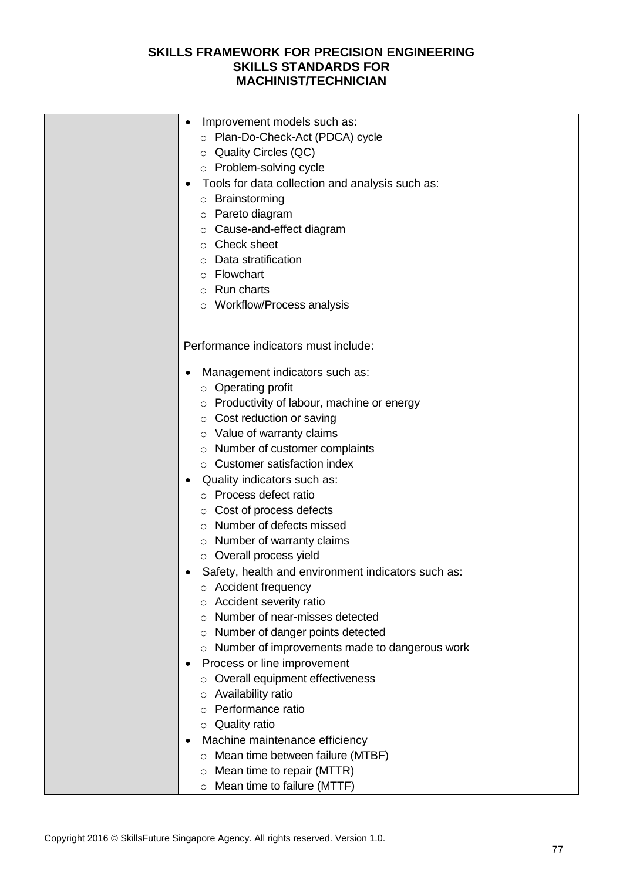| Improvement models such as:<br>$\bullet$                     |
|--------------------------------------------------------------|
| o Plan-Do-Check-Act (PDCA) cycle                             |
| ○ Quality Circles (QC)                                       |
| o Problem-solving cycle                                      |
| Tools for data collection and analysis such as:<br>$\bullet$ |
| o Brainstorming                                              |
| o Pareto diagram                                             |
| ○ Cause-and-effect diagram                                   |
| $\circ$ Check sheet                                          |
| Data stratification<br>$\circ$                               |
| Flowchart                                                    |
| $\circ$<br>$\circ$ Run charts                                |
|                                                              |
| o Workflow/Process analysis                                  |
|                                                              |
| Performance indicators must include:                         |
| Management indicators such as:                               |
| $\circ$ Operating profit                                     |
| o Productivity of labour, machine or energy                  |
| $\circ$ Cost reduction or saving                             |
| o Value of warranty claims                                   |
| o Number of customer complaints                              |
| ○ Customer satisfaction index                                |
| Quality indicators such as:                                  |
| o Process defect ratio                                       |
| ○ Cost of process defects                                    |
| o Number of defects missed                                   |
| $\circ$ Number of warranty claims                            |
| o Overall process yield                                      |
|                                                              |
| Safety, health and environment indicators such as:<br>٠      |
| Accident frequency<br>O                                      |
| Accident severity ratio<br>$\circ$                           |
| Number of near-misses detected<br>O                          |
| Number of danger points detected<br>O                        |
| Number of improvements made to dangerous work<br>O           |
| Process or line improvement<br>٠                             |
| Overall equipment effectiveness<br>$\circ$                   |
| Availability ratio<br>O                                      |
| Performance ratio<br>$\circ$                                 |
| <b>Quality ratio</b><br>O                                    |
| Machine maintenance efficiency<br>٠                          |
| Mean time between failure (MTBF)<br>O                        |
| Mean time to repair (MTTR)<br>O                              |
| Mean time to failure (MTTF)<br>O                             |
|                                                              |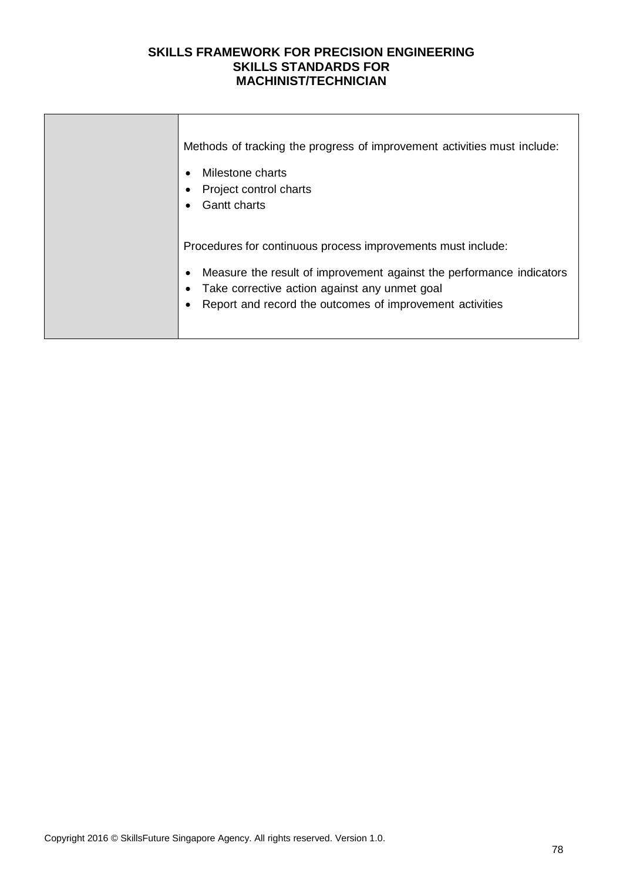| Methods of tracking the progress of improvement activities must include:<br>Milestone charts<br>Project control charts<br><b>Gantt charts</b>                                                                                                     |
|---------------------------------------------------------------------------------------------------------------------------------------------------------------------------------------------------------------------------------------------------|
| Procedures for continuous process improvements must include:<br>Measure the result of improvement against the performance indicators<br>Take corrective action against any unmet goal<br>Report and record the outcomes of improvement activities |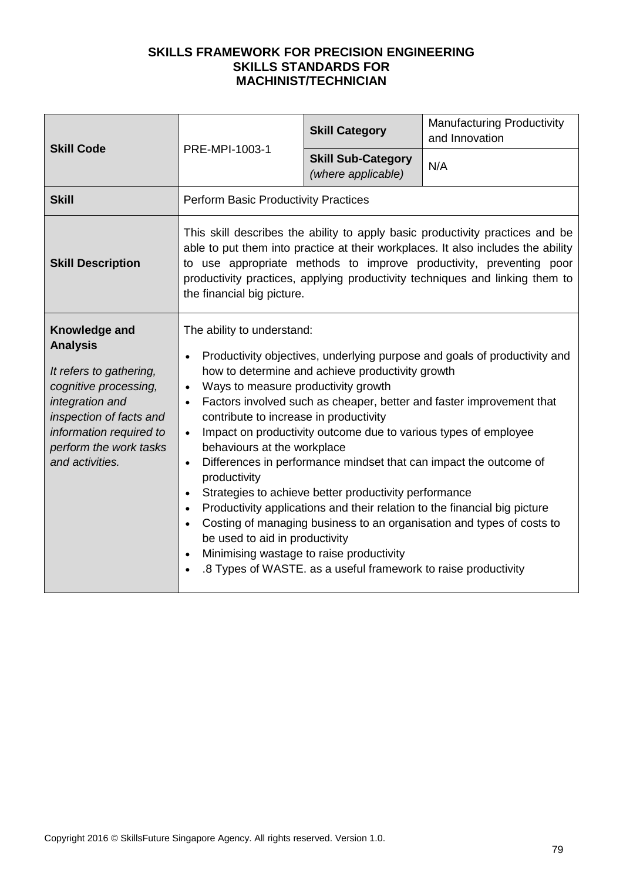| <b>Skill Code</b>                                                                                                                                                                                          | PRE-MPI-1003-1                                                                                                                                                                                                                                                                                                                      | <b>Skill Category</b>                                                                                                                                                                                                                          | <b>Manufacturing Productivity</b><br>and Innovation                                                                                                                                                                                                                                                                                                                          |
|------------------------------------------------------------------------------------------------------------------------------------------------------------------------------------------------------------|-------------------------------------------------------------------------------------------------------------------------------------------------------------------------------------------------------------------------------------------------------------------------------------------------------------------------------------|------------------------------------------------------------------------------------------------------------------------------------------------------------------------------------------------------------------------------------------------|------------------------------------------------------------------------------------------------------------------------------------------------------------------------------------------------------------------------------------------------------------------------------------------------------------------------------------------------------------------------------|
|                                                                                                                                                                                                            |                                                                                                                                                                                                                                                                                                                                     | <b>Skill Sub-Category</b><br>(where applicable)                                                                                                                                                                                                | N/A                                                                                                                                                                                                                                                                                                                                                                          |
| <b>Skill</b>                                                                                                                                                                                               | <b>Perform Basic Productivity Practices</b>                                                                                                                                                                                                                                                                                         |                                                                                                                                                                                                                                                |                                                                                                                                                                                                                                                                                                                                                                              |
| <b>Skill Description</b>                                                                                                                                                                                   | the financial big picture.                                                                                                                                                                                                                                                                                                          |                                                                                                                                                                                                                                                | This skill describes the ability to apply basic productivity practices and be<br>able to put them into practice at their workplaces. It also includes the ability<br>to use appropriate methods to improve productivity, preventing poor<br>productivity practices, applying productivity techniques and linking them to                                                     |
| Knowledge and<br><b>Analysis</b><br>It refers to gathering,<br>cognitive processing,<br>integration and<br>inspection of facts and<br>information required to<br>perform the work tasks<br>and activities. | The ability to understand:<br>Ways to measure productivity growth<br>$\bullet$<br>$\bullet$<br>contribute to increase in productivity<br>$\bullet$<br>behaviours at the workplace<br>$\bullet$<br>productivity<br>$\bullet$<br>$\bullet$<br>be used to aid in productivity<br>Minimising wastage to raise productivity<br>$\bullet$ | how to determine and achieve productivity growth<br>Impact on productivity outcome due to various types of employee<br>Strategies to achieve better productivity performance<br>.8 Types of WASTE. as a useful framework to raise productivity | Productivity objectives, underlying purpose and goals of productivity and<br>Factors involved such as cheaper, better and faster improvement that<br>Differences in performance mindset that can impact the outcome of<br>Productivity applications and their relation to the financial big picture<br>Costing of managing business to an organisation and types of costs to |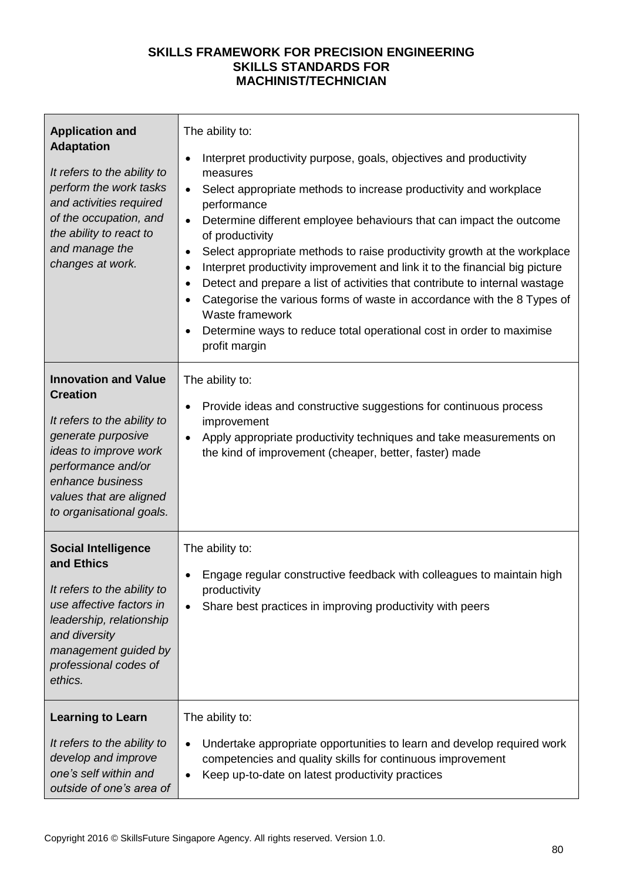| <b>Application and</b><br><b>Adaptation</b><br>It refers to the ability to<br>perform the work tasks<br>and activities required<br>of the occupation, and<br>the ability to react to<br>and manage the<br>changes at work.    | The ability to:<br>Interpret productivity purpose, goals, objectives and productivity<br>$\bullet$<br>measures<br>Select appropriate methods to increase productivity and workplace<br>$\bullet$<br>performance<br>Determine different employee behaviours that can impact the outcome<br>$\bullet$<br>of productivity<br>Select appropriate methods to raise productivity growth at the workplace<br>٠<br>Interpret productivity improvement and link it to the financial big picture<br>٠<br>Detect and prepare a list of activities that contribute to internal wastage<br>$\bullet$<br>Categorise the various forms of waste in accordance with the 8 Types of<br>$\bullet$<br>Waste framework<br>Determine ways to reduce total operational cost in order to maximise<br>profit margin |
|-------------------------------------------------------------------------------------------------------------------------------------------------------------------------------------------------------------------------------|---------------------------------------------------------------------------------------------------------------------------------------------------------------------------------------------------------------------------------------------------------------------------------------------------------------------------------------------------------------------------------------------------------------------------------------------------------------------------------------------------------------------------------------------------------------------------------------------------------------------------------------------------------------------------------------------------------------------------------------------------------------------------------------------|
| <b>Innovation and Value</b><br><b>Creation</b><br>It refers to the ability to<br>generate purposive<br>ideas to improve work<br>performance and/or<br>enhance business<br>values that are aligned<br>to organisational goals. | The ability to:<br>Provide ideas and constructive suggestions for continuous process<br>$\bullet$<br>improvement<br>Apply appropriate productivity techniques and take measurements on<br>$\bullet$<br>the kind of improvement (cheaper, better, faster) made                                                                                                                                                                                                                                                                                                                                                                                                                                                                                                                               |
| <b>Social Intelligence</b><br>and Ethics<br>It refers to the ability to<br>use affective factors in<br>leadership, relationship<br>and diversity<br>management guided by<br>professional codes of<br>ethics.                  | The ability to:<br>Engage regular constructive feedback with colleagues to maintain high<br>productivity<br>Share best practices in improving productivity with peers                                                                                                                                                                                                                                                                                                                                                                                                                                                                                                                                                                                                                       |
| <b>Learning to Learn</b><br>It refers to the ability to<br>develop and improve<br>one's self within and<br>outside of one's area of                                                                                           | The ability to:<br>Undertake appropriate opportunities to learn and develop required work<br>competencies and quality skills for continuous improvement<br>Keep up-to-date on latest productivity practices                                                                                                                                                                                                                                                                                                                                                                                                                                                                                                                                                                                 |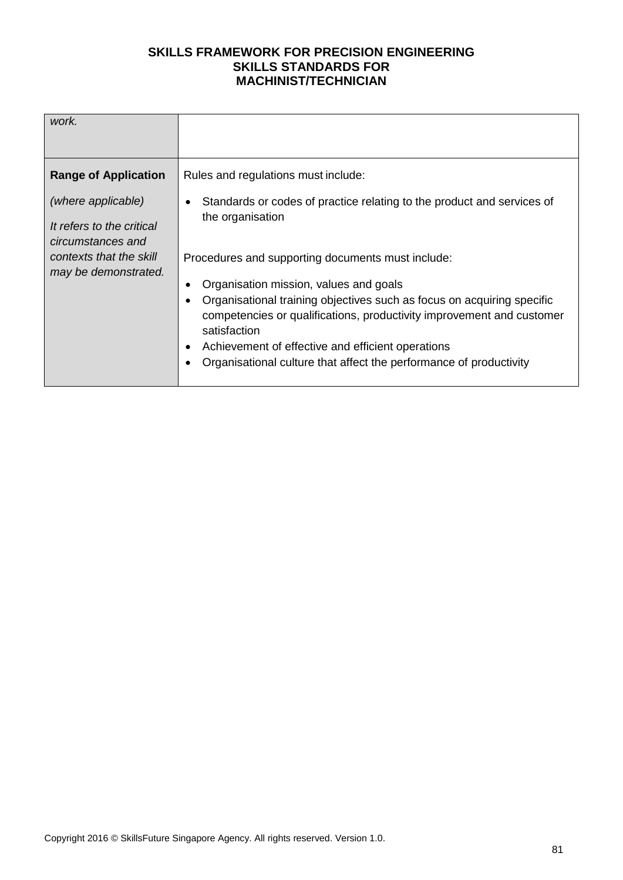| Rules and regulations must include:<br><b>Range of Application</b><br>(where applicable)<br>Standards or codes of practice relating to the product and services of<br>the organisation<br>It refers to the critical<br>circumstances and<br>contexts that the skill<br>Procedures and supporting documents must include:<br>may be demonstrated.<br>Organisation mission, values and goals<br>Organisational training objectives such as focus on acquiring specific<br>competencies or qualifications, productivity improvement and customer<br>satisfaction<br>Achievement of effective and efficient operations<br>Organisational culture that affect the performance of productivity |  |
|------------------------------------------------------------------------------------------------------------------------------------------------------------------------------------------------------------------------------------------------------------------------------------------------------------------------------------------------------------------------------------------------------------------------------------------------------------------------------------------------------------------------------------------------------------------------------------------------------------------------------------------------------------------------------------------|--|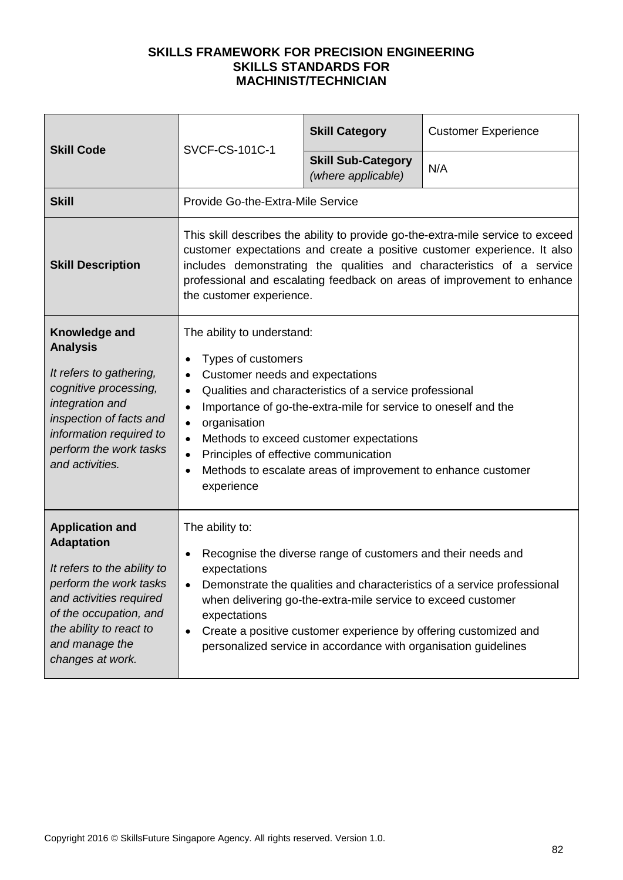| <b>Skill Code</b>                                                                                                                                                                                                          | <b>SVCF-CS-101C-1</b>                                                                                                                                                                                                                                              | <b>Skill Category</b>                                                                                                                                                                                                                                               | <b>Customer Experience</b>                                                                                                                                                                                                                                                                                      |
|----------------------------------------------------------------------------------------------------------------------------------------------------------------------------------------------------------------------------|--------------------------------------------------------------------------------------------------------------------------------------------------------------------------------------------------------------------------------------------------------------------|---------------------------------------------------------------------------------------------------------------------------------------------------------------------------------------------------------------------------------------------------------------------|-----------------------------------------------------------------------------------------------------------------------------------------------------------------------------------------------------------------------------------------------------------------------------------------------------------------|
|                                                                                                                                                                                                                            |                                                                                                                                                                                                                                                                    | <b>Skill Sub-Category</b><br>(where applicable)                                                                                                                                                                                                                     | N/A                                                                                                                                                                                                                                                                                                             |
| <b>Skill</b>                                                                                                                                                                                                               | Provide Go-the-Extra-Mile Service                                                                                                                                                                                                                                  |                                                                                                                                                                                                                                                                     |                                                                                                                                                                                                                                                                                                                 |
| <b>Skill Description</b>                                                                                                                                                                                                   | the customer experience.                                                                                                                                                                                                                                           |                                                                                                                                                                                                                                                                     | This skill describes the ability to provide go-the-extra-mile service to exceed<br>customer expectations and create a positive customer experience. It also<br>includes demonstrating the qualities and characteristics of a service<br>professional and escalating feedback on areas of improvement to enhance |
| Knowledge and<br><b>Analysis</b><br>It refers to gathering,<br>cognitive processing,<br>integration and<br>inspection of facts and<br>information required to<br>perform the work tasks<br>and activities.                 | The ability to understand:<br>Types of customers<br>$\bullet$<br>Customer needs and expectations<br>$\bullet$<br>$\bullet$<br>$\bullet$<br>organisation<br>$\bullet$<br>$\bullet$<br>Principles of effective communication<br>$\bullet$<br>$\bullet$<br>experience | Qualities and characteristics of a service professional<br>Importance of go-the-extra-mile for service to oneself and the<br>Methods to exceed customer expectations<br>Methods to escalate areas of improvement to enhance customer                                |                                                                                                                                                                                                                                                                                                                 |
| <b>Application and</b><br><b>Adaptation</b><br>It refers to the ability to<br>perform the work tasks<br>and activities required<br>of the occupation, and<br>the ability to react to<br>and manage the<br>changes at work. | The ability to:<br>$\bullet$<br>expectations<br>$\bullet$<br>expectations                                                                                                                                                                                          | Recognise the diverse range of customers and their needs and<br>when delivering go-the-extra-mile service to exceed customer<br>Create a positive customer experience by offering customized and<br>personalized service in accordance with organisation guidelines | Demonstrate the qualities and characteristics of a service professional                                                                                                                                                                                                                                         |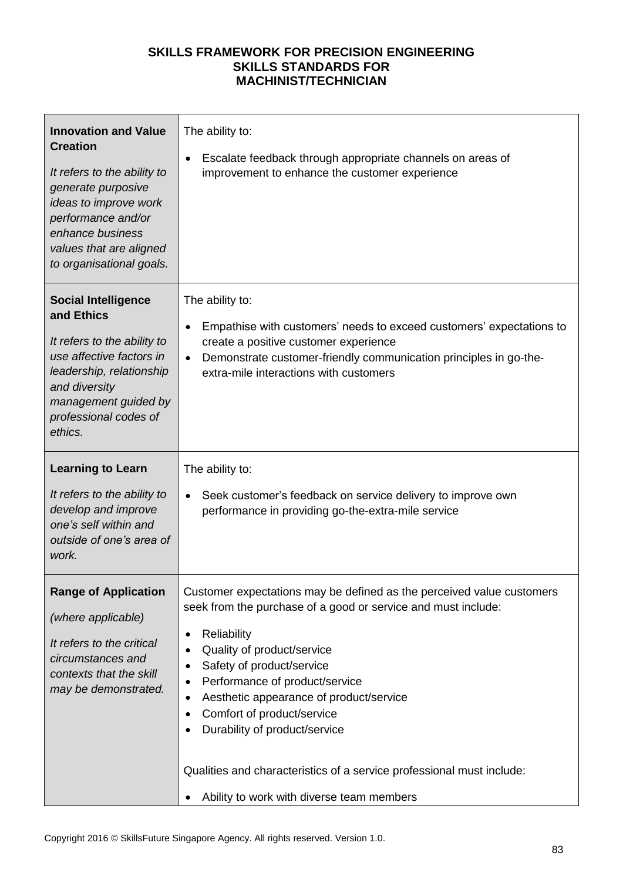| <b>Innovation and Value</b><br><b>Creation</b><br>It refers to the ability to<br>generate purposive<br>ideas to improve work<br>performance and/or<br>enhance business<br>values that are aligned<br>to organisational goals. | The ability to:<br>Escalate feedback through appropriate channels on areas of<br>٠<br>improvement to enhance the customer experience                                                                                                                                                                                                                                                          |
|-------------------------------------------------------------------------------------------------------------------------------------------------------------------------------------------------------------------------------|-----------------------------------------------------------------------------------------------------------------------------------------------------------------------------------------------------------------------------------------------------------------------------------------------------------------------------------------------------------------------------------------------|
| <b>Social Intelligence</b><br>and Ethics<br>It refers to the ability to<br>use affective factors in<br>leadership, relationship<br>and diversity<br>management guided by<br>professional codes of<br>ethics.                  | The ability to:<br>Empathise with customers' needs to exceed customers' expectations to<br>$\bullet$<br>create a positive customer experience<br>Demonstrate customer-friendly communication principles in go-the-<br>$\bullet$<br>extra-mile interactions with customers                                                                                                                     |
| <b>Learning to Learn</b><br>It refers to the ability to<br>develop and improve<br>one's self within and<br>outside of one's area of                                                                                           | The ability to:<br>Seek customer's feedback on service delivery to improve own<br>$\bullet$<br>performance in providing go-the-extra-mile service                                                                                                                                                                                                                                             |
| work.                                                                                                                                                                                                                         |                                                                                                                                                                                                                                                                                                                                                                                               |
| <b>Range of Application</b><br>(where applicable)<br>It refers to the critical<br>circumstances and<br>contexts that the skill<br>may be demonstrated.                                                                        | Customer expectations may be defined as the perceived value customers<br>seek from the purchase of a good or service and must include:<br>Reliability<br>٠<br>Quality of product/service<br>٠<br>Safety of product/service<br>Performance of product/service<br>٠<br>Aesthetic appearance of product/service<br>٠<br>Comfort of product/service<br>$\bullet$<br>Durability of product/service |
|                                                                                                                                                                                                                               | Qualities and characteristics of a service professional must include:<br>Ability to work with diverse team members                                                                                                                                                                                                                                                                            |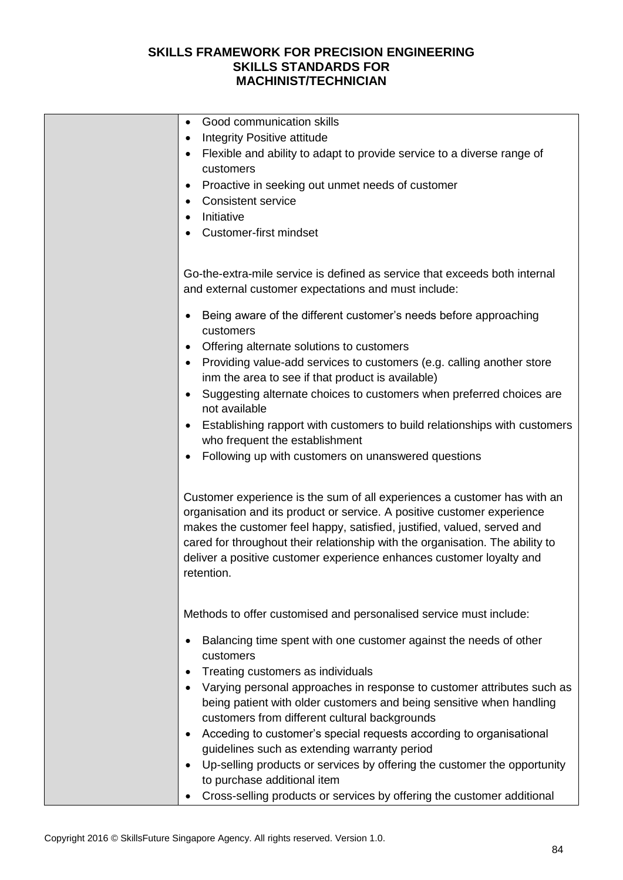| Good communication skills<br>$\bullet$                                        |
|-------------------------------------------------------------------------------|
| Integrity Positive attitude                                                   |
| Flexible and ability to adapt to provide service to a diverse range of        |
| customers                                                                     |
| Proactive in seeking out unmet needs of customer                              |
| <b>Consistent service</b>                                                     |
| Initiative                                                                    |
| <b>Customer-first mindset</b>                                                 |
|                                                                               |
| Go-the-extra-mile service is defined as service that exceeds both internal    |
| and external customer expectations and must include:                          |
|                                                                               |
| Being aware of the different customer's needs before approaching              |
| customers                                                                     |
| Offering alternate solutions to customers                                     |
| Providing value-add services to customers (e.g. calling another store         |
| inm the area to see if that product is available)                             |
| Suggesting alternate choices to customers when preferred choices are          |
| not available                                                                 |
| Establishing rapport with customers to build relationships with customers     |
| who frequent the establishment                                                |
| Following up with customers on unanswered questions                           |
|                                                                               |
| Customer experience is the sum of all experiences a customer has with an      |
| organisation and its product or service. A positive customer experience       |
| makes the customer feel happy, satisfied, justified, valued, served and       |
| cared for throughout their relationship with the organisation. The ability to |
| deliver a positive customer experience enhances customer loyalty and          |
| retention.                                                                    |
|                                                                               |
| Methods to offer customised and personalised service must include:            |
|                                                                               |
| Balancing time spent with one customer against the needs of other             |
| customers                                                                     |
| Treating customers as individuals                                             |
| Varying personal approaches in response to customer attributes such as        |
| being patient with older customers and being sensitive when handling          |
| customers from different cultural backgrounds                                 |
| Acceding to customer's special requests according to organisational           |
| guidelines such as extending warranty period                                  |
| Up-selling products or services by offering the customer the opportunity      |
| to purchase additional item                                                   |
| Cross-selling products or services by offering the customer additional        |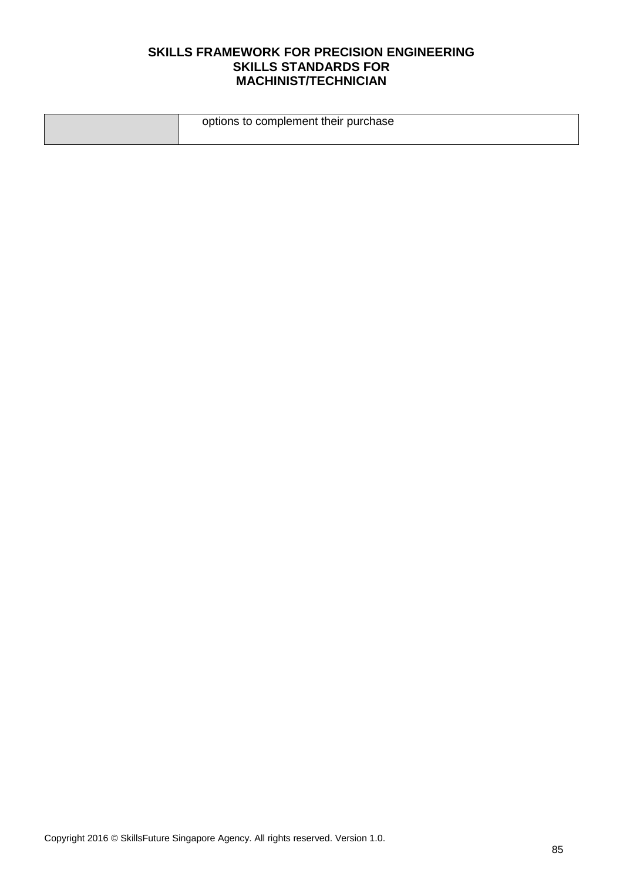| options to complement their purchase |
|--------------------------------------|
|                                      |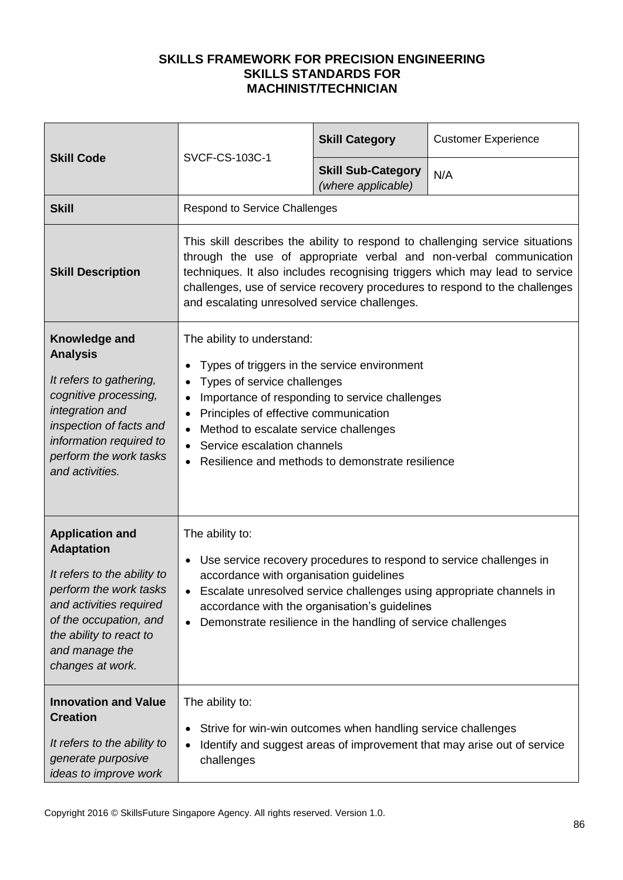| <b>Skill Code</b>                                                                                                                                                                                                          | SVCF-CS-103C-1                                                                                                                                                                                                                                                                                                                                                     | <b>Skill Category</b>                           | <b>Customer Experience</b> |
|----------------------------------------------------------------------------------------------------------------------------------------------------------------------------------------------------------------------------|--------------------------------------------------------------------------------------------------------------------------------------------------------------------------------------------------------------------------------------------------------------------------------------------------------------------------------------------------------------------|-------------------------------------------------|----------------------------|
|                                                                                                                                                                                                                            |                                                                                                                                                                                                                                                                                                                                                                    | <b>Skill Sub-Category</b><br>(where applicable) | N/A                        |
| <b>Skill</b>                                                                                                                                                                                                               | Respond to Service Challenges                                                                                                                                                                                                                                                                                                                                      |                                                 |                            |
| <b>Skill Description</b>                                                                                                                                                                                                   | This skill describes the ability to respond to challenging service situations<br>through the use of appropriate verbal and non-verbal communication<br>techniques. It also includes recognising triggers which may lead to service<br>challenges, use of service recovery procedures to respond to the challenges<br>and escalating unresolved service challenges. |                                                 |                            |
| Knowledge and<br><b>Analysis</b><br>It refers to gathering,<br>cognitive processing,<br>integration and<br>inspection of facts and<br>information required to<br>perform the work tasks<br>and activities.                 | The ability to understand:<br>Types of triggers in the service environment<br>Types of service challenges<br>Importance of responding to service challenges<br>Principles of effective communication<br>$\bullet$<br>Method to escalate service challenges<br>Service escalation channels<br>$\bullet$<br>Resilience and methods to demonstrate resilience         |                                                 |                            |
| <b>Application and</b><br><b>Adaptation</b><br>It refers to the ability to<br>perform the work tasks<br>and activities required<br>of the occupation, and<br>the ability to react to<br>and manage the<br>changes at work. | The ability to:<br>Use service recovery procedures to respond to service challenges in<br>accordance with organisation guidelines<br>Escalate unresolved service challenges using appropriate channels in<br>accordance with the organisation's guidelines<br>Demonstrate resilience in the handling of service challenges<br>$\bullet$                            |                                                 |                            |
| <b>Innovation and Value</b><br><b>Creation</b><br>It refers to the ability to<br>generate purposive<br>ideas to improve work                                                                                               | The ability to:<br>Strive for win-win outcomes when handling service challenges<br>Identify and suggest areas of improvement that may arise out of service<br>challenges                                                                                                                                                                                           |                                                 |                            |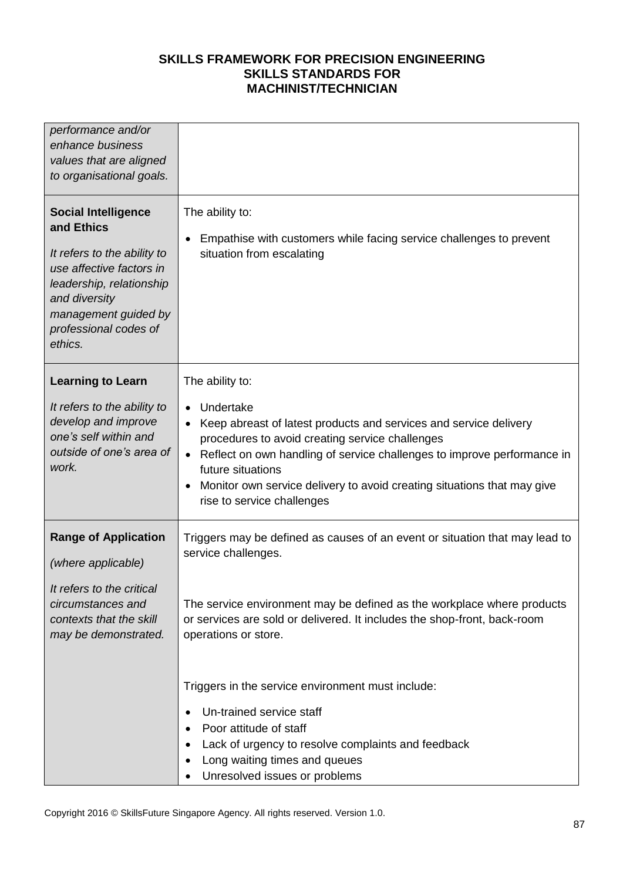| performance and/or<br>enhance business<br>values that are aligned<br>to organisational goals.                                                                                                                |                                                                                                                                                                                                                                                                                                                                                                            |
|--------------------------------------------------------------------------------------------------------------------------------------------------------------------------------------------------------------|----------------------------------------------------------------------------------------------------------------------------------------------------------------------------------------------------------------------------------------------------------------------------------------------------------------------------------------------------------------------------|
| <b>Social Intelligence</b><br>and Ethics<br>It refers to the ability to<br>use affective factors in<br>leadership, relationship<br>and diversity<br>management guided by<br>professional codes of<br>ethics. | The ability to:<br>Empathise with customers while facing service challenges to prevent<br>$\bullet$<br>situation from escalating                                                                                                                                                                                                                                           |
| <b>Learning to Learn</b><br>It refers to the ability to<br>develop and improve<br>one's self within and<br>outside of one's area of<br>work.                                                                 | The ability to:<br>Undertake<br>$\bullet$<br>Keep abreast of latest products and services and service delivery<br>procedures to avoid creating service challenges<br>Reflect on own handling of service challenges to improve performance in<br>future situations<br>Monitor own service delivery to avoid creating situations that may give<br>rise to service challenges |
| <b>Range of Application</b><br>(where applicable)<br>It refers to the critical<br>circumstances and<br>contexts that the skill<br>may be demonstrated.                                                       | Triggers may be defined as causes of an event or situation that may lead to<br>service challenges.<br>The service environment may be defined as the workplace where products<br>or services are sold or delivered. It includes the shop-front, back-room<br>operations or store.                                                                                           |
|                                                                                                                                                                                                              | Triggers in the service environment must include:<br>Un-trained service staff<br>Poor attitude of staff<br>Lack of urgency to resolve complaints and feedback<br>Long waiting times and queues<br>Unresolved issues or problems                                                                                                                                            |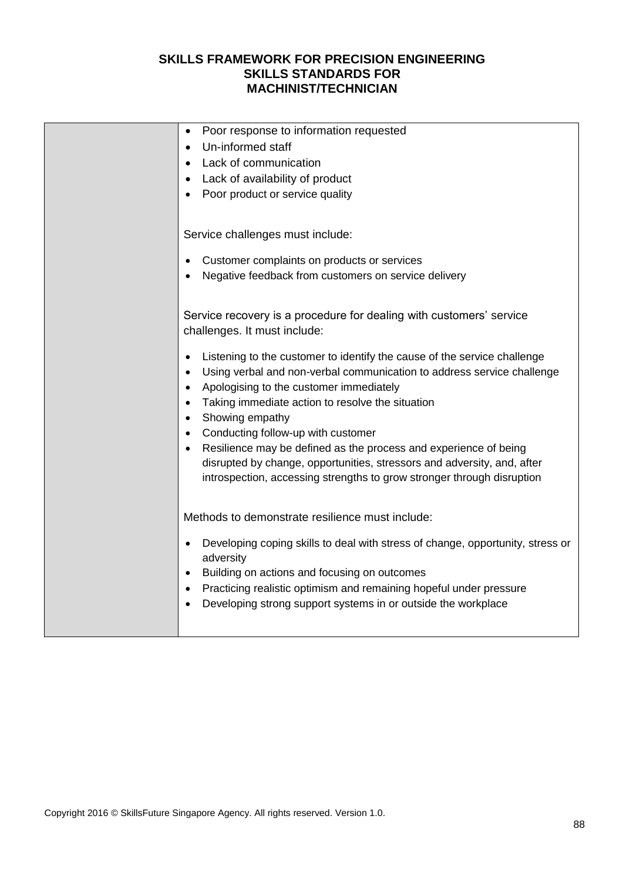| Poor response to information requested<br>$\bullet$                                                                                                                                                                          |
|------------------------------------------------------------------------------------------------------------------------------------------------------------------------------------------------------------------------------|
| Un-informed staff                                                                                                                                                                                                            |
| Lack of communication                                                                                                                                                                                                        |
| Lack of availability of product                                                                                                                                                                                              |
| Poor product or service quality                                                                                                                                                                                              |
|                                                                                                                                                                                                                              |
| Service challenges must include:                                                                                                                                                                                             |
|                                                                                                                                                                                                                              |
| Customer complaints on products or services                                                                                                                                                                                  |
| Negative feedback from customers on service delivery                                                                                                                                                                         |
|                                                                                                                                                                                                                              |
| Service recovery is a procedure for dealing with customers' service<br>challenges. It must include:                                                                                                                          |
| Listening to the customer to identify the cause of the service challenge<br>٠<br>Using verbal and non-verbal communication to address service challenge<br>$\bullet$<br>Apologising to the customer immediately<br>$\bullet$ |
| Taking immediate action to resolve the situation<br>$\bullet$                                                                                                                                                                |
| Showing empathy                                                                                                                                                                                                              |
| Conducting follow-up with customer                                                                                                                                                                                           |
| Resilience may be defined as the process and experience of being                                                                                                                                                             |
| disrupted by change, opportunities, stressors and adversity, and, after                                                                                                                                                      |
| introspection, accessing strengths to grow stronger through disruption                                                                                                                                                       |
|                                                                                                                                                                                                                              |
| Methods to demonstrate resilience must include:                                                                                                                                                                              |
| Developing coping skills to deal with stress of change, opportunity, stress or<br>$\bullet$<br>adversity                                                                                                                     |
| Building on actions and focusing on outcomes<br>$\bullet$                                                                                                                                                                    |
| Practicing realistic optimism and remaining hopeful under pressure<br>$\bullet$                                                                                                                                              |
| Developing strong support systems in or outside the workplace                                                                                                                                                                |
|                                                                                                                                                                                                                              |
|                                                                                                                                                                                                                              |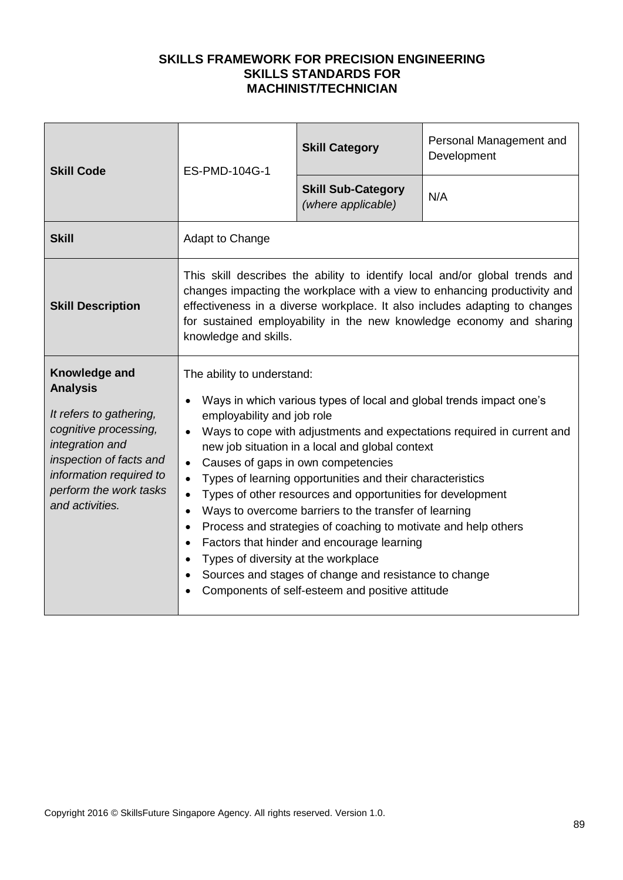| <b>Skill Code</b>                                                                                                                                                                                          | ES-PMD-104G-1                                                                                                                                                                                                                                                                                                                                                                                                                                                                                                                                                                                                                                                                                                                                                                                                 | <b>Skill Category</b>                           | Personal Management and<br>Development                                                                                                                                                                                                                                                                         |
|------------------------------------------------------------------------------------------------------------------------------------------------------------------------------------------------------------|---------------------------------------------------------------------------------------------------------------------------------------------------------------------------------------------------------------------------------------------------------------------------------------------------------------------------------------------------------------------------------------------------------------------------------------------------------------------------------------------------------------------------------------------------------------------------------------------------------------------------------------------------------------------------------------------------------------------------------------------------------------------------------------------------------------|-------------------------------------------------|----------------------------------------------------------------------------------------------------------------------------------------------------------------------------------------------------------------------------------------------------------------------------------------------------------------|
|                                                                                                                                                                                                            |                                                                                                                                                                                                                                                                                                                                                                                                                                                                                                                                                                                                                                                                                                                                                                                                               | <b>Skill Sub-Category</b><br>(where applicable) | N/A                                                                                                                                                                                                                                                                                                            |
| <b>Skill</b>                                                                                                                                                                                               | Adapt to Change                                                                                                                                                                                                                                                                                                                                                                                                                                                                                                                                                                                                                                                                                                                                                                                               |                                                 |                                                                                                                                                                                                                                                                                                                |
| <b>Skill Description</b>                                                                                                                                                                                   | knowledge and skills.                                                                                                                                                                                                                                                                                                                                                                                                                                                                                                                                                                                                                                                                                                                                                                                         |                                                 | This skill describes the ability to identify local and/or global trends and<br>changes impacting the workplace with a view to enhancing productivity and<br>effectiveness in a diverse workplace. It also includes adapting to changes<br>for sustained employability in the new knowledge economy and sharing |
| Knowledge and<br><b>Analysis</b><br>It refers to gathering,<br>cognitive processing,<br>integration and<br>inspection of facts and<br>information required to<br>perform the work tasks<br>and activities. | The ability to understand:<br>Ways in which various types of local and global trends impact one's<br>employability and job role<br>Ways to cope with adjustments and expectations required in current and<br>new job situation in a local and global context<br>Causes of gaps in own competencies<br>$\bullet$<br>Types of learning opportunities and their characteristics<br>$\bullet$<br>Types of other resources and opportunities for development<br>Ways to overcome barriers to the transfer of learning<br>$\bullet$<br>Process and strategies of coaching to motivate and help others<br>$\bullet$<br>Factors that hinder and encourage learning<br>Types of diversity at the workplace<br>Sources and stages of change and resistance to change<br>Components of self-esteem and positive attitude |                                                 |                                                                                                                                                                                                                                                                                                                |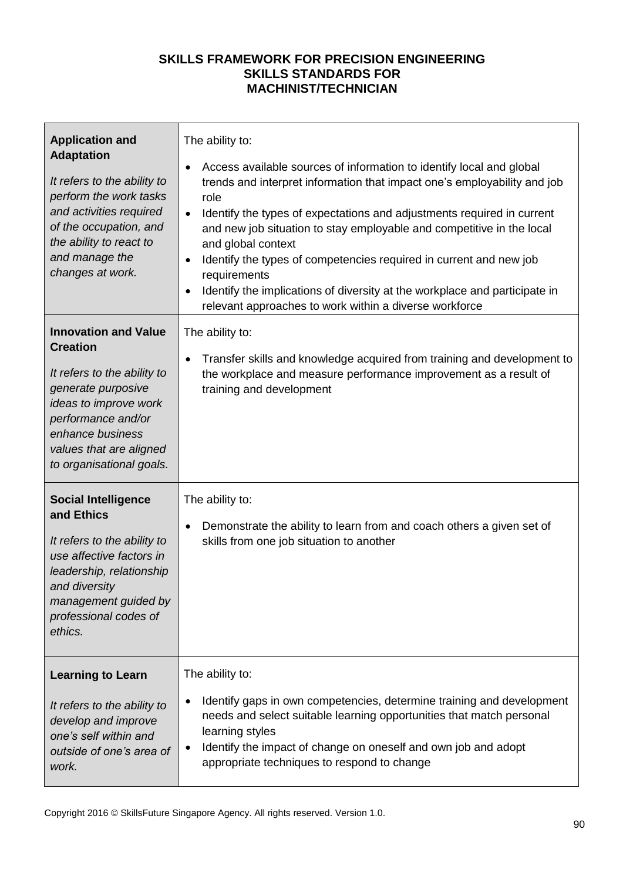| <b>Application and</b><br><b>Adaptation</b><br>It refers to the ability to<br>perform the work tasks<br>and activities required<br>of the occupation, and<br>the ability to react to<br>and manage the<br>changes at work.    | The ability to:<br>Access available sources of information to identify local and global<br>$\bullet$<br>trends and interpret information that impact one's employability and job<br>role<br>Identify the types of expectations and adjustments required in current<br>$\bullet$<br>and new job situation to stay employable and competitive in the local<br>and global context<br>Identify the types of competencies required in current and new job<br>$\bullet$<br>requirements<br>Identify the implications of diversity at the workplace and participate in<br>relevant approaches to work within a diverse workforce |
|-------------------------------------------------------------------------------------------------------------------------------------------------------------------------------------------------------------------------------|---------------------------------------------------------------------------------------------------------------------------------------------------------------------------------------------------------------------------------------------------------------------------------------------------------------------------------------------------------------------------------------------------------------------------------------------------------------------------------------------------------------------------------------------------------------------------------------------------------------------------|
| <b>Innovation and Value</b><br><b>Creation</b><br>It refers to the ability to<br>generate purposive<br>ideas to improve work<br>performance and/or<br>enhance business<br>values that are aligned<br>to organisational goals. | The ability to:<br>Transfer skills and knowledge acquired from training and development to<br>the workplace and measure performance improvement as a result of<br>training and development                                                                                                                                                                                                                                                                                                                                                                                                                                |
| <b>Social Intelligence</b><br>and Ethics<br>It refers to the ability to<br>use affective factors in<br>leadership, relationship<br>and diversity<br>management guided by<br>professional codes of<br>ethics.                  | The ability to:<br>Demonstrate the ability to learn from and coach others a given set of<br>$\bullet$<br>skills from one job situation to another                                                                                                                                                                                                                                                                                                                                                                                                                                                                         |
| <b>Learning to Learn</b><br>It refers to the ability to<br>develop and improve<br>one's self within and<br>outside of one's area of<br>work.                                                                                  | The ability to:<br>Identify gaps in own competencies, determine training and development<br>$\bullet$<br>needs and select suitable learning opportunities that match personal<br>learning styles<br>Identify the impact of change on oneself and own job and adopt<br>appropriate techniques to respond to change                                                                                                                                                                                                                                                                                                         |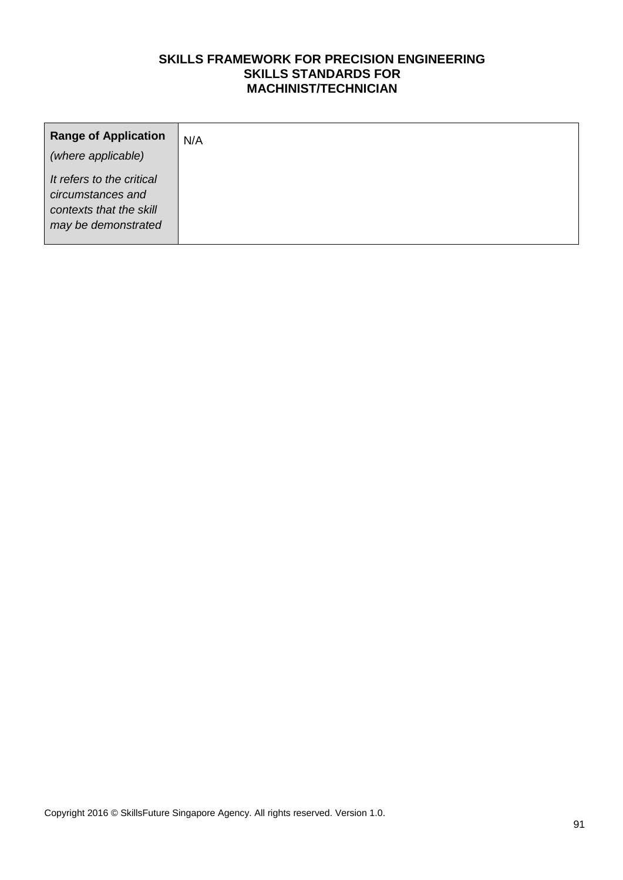| <b>Range of Application</b><br>(where applicable)                                                | N/A |
|--------------------------------------------------------------------------------------------------|-----|
| It refers to the critical<br>circumstances and<br>contexts that the skill<br>may be demonstrated |     |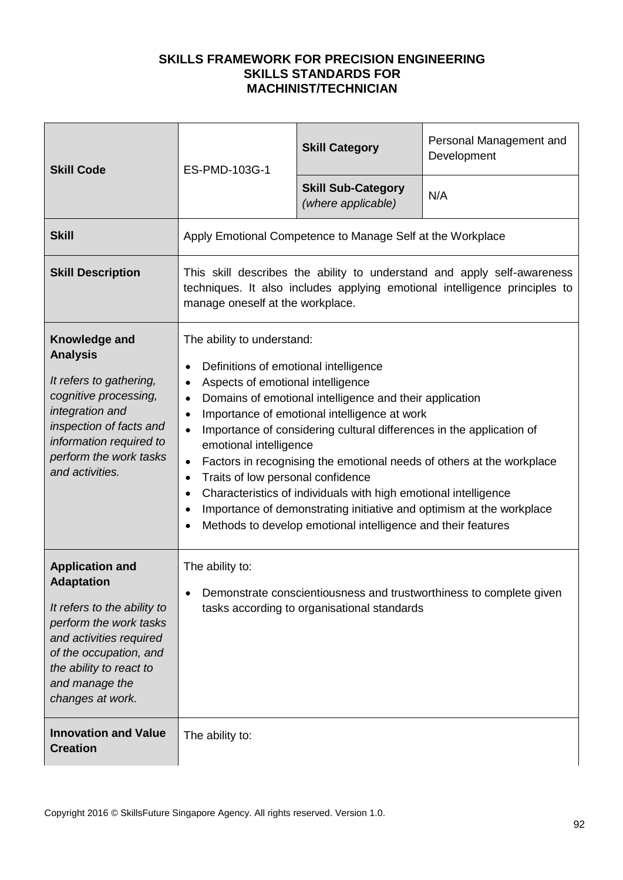| <b>Skill Code</b>                                                                                                                                                                                                          | ES-PMD-103G-1                                                                                                                                                                                                                                                                                                                                                                                                                                                                                                                                                                                                                                                                                      | <b>Skill Category</b>                           | Personal Management and<br>Development |
|----------------------------------------------------------------------------------------------------------------------------------------------------------------------------------------------------------------------------|----------------------------------------------------------------------------------------------------------------------------------------------------------------------------------------------------------------------------------------------------------------------------------------------------------------------------------------------------------------------------------------------------------------------------------------------------------------------------------------------------------------------------------------------------------------------------------------------------------------------------------------------------------------------------------------------------|-------------------------------------------------|----------------------------------------|
|                                                                                                                                                                                                                            |                                                                                                                                                                                                                                                                                                                                                                                                                                                                                                                                                                                                                                                                                                    | <b>Skill Sub-Category</b><br>(where applicable) | N/A                                    |
| <b>Skill</b>                                                                                                                                                                                                               | Apply Emotional Competence to Manage Self at the Workplace                                                                                                                                                                                                                                                                                                                                                                                                                                                                                                                                                                                                                                         |                                                 |                                        |
| <b>Skill Description</b>                                                                                                                                                                                                   | This skill describes the ability to understand and apply self-awareness<br>techniques. It also includes applying emotional intelligence principles to<br>manage oneself at the workplace.                                                                                                                                                                                                                                                                                                                                                                                                                                                                                                          |                                                 |                                        |
| Knowledge and<br><b>Analysis</b><br>It refers to gathering,<br>cognitive processing,<br>integration and<br>inspection of facts and<br>information required to<br>perform the work tasks<br>and activities.                 | The ability to understand:<br>Definitions of emotional intelligence<br>Aspects of emotional intelligence<br>$\bullet$<br>Domains of emotional intelligence and their application<br>Importance of emotional intelligence at work<br>$\bullet$<br>Importance of considering cultural differences in the application of<br>emotional intelligence<br>Factors in recognising the emotional needs of others at the workplace<br>$\bullet$<br>Traits of low personal confidence<br>$\bullet$<br>Characteristics of individuals with high emotional intelligence<br>Importance of demonstrating initiative and optimism at the workplace<br>Methods to develop emotional intelligence and their features |                                                 |                                        |
| <b>Application and</b><br><b>Adaptation</b><br>It refers to the ability to<br>perform the work tasks<br>and activities required<br>of the occupation, and<br>the ability to react to<br>and manage the<br>changes at work. | The ability to:<br>Demonstrate conscientiousness and trustworthiness to complete given<br>tasks according to organisational standards                                                                                                                                                                                                                                                                                                                                                                                                                                                                                                                                                              |                                                 |                                        |
| <b>Innovation and Value</b><br><b>Creation</b>                                                                                                                                                                             | The ability to:                                                                                                                                                                                                                                                                                                                                                                                                                                                                                                                                                                                                                                                                                    |                                                 |                                        |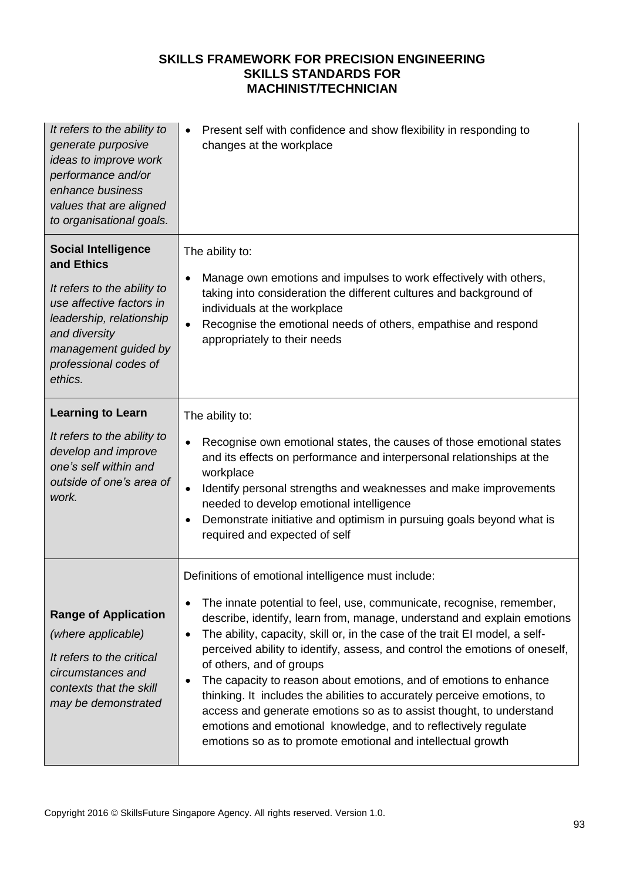| It refers to the ability to<br>generate purposive<br>ideas to improve work<br>performance and/or<br>enhance business<br>values that are aligned<br>to organisational goals.                                  | Present self with confidence and show flexibility in responding to<br>changes at the workplace                                                                                                                                                                                                                                                                                                                                                                                                                                                                                                                                                                                                                                                                                     |
|--------------------------------------------------------------------------------------------------------------------------------------------------------------------------------------------------------------|------------------------------------------------------------------------------------------------------------------------------------------------------------------------------------------------------------------------------------------------------------------------------------------------------------------------------------------------------------------------------------------------------------------------------------------------------------------------------------------------------------------------------------------------------------------------------------------------------------------------------------------------------------------------------------------------------------------------------------------------------------------------------------|
| <b>Social Intelligence</b><br>and Ethics<br>It refers to the ability to<br>use affective factors in<br>leadership, relationship<br>and diversity<br>management guided by<br>professional codes of<br>ethics. | The ability to:<br>Manage own emotions and impulses to work effectively with others,<br>$\bullet$<br>taking into consideration the different cultures and background of<br>individuals at the workplace<br>Recognise the emotional needs of others, empathise and respond<br>appropriately to their needs                                                                                                                                                                                                                                                                                                                                                                                                                                                                          |
| <b>Learning to Learn</b><br>It refers to the ability to<br>develop and improve<br>one's self within and<br>outside of one's area of<br>work.                                                                 | The ability to:<br>Recognise own emotional states, the causes of those emotional states<br>and its effects on performance and interpersonal relationships at the<br>workplace<br>Identify personal strengths and weaknesses and make improvements<br>$\bullet$<br>needed to develop emotional intelligence<br>Demonstrate initiative and optimism in pursuing goals beyond what is<br>$\bullet$<br>required and expected of self                                                                                                                                                                                                                                                                                                                                                   |
| <b>Range of Application</b><br>(where applicable)<br>It refers to the critical<br>circumstances and<br>contexts that the skill<br>may be demonstrated                                                        | Definitions of emotional intelligence must include:<br>The innate potential to feel, use, communicate, recognise, remember,<br>describe, identify, learn from, manage, understand and explain emotions<br>The ability, capacity, skill or, in the case of the trait EI model, a self-<br>$\bullet$<br>perceived ability to identify, assess, and control the emotions of oneself,<br>of others, and of groups<br>The capacity to reason about emotions, and of emotions to enhance<br>$\bullet$<br>thinking. It includes the abilities to accurately perceive emotions, to<br>access and generate emotions so as to assist thought, to understand<br>emotions and emotional knowledge, and to reflectively regulate<br>emotions so as to promote emotional and intellectual growth |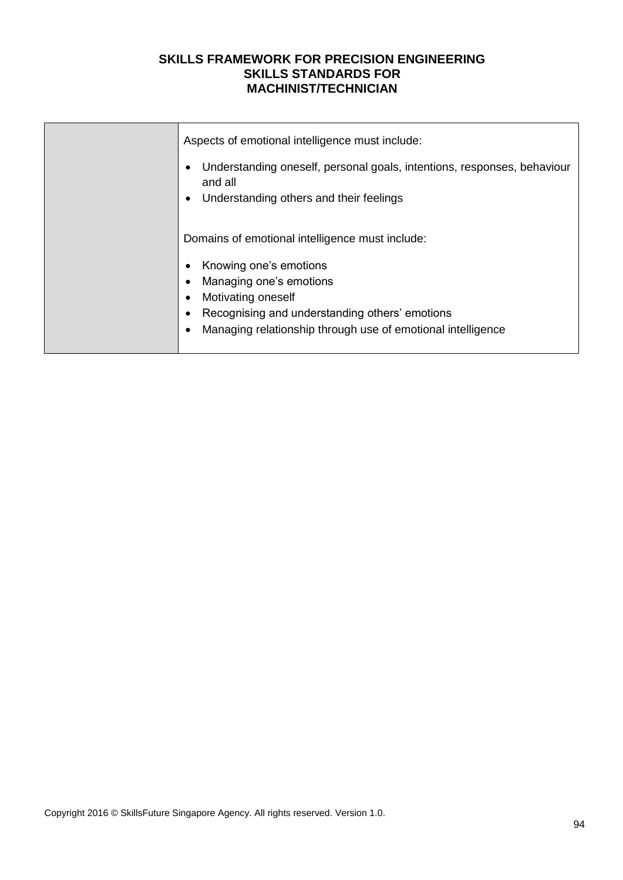| Aspects of emotional intelligence must include:<br>Understanding oneself, personal goals, intentions, responses, behaviour<br>and all<br>Understanding others and their feelings                                                            |
|---------------------------------------------------------------------------------------------------------------------------------------------------------------------------------------------------------------------------------------------|
| Domains of emotional intelligence must include:<br>Knowing one's emotions<br>Managing one's emotions<br>Motivating oneself<br>Recognising and understanding others' emotions<br>Managing relationship through use of emotional intelligence |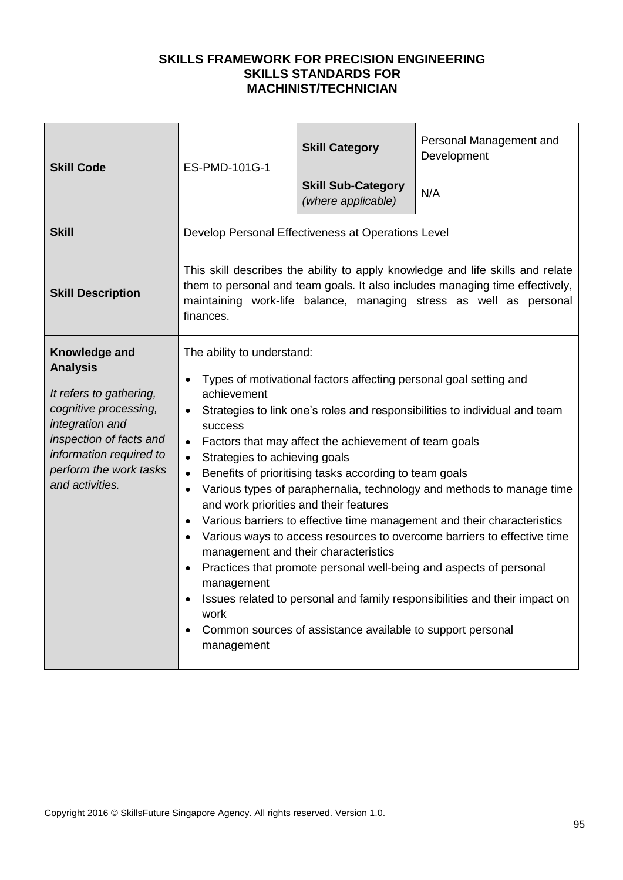| <b>Skill Code</b>                                                                                                                                                                                          | ES-PMD-101G-1                                                                                                                                                                                                                                                                                                                                                                                                                                                                                                                                                                                                                                                                                                                                                                                                                                                                                                                                                                                   | <b>Skill Category</b>                           | Personal Management and<br>Development |
|------------------------------------------------------------------------------------------------------------------------------------------------------------------------------------------------------------|-------------------------------------------------------------------------------------------------------------------------------------------------------------------------------------------------------------------------------------------------------------------------------------------------------------------------------------------------------------------------------------------------------------------------------------------------------------------------------------------------------------------------------------------------------------------------------------------------------------------------------------------------------------------------------------------------------------------------------------------------------------------------------------------------------------------------------------------------------------------------------------------------------------------------------------------------------------------------------------------------|-------------------------------------------------|----------------------------------------|
|                                                                                                                                                                                                            |                                                                                                                                                                                                                                                                                                                                                                                                                                                                                                                                                                                                                                                                                                                                                                                                                                                                                                                                                                                                 | <b>Skill Sub-Category</b><br>(where applicable) | N/A                                    |
| <b>Skill</b>                                                                                                                                                                                               | Develop Personal Effectiveness at Operations Level                                                                                                                                                                                                                                                                                                                                                                                                                                                                                                                                                                                                                                                                                                                                                                                                                                                                                                                                              |                                                 |                                        |
| <b>Skill Description</b>                                                                                                                                                                                   | This skill describes the ability to apply knowledge and life skills and relate<br>them to personal and team goals. It also includes managing time effectively,<br>maintaining work-life balance, managing stress as well as personal<br>finances.                                                                                                                                                                                                                                                                                                                                                                                                                                                                                                                                                                                                                                                                                                                                               |                                                 |                                        |
| Knowledge and<br><b>Analysis</b><br>It refers to gathering,<br>cognitive processing,<br>integration and<br>inspection of facts and<br>information required to<br>perform the work tasks<br>and activities. | The ability to understand:<br>Types of motivational factors affecting personal goal setting and<br>achievement<br>Strategies to link one's roles and responsibilities to individual and team<br>$\bullet$<br><b>SUCCESS</b><br>Factors that may affect the achievement of team goals<br>$\bullet$<br>Strategies to achieving goals<br>Benefits of prioritising tasks according to team goals<br>Various types of paraphernalia, technology and methods to manage time<br>$\bullet$<br>and work priorities and their features<br>Various barriers to effective time management and their characteristics<br>$\bullet$<br>• Various ways to access resources to overcome barriers to effective time<br>management and their characteristics<br>Practices that promote personal well-being and aspects of personal<br>management<br>Issues related to personal and family responsibilities and their impact on<br>work<br>Common sources of assistance available to support personal<br>management |                                                 |                                        |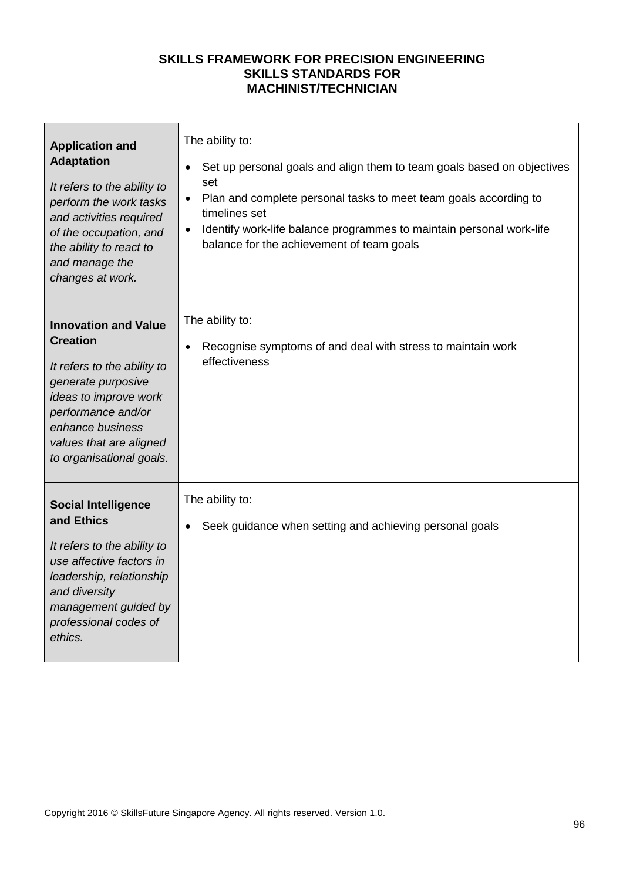| <b>Application and</b><br><b>Adaptation</b><br>It refers to the ability to<br>perform the work tasks<br>and activities required<br>of the occupation, and<br>the ability to react to<br>and manage the<br>changes at work.    | The ability to:<br>Set up personal goals and align them to team goals based on objectives<br>$\bullet$<br>set<br>Plan and complete personal tasks to meet team goals according to<br>$\bullet$<br>timelines set<br>Identify work-life balance programmes to maintain personal work-life<br>$\bullet$<br>balance for the achievement of team goals |
|-------------------------------------------------------------------------------------------------------------------------------------------------------------------------------------------------------------------------------|---------------------------------------------------------------------------------------------------------------------------------------------------------------------------------------------------------------------------------------------------------------------------------------------------------------------------------------------------|
| <b>Innovation and Value</b><br><b>Creation</b><br>It refers to the ability to<br>generate purposive<br>ideas to improve work<br>performance and/or<br>enhance business<br>values that are aligned<br>to organisational goals. | The ability to:<br>Recognise symptoms of and deal with stress to maintain work<br>effectiveness                                                                                                                                                                                                                                                   |
| <b>Social Intelligence</b><br>and Ethics<br>It refers to the ability to<br>use affective factors in<br>leadership, relationship<br>and diversity<br>management guided by<br>professional codes of<br>ethics.                  | The ability to:<br>Seek guidance when setting and achieving personal goals                                                                                                                                                                                                                                                                        |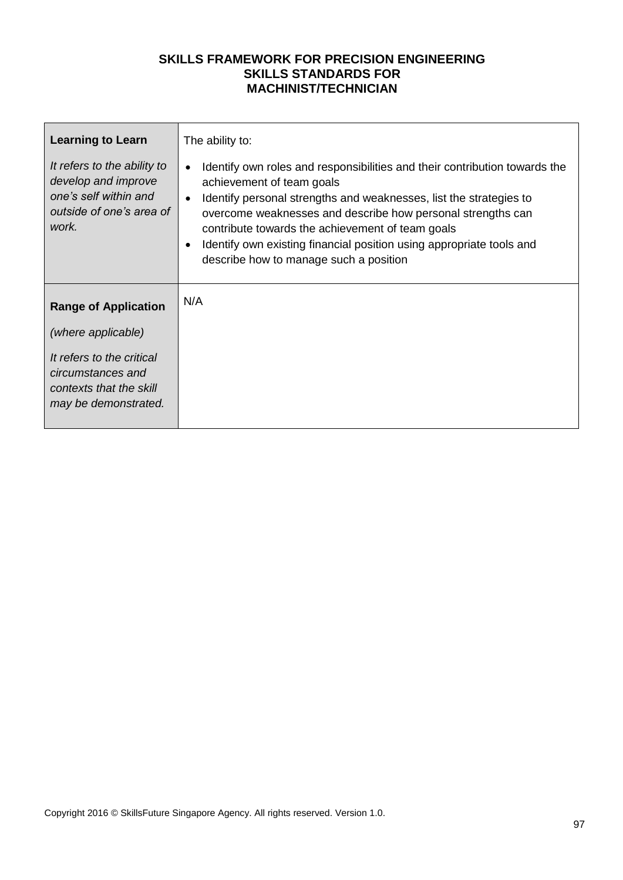| <b>Learning to Learn</b>                                                                                         | The ability to:                                                                                                                                                                                                                                                                                                                                                                                                                              |
|------------------------------------------------------------------------------------------------------------------|----------------------------------------------------------------------------------------------------------------------------------------------------------------------------------------------------------------------------------------------------------------------------------------------------------------------------------------------------------------------------------------------------------------------------------------------|
| It refers to the ability to<br>develop and improve<br>one's self within and<br>outside of one's area of<br>work. | Identify own roles and responsibilities and their contribution towards the<br>$\bullet$<br>achievement of team goals<br>Identify personal strengths and weaknesses, list the strategies to<br>$\bullet$<br>overcome weaknesses and describe how personal strengths can<br>contribute towards the achievement of team goals<br>Identify own existing financial position using appropriate tools and<br>describe how to manage such a position |
| <b>Range of Application</b>                                                                                      | N/A                                                                                                                                                                                                                                                                                                                                                                                                                                          |
| (where applicable)                                                                                               |                                                                                                                                                                                                                                                                                                                                                                                                                                              |
| It refers to the critical<br>circumstances and<br>contexts that the skill<br>may be demonstrated.                |                                                                                                                                                                                                                                                                                                                                                                                                                                              |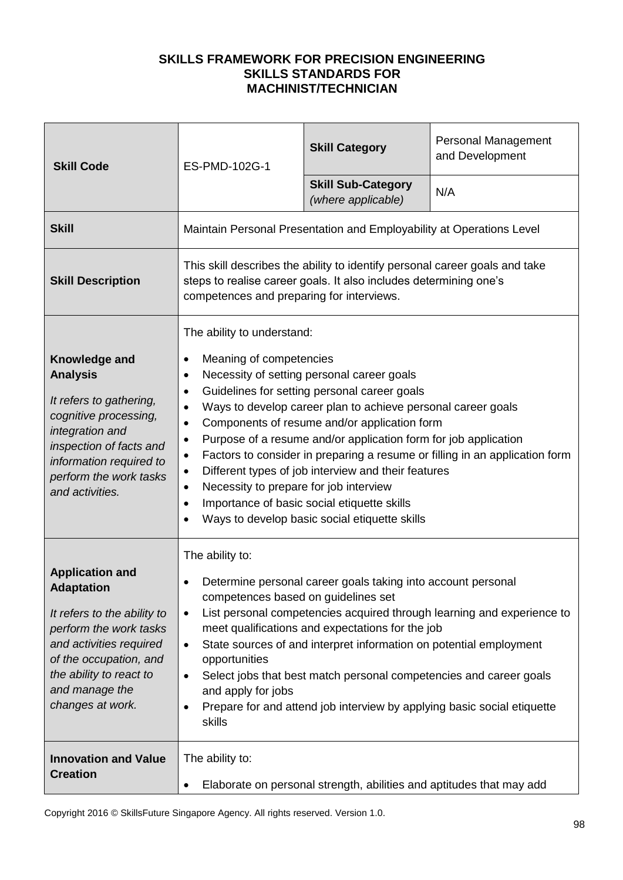| <b>Skill Code</b>                                                                                                                                                                                                          | ES-PMD-102G-1                                                                                                                                                                              | <b>Skill Category</b>                                                                                                                                                                                                                                                                                                                                                                                                                | <b>Personal Management</b><br>and Development                               |
|----------------------------------------------------------------------------------------------------------------------------------------------------------------------------------------------------------------------------|--------------------------------------------------------------------------------------------------------------------------------------------------------------------------------------------|--------------------------------------------------------------------------------------------------------------------------------------------------------------------------------------------------------------------------------------------------------------------------------------------------------------------------------------------------------------------------------------------------------------------------------------|-----------------------------------------------------------------------------|
|                                                                                                                                                                                                                            |                                                                                                                                                                                            | <b>Skill Sub-Category</b><br>(where applicable)                                                                                                                                                                                                                                                                                                                                                                                      | N/A                                                                         |
| <b>Skill</b>                                                                                                                                                                                                               |                                                                                                                                                                                            | Maintain Personal Presentation and Employability at Operations Level                                                                                                                                                                                                                                                                                                                                                                 |                                                                             |
| <b>Skill Description</b>                                                                                                                                                                                                   | competences and preparing for interviews.                                                                                                                                                  | This skill describes the ability to identify personal career goals and take<br>steps to realise career goals. It also includes determining one's                                                                                                                                                                                                                                                                                     |                                                                             |
| Knowledge and<br><b>Analysis</b><br>It refers to gathering,<br>cognitive processing,<br>integration and<br>inspection of facts and<br>information required to<br>perform the work tasks<br>and activities.                 | The ability to understand:<br>Meaning of competencies<br>$\bullet$<br>$\bullet$<br>$\bullet$<br>$\bullet$<br>$\bullet$<br>Necessity to prepare for job interview<br>$\bullet$<br>$\bullet$ | Necessity of setting personal career goals<br>Guidelines for setting personal career goals<br>Ways to develop career plan to achieve personal career goals<br>Components of resume and/or application form<br>Purpose of a resume and/or application form for job application<br>Different types of job interview and their features<br>Importance of basic social etiquette skills<br>Ways to develop basic social etiquette skills | Factors to consider in preparing a resume or filling in an application form |
| <b>Application and</b><br><b>Adaptation</b><br>It refers to the ability to<br>perform the work tasks<br>and activities required<br>of the occupation, and<br>the ability to react to<br>and manage the<br>changes at work. | The ability to:<br>competences based on guidelines set<br>$\bullet$<br>$\bullet$<br>opportunities<br>$\bullet$<br>and apply for jobs<br>skills                                             | Determine personal career goals taking into account personal<br>meet qualifications and expectations for the job<br>State sources of and interpret information on potential employment<br>Select jobs that best match personal competencies and career goals<br>Prepare for and attend job interview by applying basic social etiquette                                                                                              | List personal competencies acquired through learning and experience to      |
| <b>Innovation and Value</b><br><b>Creation</b>                                                                                                                                                                             | The ability to:                                                                                                                                                                            | Elaborate on personal strength, abilities and aptitudes that may add                                                                                                                                                                                                                                                                                                                                                                 |                                                                             |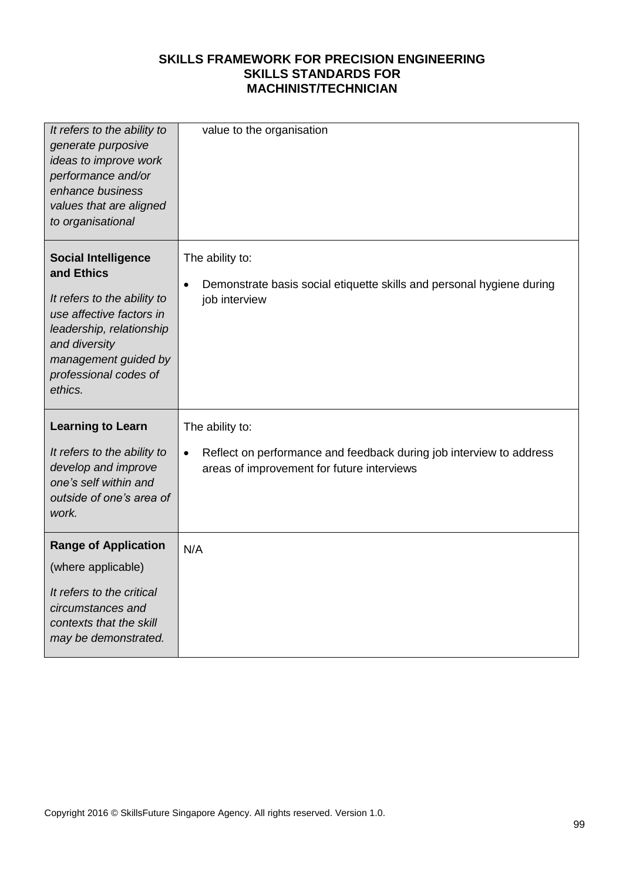| It refers to the ability to<br>generate purposive<br>ideas to improve work<br>performance and/or<br>enhance business<br>values that are aligned<br>to organisational                                         | value to the organisation                                                                                                                         |
|--------------------------------------------------------------------------------------------------------------------------------------------------------------------------------------------------------------|---------------------------------------------------------------------------------------------------------------------------------------------------|
| <b>Social Intelligence</b><br>and Ethics<br>It refers to the ability to<br>use affective factors in<br>leadership, relationship<br>and diversity<br>management guided by<br>professional codes of<br>ethics. | The ability to:<br>Demonstrate basis social etiquette skills and personal hygiene during<br>$\bullet$<br>job interview                            |
| <b>Learning to Learn</b><br>It refers to the ability to<br>develop and improve<br>one's self within and<br>outside of one's area of<br>work.                                                                 | The ability to:<br>Reflect on performance and feedback during job interview to address<br>$\bullet$<br>areas of improvement for future interviews |
| <b>Range of Application</b><br>(where applicable)<br>It refers to the critical<br>circumstances and<br>contexts that the skill<br>may be demonstrated.                                                       | N/A                                                                                                                                               |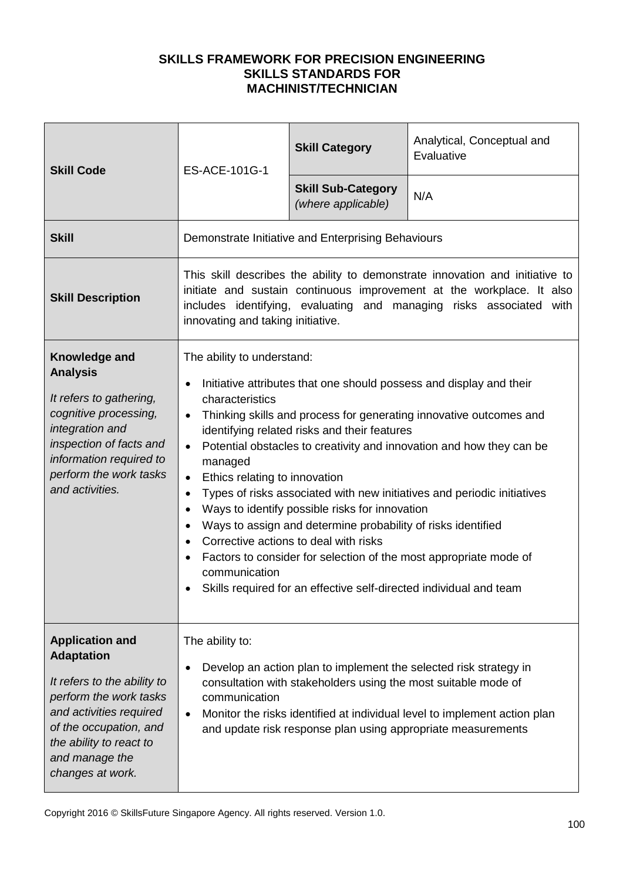| <b>Skill Code</b>                                                                                                                                                                                                          | ES-ACE-101G-1                                                                                                                                                                                                                                                                                                                                                                                                                                                                                                                                                                                                                                                                                                                                                                                                        | <b>Skill Category</b>                                          | Analytical, Conceptual and<br>Evaluative                                                                                                                                                                                     |
|----------------------------------------------------------------------------------------------------------------------------------------------------------------------------------------------------------------------------|----------------------------------------------------------------------------------------------------------------------------------------------------------------------------------------------------------------------------------------------------------------------------------------------------------------------------------------------------------------------------------------------------------------------------------------------------------------------------------------------------------------------------------------------------------------------------------------------------------------------------------------------------------------------------------------------------------------------------------------------------------------------------------------------------------------------|----------------------------------------------------------------|------------------------------------------------------------------------------------------------------------------------------------------------------------------------------------------------------------------------------|
|                                                                                                                                                                                                                            |                                                                                                                                                                                                                                                                                                                                                                                                                                                                                                                                                                                                                                                                                                                                                                                                                      | <b>Skill Sub-Category</b><br>(where applicable)                | N/A                                                                                                                                                                                                                          |
| <b>Skill</b>                                                                                                                                                                                                               |                                                                                                                                                                                                                                                                                                                                                                                                                                                                                                                                                                                                                                                                                                                                                                                                                      | Demonstrate Initiative and Enterprising Behaviours             |                                                                                                                                                                                                                              |
| <b>Skill Description</b>                                                                                                                                                                                                   | innovating and taking initiative.                                                                                                                                                                                                                                                                                                                                                                                                                                                                                                                                                                                                                                                                                                                                                                                    |                                                                | This skill describes the ability to demonstrate innovation and initiative to<br>initiate and sustain continuous improvement at the workplace. It also<br>includes identifying, evaluating and managing risks associated with |
| Knowledge and<br><b>Analysis</b><br>It refers to gathering,<br>cognitive processing,<br>integration and<br>inspection of facts and<br>information required to<br>perform the work tasks<br>and activities.                 | The ability to understand:<br>Initiative attributes that one should possess and display and their<br>characteristics<br>Thinking skills and process for generating innovative outcomes and<br>$\bullet$<br>identifying related risks and their features<br>Potential obstacles to creativity and innovation and how they can be<br>$\bullet$<br>managed<br>Ethics relating to innovation<br>$\bullet$<br>Types of risks associated with new initiatives and periodic initiatives<br>Ways to identify possible risks for innovation<br>$\bullet$<br>Ways to assign and determine probability of risks identified<br>Corrective actions to deal with risks<br>Factors to consider for selection of the most appropriate mode of<br>communication<br>Skills required for an effective self-directed individual and team |                                                                |                                                                                                                                                                                                                              |
| <b>Application and</b><br><b>Adaptation</b><br>It refers to the ability to<br>perform the work tasks<br>and activities required<br>of the occupation, and<br>the ability to react to<br>and manage the<br>changes at work. | The ability to:<br>communication<br>$\bullet$                                                                                                                                                                                                                                                                                                                                                                                                                                                                                                                                                                                                                                                                                                                                                                        | consultation with stakeholders using the most suitable mode of | Develop an action plan to implement the selected risk strategy in<br>Monitor the risks identified at individual level to implement action plan<br>and update risk response plan using appropriate measurements               |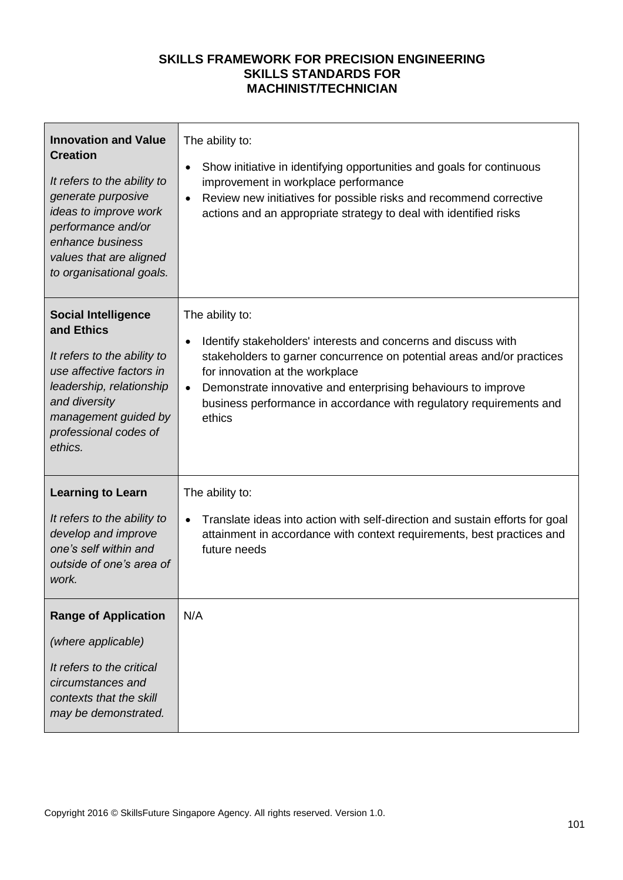| <b>Innovation and Value</b><br><b>Creation</b><br>It refers to the ability to<br>generate purposive<br>ideas to improve work<br>performance and/or<br>enhance business<br>values that are aligned<br>to organisational goals. | The ability to:<br>Show initiative in identifying opportunities and goals for continuous<br>$\bullet$<br>improvement in workplace performance<br>Review new initiatives for possible risks and recommend corrective<br>$\bullet$<br>actions and an appropriate strategy to deal with identified risks                                                              |
|-------------------------------------------------------------------------------------------------------------------------------------------------------------------------------------------------------------------------------|--------------------------------------------------------------------------------------------------------------------------------------------------------------------------------------------------------------------------------------------------------------------------------------------------------------------------------------------------------------------|
| <b>Social Intelligence</b><br>and Ethics<br>It refers to the ability to<br>use affective factors in<br>leadership, relationship<br>and diversity<br>management guided by<br>professional codes of<br>ethics.                  | The ability to:<br>Identify stakeholders' interests and concerns and discuss with<br>٠<br>stakeholders to garner concurrence on potential areas and/or practices<br>for innovation at the workplace<br>Demonstrate innovative and enterprising behaviours to improve<br>$\bullet$<br>business performance in accordance with regulatory requirements and<br>ethics |
| <b>Learning to Learn</b><br>It refers to the ability to<br>develop and improve<br>one's self within and<br>outside of one's area of<br>work.                                                                                  | The ability to:<br>Translate ideas into action with self-direction and sustain efforts for goal<br>attainment in accordance with context requirements, best practices and<br>future needs                                                                                                                                                                          |
| <b>Range of Application</b><br>(where applicable)<br>It refers to the critical<br>circumstances and<br>contexts that the skill<br>may be demonstrated.                                                                        | N/A                                                                                                                                                                                                                                                                                                                                                                |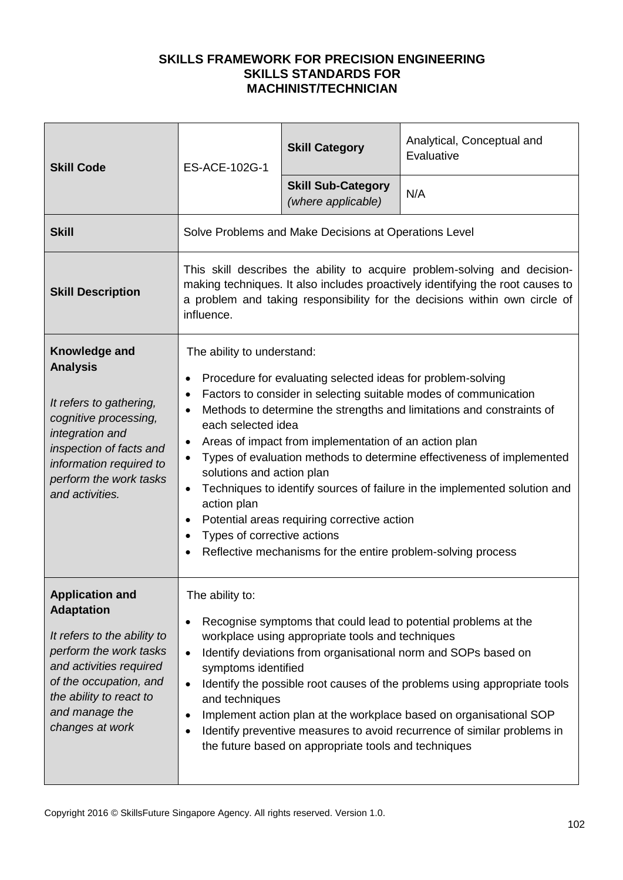| <b>Skill Code</b>                                                                                                                                                                                                         | ES-ACE-102G-1                                                                                                                                                                                                                                           | <b>Skill Category</b>                                                                                                                                                                                                               | Analytical, Conceptual and<br>Evaluative                                                                                                                                                                                                                                                                                                                        |
|---------------------------------------------------------------------------------------------------------------------------------------------------------------------------------------------------------------------------|---------------------------------------------------------------------------------------------------------------------------------------------------------------------------------------------------------------------------------------------------------|-------------------------------------------------------------------------------------------------------------------------------------------------------------------------------------------------------------------------------------|-----------------------------------------------------------------------------------------------------------------------------------------------------------------------------------------------------------------------------------------------------------------------------------------------------------------------------------------------------------------|
|                                                                                                                                                                                                                           |                                                                                                                                                                                                                                                         | <b>Skill Sub-Category</b><br>(where applicable)                                                                                                                                                                                     | N/A                                                                                                                                                                                                                                                                                                                                                             |
| <b>Skill</b>                                                                                                                                                                                                              |                                                                                                                                                                                                                                                         | Solve Problems and Make Decisions at Operations Level                                                                                                                                                                               |                                                                                                                                                                                                                                                                                                                                                                 |
| <b>Skill Description</b>                                                                                                                                                                                                  | This skill describes the ability to acquire problem-solving and decision-<br>making techniques. It also includes proactively identifying the root causes to<br>a problem and taking responsibility for the decisions within own circle of<br>influence. |                                                                                                                                                                                                                                     |                                                                                                                                                                                                                                                                                                                                                                 |
| Knowledge and<br><b>Analysis</b><br>It refers to gathering,<br>cognitive processing,<br>integration and<br>inspection of facts and<br>information required to<br>perform the work tasks<br>and activities.                | The ability to understand:<br>٠<br>each selected idea<br>$\bullet$<br>$\bullet$<br>solutions and action plan<br>$\bullet$<br>action plan<br>Types of corrective actions                                                                                 | Procedure for evaluating selected ideas for problem-solving<br>Areas of impact from implementation of an action plan<br>Potential areas requiring corrective action<br>Reflective mechanisms for the entire problem-solving process | Factors to consider in selecting suitable modes of communication<br>Methods to determine the strengths and limitations and constraints of<br>Types of evaluation methods to determine effectiveness of implemented<br>Techniques to identify sources of failure in the implemented solution and                                                                 |
| <b>Application and</b><br><b>Adaptation</b><br>It refers to the ability to<br>perform the work tasks<br>and activities required<br>of the occupation, and<br>the ability to react to<br>and manage the<br>changes at work | The ability to:<br>٠<br>$\bullet$<br>symptoms identified<br>$\bullet$<br>and techniques<br>$\bullet$                                                                                                                                                    | workplace using appropriate tools and techniques<br>the future based on appropriate tools and techniques                                                                                                                            | Recognise symptoms that could lead to potential problems at the<br>Identify deviations from organisational norm and SOPs based on<br>Identify the possible root causes of the problems using appropriate tools<br>Implement action plan at the workplace based on organisational SOP<br>Identify preventive measures to avoid recurrence of similar problems in |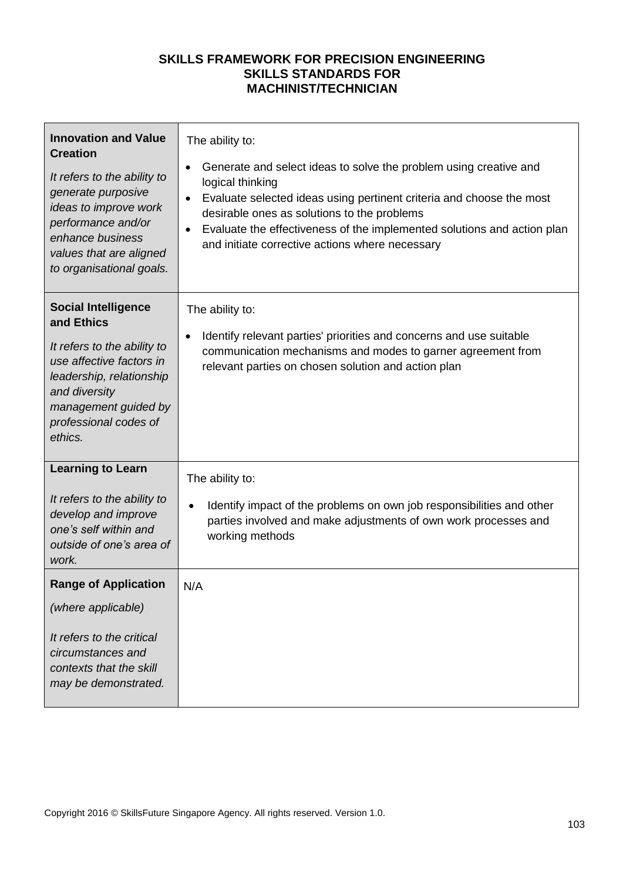| <b>Innovation and Value</b><br><b>Creation</b><br>It refers to the ability to<br>generate purposive<br>ideas to improve work<br>performance and/or<br>enhance business<br>values that are aligned<br>to organisational goals. | The ability to:<br>Generate and select ideas to solve the problem using creative and<br>$\bullet$<br>logical thinking<br>Evaluate selected ideas using pertinent criteria and choose the most<br>desirable ones as solutions to the problems<br>Evaluate the effectiveness of the implemented solutions and action plan<br>and initiate corrective actions where necessary |
|-------------------------------------------------------------------------------------------------------------------------------------------------------------------------------------------------------------------------------|----------------------------------------------------------------------------------------------------------------------------------------------------------------------------------------------------------------------------------------------------------------------------------------------------------------------------------------------------------------------------|
| <b>Social Intelligence</b><br>and Ethics<br>It refers to the ability to<br>use affective factors in<br>leadership, relationship<br>and diversity<br>management guided by<br>professional codes of<br>ethics.                  | The ability to:<br>Identify relevant parties' priorities and concerns and use suitable<br>communication mechanisms and modes to garner agreement from<br>relevant parties on chosen solution and action plan                                                                                                                                                               |
| <b>Learning to Learn</b><br>It refers to the ability to<br>develop and improve<br>one's self within and<br>outside of one's area of<br>work.                                                                                  | The ability to:<br>Identify impact of the problems on own job responsibilities and other<br>$\bullet$<br>parties involved and make adjustments of own work processes and<br>working methods                                                                                                                                                                                |
| <b>Range of Application</b><br>(where applicable)<br>It refers to the critical<br>circumstances and<br>contexts that the skill<br>may be demonstrated.                                                                        | N/A                                                                                                                                                                                                                                                                                                                                                                        |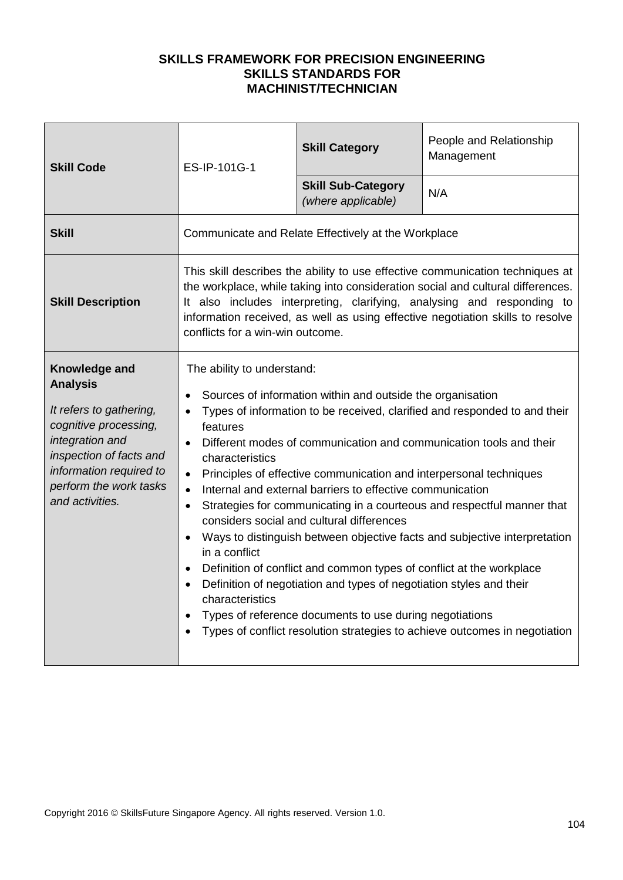| <b>Skill Code</b>                                                                                                                                                                                          | ES-IP-101G-1                                                                                                                                      | <b>Skill Category</b>                                                                                                                                                                                                                                                                                                                                                                                                                                | People and Relationship<br>Management                                                                                                                                                                                                                                                                                                                                                |
|------------------------------------------------------------------------------------------------------------------------------------------------------------------------------------------------------------|---------------------------------------------------------------------------------------------------------------------------------------------------|------------------------------------------------------------------------------------------------------------------------------------------------------------------------------------------------------------------------------------------------------------------------------------------------------------------------------------------------------------------------------------------------------------------------------------------------------|--------------------------------------------------------------------------------------------------------------------------------------------------------------------------------------------------------------------------------------------------------------------------------------------------------------------------------------------------------------------------------------|
|                                                                                                                                                                                                            |                                                                                                                                                   | <b>Skill Sub-Category</b><br>(where applicable)                                                                                                                                                                                                                                                                                                                                                                                                      | N/A                                                                                                                                                                                                                                                                                                                                                                                  |
| <b>Skill</b>                                                                                                                                                                                               |                                                                                                                                                   | Communicate and Relate Effectively at the Workplace                                                                                                                                                                                                                                                                                                                                                                                                  |                                                                                                                                                                                                                                                                                                                                                                                      |
| <b>Skill Description</b>                                                                                                                                                                                   | conflicts for a win-win outcome.                                                                                                                  |                                                                                                                                                                                                                                                                                                                                                                                                                                                      | This skill describes the ability to use effective communication techniques at<br>the workplace, while taking into consideration social and cultural differences.<br>It also includes interpreting, clarifying, analysing and responding to<br>information received, as well as using effective negotiation skills to resolve                                                         |
| Knowledge and<br><b>Analysis</b><br>It refers to gathering,<br>cognitive processing,<br>integration and<br>inspection of facts and<br>information required to<br>perform the work tasks<br>and activities. | The ability to understand:<br>$\bullet$<br>features<br>characteristics<br>$\bullet$<br>$\bullet$<br>$\bullet$<br>in a conflict<br>characteristics | Sources of information within and outside the organisation<br>Principles of effective communication and interpersonal techniques<br>Internal and external barriers to effective communication<br>considers social and cultural differences<br>Definition of conflict and common types of conflict at the workplace<br>Definition of negotiation and types of negotiation styles and their<br>Types of reference documents to use during negotiations | Types of information to be received, clarified and responded to and their<br>Different modes of communication and communication tools and their<br>Strategies for communicating in a courteous and respectful manner that<br>Ways to distinguish between objective facts and subjective interpretation<br>Types of conflict resolution strategies to achieve outcomes in negotiation |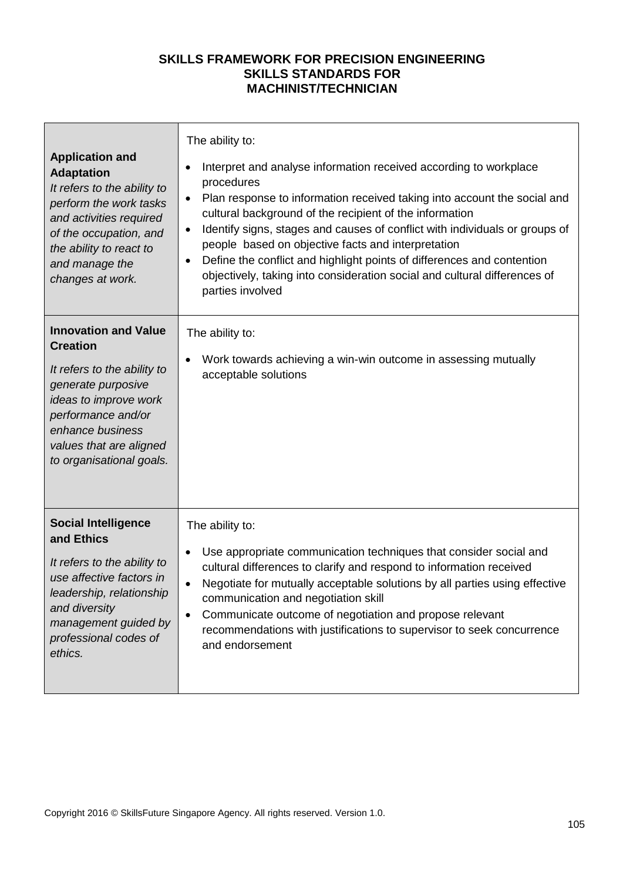| <b>Application and</b><br><b>Adaptation</b><br>It refers to the ability to<br>perform the work tasks<br>and activities required<br>of the occupation, and<br>the ability to react to<br>and manage the<br>changes at work.    | The ability to:<br>Interpret and analyse information received according to workplace<br>$\bullet$<br>procedures<br>Plan response to information received taking into account the social and<br>$\bullet$<br>cultural background of the recipient of the information<br>Identify signs, stages and causes of conflict with individuals or groups of<br>$\bullet$<br>people based on objective facts and interpretation<br>Define the conflict and highlight points of differences and contention<br>$\bullet$<br>objectively, taking into consideration social and cultural differences of<br>parties involved |
|-------------------------------------------------------------------------------------------------------------------------------------------------------------------------------------------------------------------------------|---------------------------------------------------------------------------------------------------------------------------------------------------------------------------------------------------------------------------------------------------------------------------------------------------------------------------------------------------------------------------------------------------------------------------------------------------------------------------------------------------------------------------------------------------------------------------------------------------------------|
| <b>Innovation and Value</b><br><b>Creation</b><br>It refers to the ability to<br>generate purposive<br>ideas to improve work<br>performance and/or<br>enhance business<br>values that are aligned<br>to organisational goals. | The ability to:<br>Work towards achieving a win-win outcome in assessing mutually<br>acceptable solutions                                                                                                                                                                                                                                                                                                                                                                                                                                                                                                     |
| <b>Social Intelligence</b><br>and Ethics<br>It refers to the ability to<br>use affective factors in<br>leadership, relationship<br>and diversity<br>management guided by<br>professional codes of<br>ethics.                  | The ability to:<br>Use appropriate communication techniques that consider social and<br>cultural differences to clarify and respond to information received<br>Negotiate for mutually acceptable solutions by all parties using effective<br>communication and negotiation skill<br>Communicate outcome of negotiation and propose relevant<br>$\bullet$<br>recommendations with justifications to supervisor to seek concurrence<br>and endorsement                                                                                                                                                          |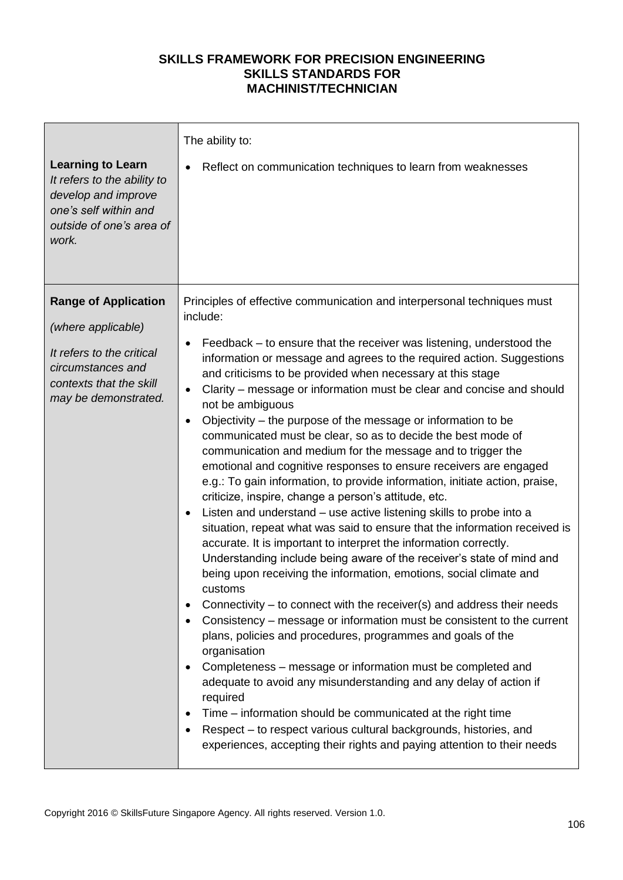| <b>Learning to Learn</b><br>It refers to the ability to<br>develop and improve<br>one's self within and<br>outside of one's area of<br>work.           | The ability to:<br>Reflect on communication techniques to learn from weaknesses                                                                                                                                                                                                                                                                                                                                                                                                                                                                                                                                                                                                                                                                                                                                                                                                                                                                                                                                                                                                                                                                                                                                                                                                                                                                                                                                                                                                                                                                                                                                                                                                                                                                                                                                                                        |
|--------------------------------------------------------------------------------------------------------------------------------------------------------|--------------------------------------------------------------------------------------------------------------------------------------------------------------------------------------------------------------------------------------------------------------------------------------------------------------------------------------------------------------------------------------------------------------------------------------------------------------------------------------------------------------------------------------------------------------------------------------------------------------------------------------------------------------------------------------------------------------------------------------------------------------------------------------------------------------------------------------------------------------------------------------------------------------------------------------------------------------------------------------------------------------------------------------------------------------------------------------------------------------------------------------------------------------------------------------------------------------------------------------------------------------------------------------------------------------------------------------------------------------------------------------------------------------------------------------------------------------------------------------------------------------------------------------------------------------------------------------------------------------------------------------------------------------------------------------------------------------------------------------------------------------------------------------------------------------------------------------------------------|
| <b>Range of Application</b><br>(where applicable)<br>It refers to the critical<br>circumstances and<br>contexts that the skill<br>may be demonstrated. | Principles of effective communication and interpersonal techniques must<br>include:<br>Feedback – to ensure that the receiver was listening, understood the<br>information or message and agrees to the required action. Suggestions<br>and criticisms to be provided when necessary at this stage<br>Clarity – message or information must be clear and concise and should<br>$\bullet$<br>not be ambiguous<br>Objectivity – the purpose of the message or information to be<br>$\bullet$<br>communicated must be clear, so as to decide the best mode of<br>communication and medium for the message and to trigger the<br>emotional and cognitive responses to ensure receivers are engaged<br>e.g.: To gain information, to provide information, initiate action, praise,<br>criticize, inspire, change a person's attitude, etc.<br>Listen and understand - use active listening skills to probe into a<br>$\bullet$<br>situation, repeat what was said to ensure that the information received is<br>accurate. It is important to interpret the information correctly.<br>Understanding include being aware of the receiver's state of mind and<br>being upon receiving the information, emotions, social climate and<br>customs.<br>Connectivity – to connect with the receiver(s) and address their needs<br>Consistency – message or information must be consistent to the current<br>$\bullet$<br>plans, policies and procedures, programmes and goals of the<br>organisation<br>Completeness – message or information must be completed and<br>adequate to avoid any misunderstanding and any delay of action if<br>required<br>Time – information should be communicated at the right time<br>Respect - to respect various cultural backgrounds, histories, and<br>experiences, accepting their rights and paying attention to their needs |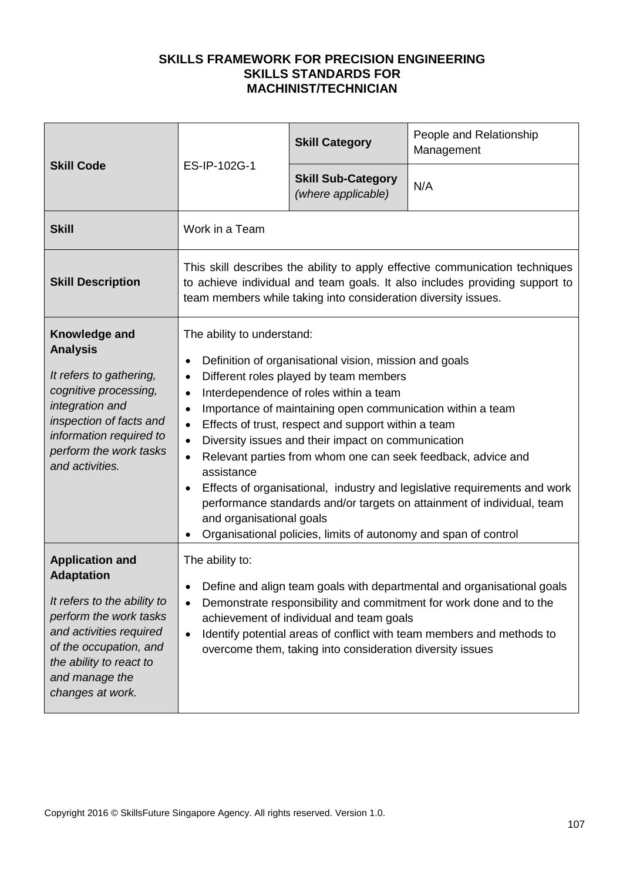| <b>Skill Code</b>                                                                                                                                                                                                          | ES-IP-102G-1                                                                                                                                                                                                                                                                                                                                                                                                                                                                                                                                                                                                                                                                                                                                                          | <b>Skill Category</b>                                                                                 | People and Relationship<br>Management                                                                                                                                                                                 |
|----------------------------------------------------------------------------------------------------------------------------------------------------------------------------------------------------------------------------|-----------------------------------------------------------------------------------------------------------------------------------------------------------------------------------------------------------------------------------------------------------------------------------------------------------------------------------------------------------------------------------------------------------------------------------------------------------------------------------------------------------------------------------------------------------------------------------------------------------------------------------------------------------------------------------------------------------------------------------------------------------------------|-------------------------------------------------------------------------------------------------------|-----------------------------------------------------------------------------------------------------------------------------------------------------------------------------------------------------------------------|
|                                                                                                                                                                                                                            |                                                                                                                                                                                                                                                                                                                                                                                                                                                                                                                                                                                                                                                                                                                                                                       | <b>Skill Sub-Category</b><br>(where applicable)                                                       | N/A                                                                                                                                                                                                                   |
| <b>Skill</b>                                                                                                                                                                                                               | Work in a Team                                                                                                                                                                                                                                                                                                                                                                                                                                                                                                                                                                                                                                                                                                                                                        |                                                                                                       |                                                                                                                                                                                                                       |
| <b>Skill Description</b>                                                                                                                                                                                                   | This skill describes the ability to apply effective communication techniques<br>to achieve individual and team goals. It also includes providing support to<br>team members while taking into consideration diversity issues.                                                                                                                                                                                                                                                                                                                                                                                                                                                                                                                                         |                                                                                                       |                                                                                                                                                                                                                       |
| Knowledge and<br><b>Analysis</b><br>It refers to gathering,<br>cognitive processing,<br>integration and<br>inspection of facts and<br>information required to<br>perform the work tasks<br>and activities.                 | The ability to understand:<br>Definition of organisational vision, mission and goals<br>Different roles played by team members<br>$\bullet$<br>Interdependence of roles within a team<br>$\bullet$<br>Importance of maintaining open communication within a team<br>$\bullet$<br>Effects of trust, respect and support within a team<br>$\bullet$<br>Diversity issues and their impact on communication<br>$\bullet$<br>Relevant parties from whom one can seek feedback, advice and<br>$\bullet$<br>assistance<br>Effects of organisational, industry and legislative requirements and work<br>performance standards and/or targets on attainment of individual, team<br>and organisational goals<br>Organisational policies, limits of autonomy and span of control |                                                                                                       |                                                                                                                                                                                                                       |
| <b>Application and</b><br><b>Adaptation</b><br>It refers to the ability to<br>perform the work tasks<br>and activities required<br>of the occupation, and<br>the ability to react to<br>and manage the<br>changes at work. | The ability to:<br>$\bullet$<br>$\bullet$                                                                                                                                                                                                                                                                                                                                                                                                                                                                                                                                                                                                                                                                                                                             | achievement of individual and team goals<br>overcome them, taking into consideration diversity issues | Define and align team goals with departmental and organisational goals<br>Demonstrate responsibility and commitment for work done and to the<br>Identify potential areas of conflict with team members and methods to |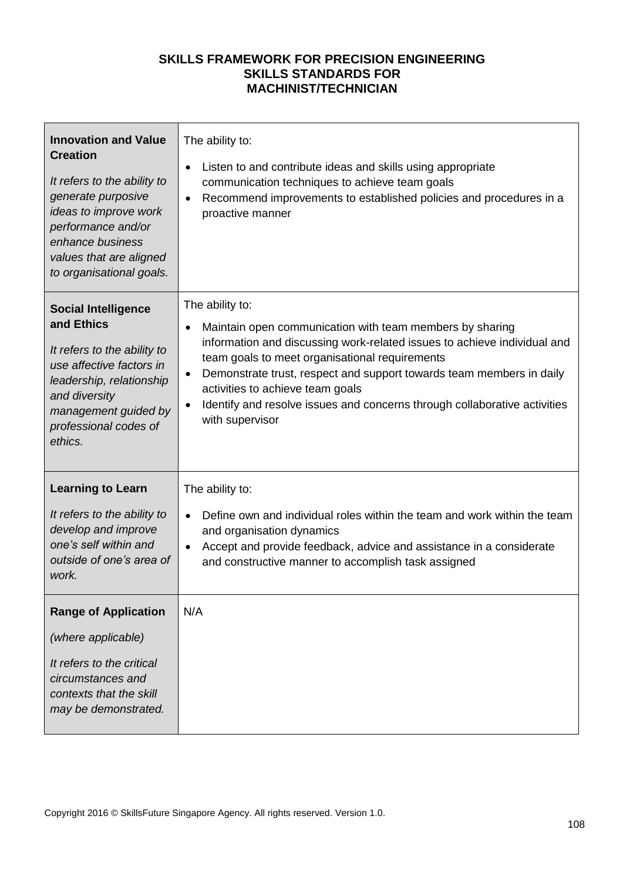| <b>Innovation and Value</b><br><b>Creation</b><br>It refers to the ability to<br>generate purposive<br>ideas to improve work<br>performance and/or<br>enhance business<br>values that are aligned<br>to organisational goals. | The ability to:<br>Listen to and contribute ideas and skills using appropriate<br>$\bullet$<br>communication techniques to achieve team goals<br>Recommend improvements to established policies and procedures in a<br>$\bullet$<br>proactive manner                                                                                                                                                                                                         |
|-------------------------------------------------------------------------------------------------------------------------------------------------------------------------------------------------------------------------------|--------------------------------------------------------------------------------------------------------------------------------------------------------------------------------------------------------------------------------------------------------------------------------------------------------------------------------------------------------------------------------------------------------------------------------------------------------------|
| <b>Social Intelligence</b><br>and Ethics<br>It refers to the ability to<br>use affective factors in<br>leadership, relationship<br>and diversity<br>management guided by<br>professional codes of<br>ethics.                  | The ability to:<br>Maintain open communication with team members by sharing<br>$\bullet$<br>information and discussing work-related issues to achieve individual and<br>team goals to meet organisational requirements<br>Demonstrate trust, respect and support towards team members in daily<br>$\bullet$<br>activities to achieve team goals<br>Identify and resolve issues and concerns through collaborative activities<br>$\bullet$<br>with supervisor |
| <b>Learning to Learn</b><br>It refers to the ability to<br>develop and improve<br>one's self within and<br>outside of one's area of<br>work.                                                                                  | The ability to:<br>Define own and individual roles within the team and work within the team<br>$\bullet$<br>and organisation dynamics<br>Accept and provide feedback, advice and assistance in a considerate<br>$\bullet$<br>and constructive manner to accomplish task assigned                                                                                                                                                                             |
| <b>Range of Application</b><br>(where applicable)<br>It refers to the critical<br>circumstances and<br>contexts that the skill<br>may be demonstrated.                                                                        | N/A                                                                                                                                                                                                                                                                                                                                                                                                                                                          |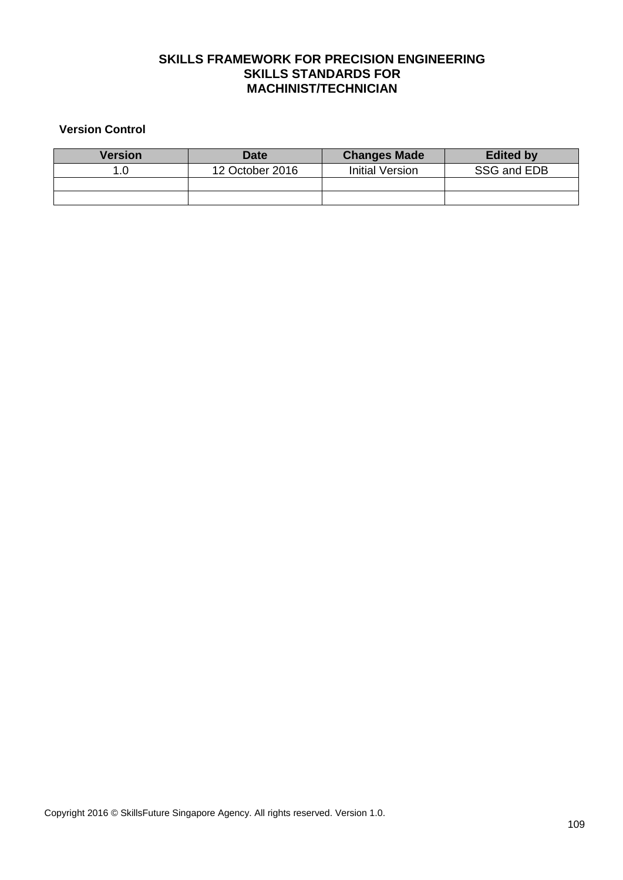## **SKILLS FRAMEWORK FOR PRECISION ENGINEERING SKILLS STANDARDS FOR MACHINIST/TECHNICIAN**

## **Version Control**

| Version | <b>Date</b>     | <b>Changes Made</b> | <b>Edited by</b> |
|---------|-----------------|---------------------|------------------|
|         | 12 October 2016 | Initial Version     | SSG and EDB      |
|         |                 |                     |                  |
|         |                 |                     |                  |